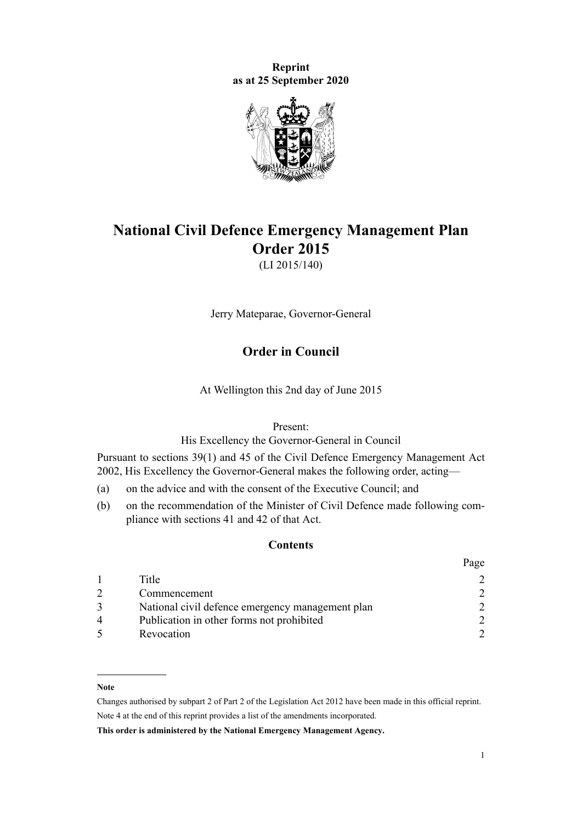**Reprint as at 25 September 2020**



# **National Civil Defence Emergency Management Plan Order 2015**

(LI 2015/140)

Jerry Mateparae, Governor-General

## **Order in Council**

At Wellington this 2nd day of June 2015

Present:

His Excellency the Governor-General in Council

Pursuant to [sections 39\(1\)](http://legislation.govt.nz/pdflink.aspx?id=DLM150739) and [45](http://legislation.govt.nz/pdflink.aspx?id=DLM150745) of the [Civil Defence Emergency Management Act](http://legislation.govt.nz/pdflink.aspx?id=DLM149788) [2002](http://legislation.govt.nz/pdflink.aspx?id=DLM149788), His Excellency the Governor-General makes the following order, acting—

- (a) on the advice and with the consent of the Executive Council; and
- (b) on the recommendation of the Minister of Civil Defence made following compliance with [sections 41](http://legislation.govt.nz/pdflink.aspx?id=DLM150741) and [42](http://legislation.govt.nz/pdflink.aspx?id=DLM150742) of that Act.

#### **Contents**

|   |                                                  | Page          |
|---|--------------------------------------------------|---------------|
|   | Title                                            |               |
|   | Commencement                                     | $\mathcal{D}$ |
|   | National civil defence emergency management plan | $\mathcal{D}$ |
| 4 | Publication in other forms not prohibited        | $\mathcal{D}$ |
|   | Revocation                                       |               |

#### **Note**

Changes authorised by [subpart 2](http://legislation.govt.nz/pdflink.aspx?id=DLM2998524) of Part 2 of the Legislation Act 2012 have been made in this official reprint. Note 4 at the end of this reprint provides a list of the amendments incorporated.

**This order is administered by the National Emergency Management Agency.**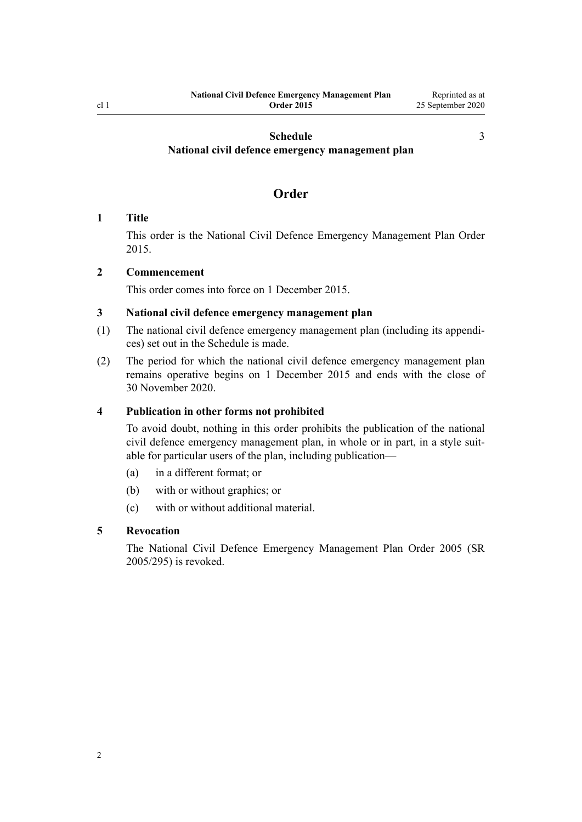[3](#page-2-0)

## <span id="page-1-0"></span>**[Schedule](#page-2-0) [National civil defence emergency management plan](#page-2-0)**

## **Order**

#### **1 Title**

This order is the National Civil Defence Emergency Management Plan Order 2015.

### **2 Commencement**

This order comes into force on 1 December 2015.

#### **3 National civil defence emergency management plan**

- (1) The national civil defence emergency management plan (including its appendices) set out in the [Schedule](#page-2-0) is made.
- (2) The period for which the national civil defence emergency management plan remains operative begins on 1 December 2015 and ends with the close of 30 November 2020.

#### **4 Publication in other forms not prohibited**

To avoid doubt, nothing in this order prohibits the publication of the national civil defence emergency management plan, in whole or in part, in a style suitable for particular users of the plan, including publication—

- (a) in a different format; or
- (b) with or without graphics; or
- (c) with or without additional material.

### **5 Revocation**

The [National Civil Defence Emergency Management Plan Order 2005](http://legislation.govt.nz/pdflink.aspx?id=DLM356568) (SR 2005/295) is revoked.

2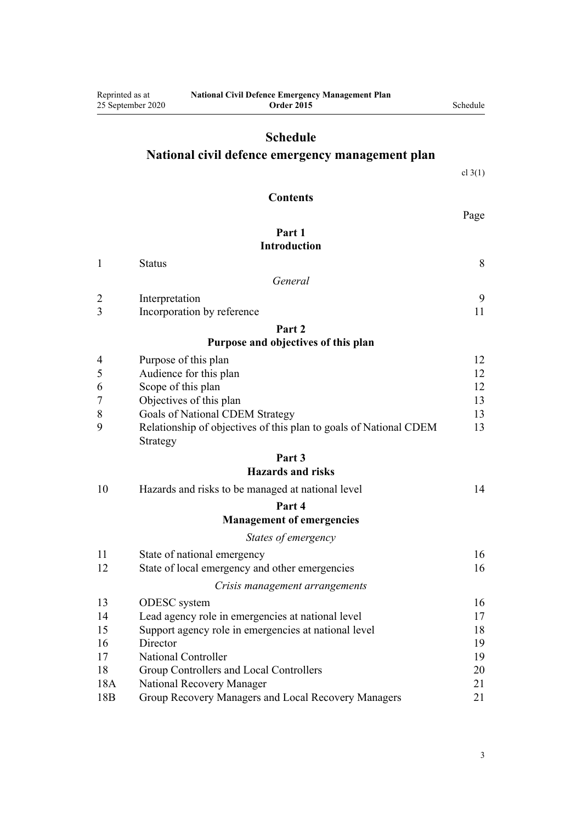<span id="page-2-0"></span>

| Reprinted as at | <b>National Civil Defence Emergency Management Plan</b><br>25 September 2020<br><b>Order 2015</b> | Schedule  |
|-----------------|---------------------------------------------------------------------------------------------------|-----------|
|                 | <b>Schedule</b>                                                                                   |           |
|                 | National civil defence emergency management plan                                                  |           |
|                 |                                                                                                   | cl $3(1)$ |
|                 |                                                                                                   |           |
|                 | <b>Contents</b>                                                                                   |           |
|                 | Part 1                                                                                            | Page      |
|                 | <b>Introduction</b>                                                                               |           |
| 1               | <b>Status</b>                                                                                     | 8         |
|                 | General                                                                                           |           |
| 2               | Interpretation                                                                                    | 9         |
| 3               | Incorporation by reference                                                                        | 11        |
|                 | Part 2                                                                                            |           |
|                 | Purpose and objectives of this plan                                                               |           |
| 4               | Purpose of this plan                                                                              | 12        |
| 5               | Audience for this plan                                                                            | 12        |
| 6<br>7          | Scope of this plan<br>Objectives of this plan                                                     | 12<br>13  |
| 8               | Goals of National CDEM Strategy                                                                   | 13        |
| 9               | Relationship of objectives of this plan to goals of National CDEM<br>Strategy                     | 13        |
|                 | Part 3                                                                                            |           |
|                 | <b>Hazards and risks</b>                                                                          |           |
| 10              | Hazards and risks to be managed at national level                                                 | 14        |
|                 | Part 4                                                                                            |           |
|                 | <b>Management of emergencies</b>                                                                  |           |
|                 | States of emergency                                                                               |           |
| 11<br>12        | State of national emergency<br>State of local emergency and other emergencies                     | 16<br>16  |
|                 | Crisis management arrangements                                                                    |           |
| 13              | ODESC system                                                                                      | 16        |
| 14              | Lead agency role in emergencies at national level                                                 | 17        |
| 15              | Support agency role in emergencies at national level                                              | 18        |
| 16              | Director                                                                                          | 19        |
| 17              | <b>National Controller</b>                                                                        | 19        |
| 18<br>18A       | Group Controllers and Local Controllers<br>National Recovery Manager                              | 20<br>21  |
| 18 <sub>B</sub> | Group Recovery Managers and Local Recovery Managers                                               | 21        |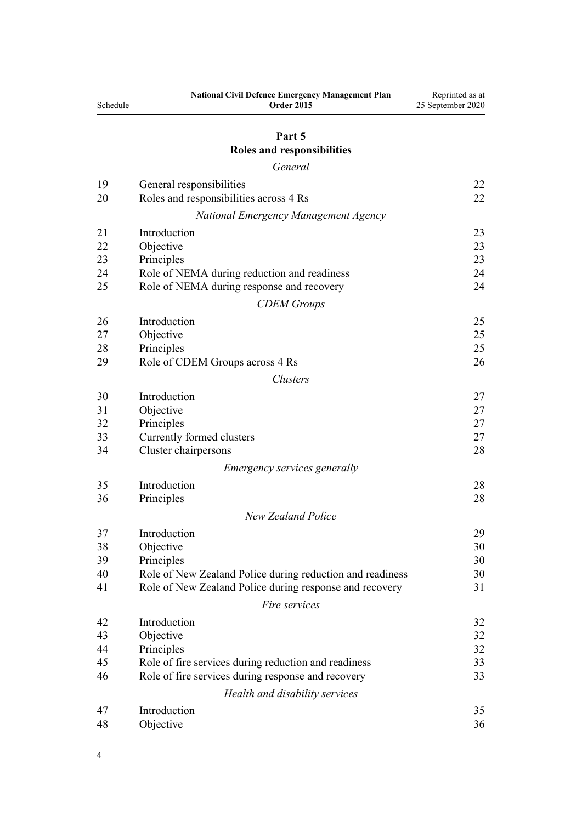| Schedule | <b>National Civil Defence Emergency Management Plan</b><br><b>Order 2015</b> | Reprinted as at<br>25 September 2020 |
|----------|------------------------------------------------------------------------------|--------------------------------------|
|          | Part 5                                                                       |                                      |
|          | Roles and responsibilities                                                   |                                      |
|          | General                                                                      |                                      |
| 19       | General responsibilities                                                     | 22                                   |
| 20       | Roles and responsibilities across 4 Rs                                       | 22                                   |
|          | National Emergency Management Agency                                         |                                      |
| 21       | Introduction                                                                 | 23                                   |
| 22       | Objective                                                                    | 23                                   |
| 23       | Principles                                                                   | 23                                   |
| 24       | Role of NEMA during reduction and readiness                                  | 24                                   |
| 25       | Role of NEMA during response and recovery                                    | 24                                   |
|          | <b>CDEM</b> Groups                                                           |                                      |
| 26       | Introduction                                                                 | 25                                   |
| 27       | Objective                                                                    | 25                                   |
| 28       | Principles                                                                   | 25                                   |
| 29       | Role of CDEM Groups across 4 Rs                                              | 26                                   |
|          | <b>Clusters</b>                                                              |                                      |
| 30       | Introduction                                                                 | 27                                   |
| 31       | Objective                                                                    | 27                                   |
| 32       | Principles                                                                   | 27                                   |
| 33       | Currently formed clusters                                                    | 27                                   |
| 34       | Cluster chairpersons                                                         | 28                                   |
|          | <i>Emergency services generally</i>                                          |                                      |
| 35       | Introduction                                                                 | 28                                   |
| 36       | Principles                                                                   | 28                                   |
|          | <b>New Zealand Police</b>                                                    |                                      |
| 37       | Introduction                                                                 | 29                                   |
| 38       | Objective                                                                    | 30                                   |
| 39       | Principles                                                                   | 30                                   |
| 40       | Role of New Zealand Police during reduction and readiness                    | 30                                   |
| 41       | Role of New Zealand Police during response and recovery                      | 31                                   |
|          | Fire services                                                                |                                      |
| 42       | Introduction                                                                 | 32                                   |
| 43       | Objective                                                                    | 32                                   |
| 44       | Principles                                                                   | 32                                   |
| 45       | Role of fire services during reduction and readiness                         | 33                                   |
| 46       | Role of fire services during response and recovery                           | 33                                   |
|          | Health and disability services                                               |                                      |
| 47       | Introduction                                                                 | 35                                   |
| 48       | Objective                                                                    | 36                                   |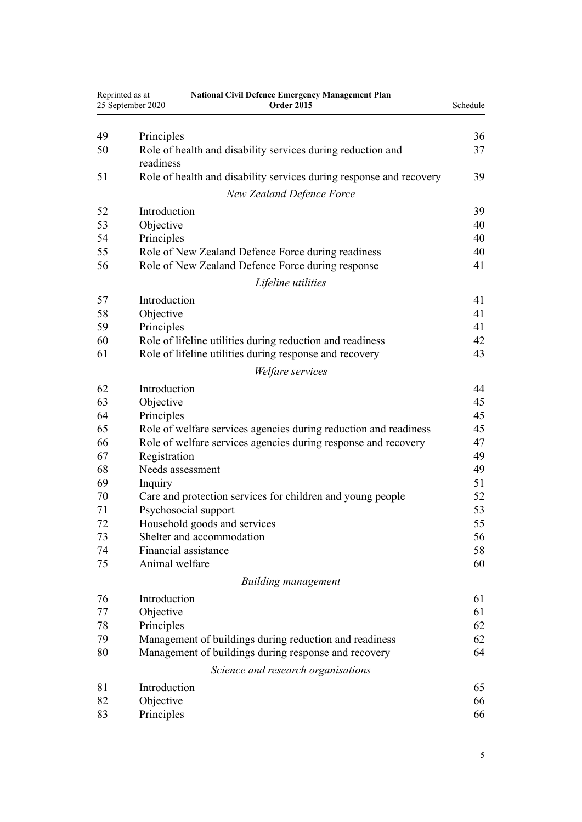| Reprinted as at | <b>National Civil Defence Emergency Management Plan</b><br>25 September 2020<br><b>Order 2015</b> | Schedule |
|-----------------|---------------------------------------------------------------------------------------------------|----------|
|                 |                                                                                                   |          |
| 49              | Principles                                                                                        | 36       |
| 50              | Role of health and disability services during reduction and                                       | 37       |
|                 | readiness                                                                                         |          |
| 51              | Role of health and disability services during response and recovery                               | 39       |
|                 | <b>New Zealand Defence Force</b>                                                                  |          |
| 52              | Introduction                                                                                      | 39       |
| 53              | Objective                                                                                         | 40       |
| 54              | Principles                                                                                        | 40       |
| 55              | Role of New Zealand Defence Force during readiness                                                | 40       |
| 56              | Role of New Zealand Defence Force during response                                                 | 41       |
|                 | Lifeline utilities                                                                                |          |
| 57              | Introduction                                                                                      | 41       |
| 58              | Objective                                                                                         | 41       |
| 59              | Principles                                                                                        | 41       |
| 60              | Role of lifeline utilities during reduction and readiness                                         | 42       |
| 61              | Role of lifeline utilities during response and recovery                                           | 43       |
|                 | Welfare services                                                                                  |          |
| 62              | Introduction                                                                                      | 44       |
| 63              | Objective                                                                                         | 45       |
| 64              | Principles                                                                                        | 45       |
| 65              | Role of welfare services agencies during reduction and readiness                                  | 45       |
| 66              | Role of welfare services agencies during response and recovery                                    | 47       |
| 67              | Registration                                                                                      | 49       |
| 68              | Needs assessment                                                                                  | 49       |
| 69              | Inquiry                                                                                           | 51       |
| 70              | Care and protection services for children and young people                                        | 52       |
| 71              | Psychosocial support                                                                              | 53       |
| 72              | Household goods and services                                                                      | 55       |
| 73              | Shelter and accommodation                                                                         | 56       |
| 74              | Financial assistance                                                                              | 58       |
| 75              | Animal welfare                                                                                    | 60       |
|                 | <b>Building management</b>                                                                        |          |
| 76              | Introduction                                                                                      | 61       |
| 77              | Objective                                                                                         | 61       |
| 78              | Principles                                                                                        | 62       |
| 79              | Management of buildings during reduction and readiness                                            | 62       |
| 80              | Management of buildings during response and recovery                                              | 64       |
|                 | Science and research organisations                                                                |          |
| 81              | Introduction                                                                                      | 65       |
| 82              | Objective                                                                                         | 66       |
| 83              | Principles                                                                                        | 66       |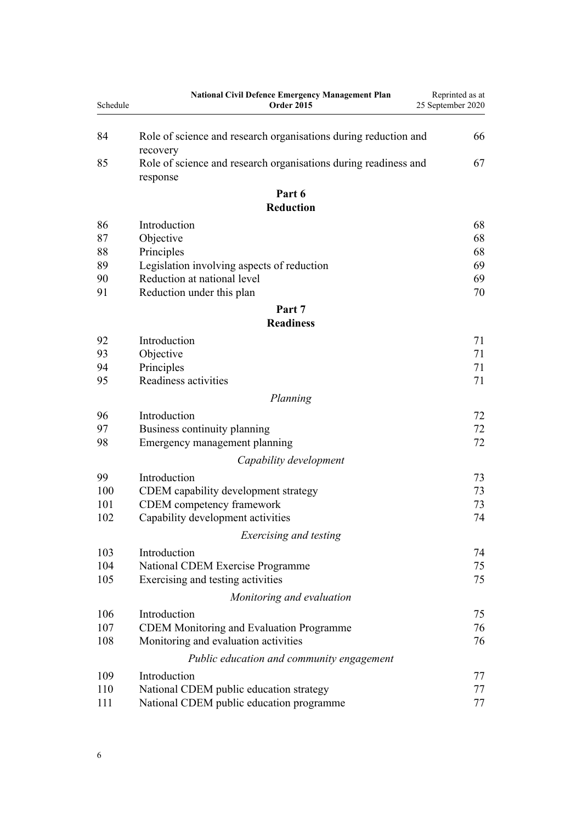| Schedule | <b>National Civil Defence Emergency Management Plan</b><br><b>Order 2015</b>            | Reprinted as at<br>25 September 2020 |
|----------|-----------------------------------------------------------------------------------------|--------------------------------------|
|          |                                                                                         |                                      |
| 84       | Role of science and research organisations during reduction and<br>recovery             | 66                                   |
| 85       | Role of science and research organisations during readiness and                         | 67                                   |
|          | response                                                                                |                                      |
|          | Part 6                                                                                  |                                      |
|          | <b>Reduction</b>                                                                        |                                      |
| 86       | Introduction                                                                            | 68                                   |
| 87       | Objective                                                                               | 68                                   |
| 88       | Principles                                                                              | 68                                   |
| 89       | Legislation involving aspects of reduction                                              | 69                                   |
| 90       | Reduction at national level                                                             | 69                                   |
| 91       | Reduction under this plan                                                               | 70                                   |
|          | Part 7                                                                                  |                                      |
|          | <b>Readiness</b>                                                                        |                                      |
| 92       | Introduction                                                                            | 71                                   |
| 93       | Objective                                                                               | 71                                   |
| 94       | Principles                                                                              | 71                                   |
| 95       | Readiness activities                                                                    | 71                                   |
|          | Planning                                                                                |                                      |
| 96       | Introduction                                                                            | 72                                   |
| 97       | Business continuity planning                                                            | 72                                   |
| 98       | Emergency management planning                                                           | 72                                   |
|          |                                                                                         |                                      |
|          | Capability development                                                                  |                                      |
| 99       | Introduction                                                                            | 73                                   |
| 100      | CDEM capability development strategy                                                    | 73                                   |
| 101      | CDEM competency framework                                                               | 73                                   |
| 102      | Capability development activities                                                       | 74                                   |
|          | Exercising and testing                                                                  |                                      |
| 103      | Introduction                                                                            | 74                                   |
| 104      | National CDEM Exercise Programme                                                        | 75                                   |
| 105      | Exercising and testing activities                                                       | 75                                   |
|          | Monitoring and evaluation                                                               |                                      |
| 106      | Introduction                                                                            | 75                                   |
| 107      |                                                                                         | 76                                   |
| 108      | <b>CDEM Monitoring and Evaluation Programme</b><br>Monitoring and evaluation activities | 76                                   |
|          |                                                                                         |                                      |
|          | Public education and community engagement                                               |                                      |
| 109      | Introduction                                                                            | 77                                   |
| 110      | National CDEM public education strategy                                                 | 77                                   |
| 111      | National CDEM public education programme                                                | 77                                   |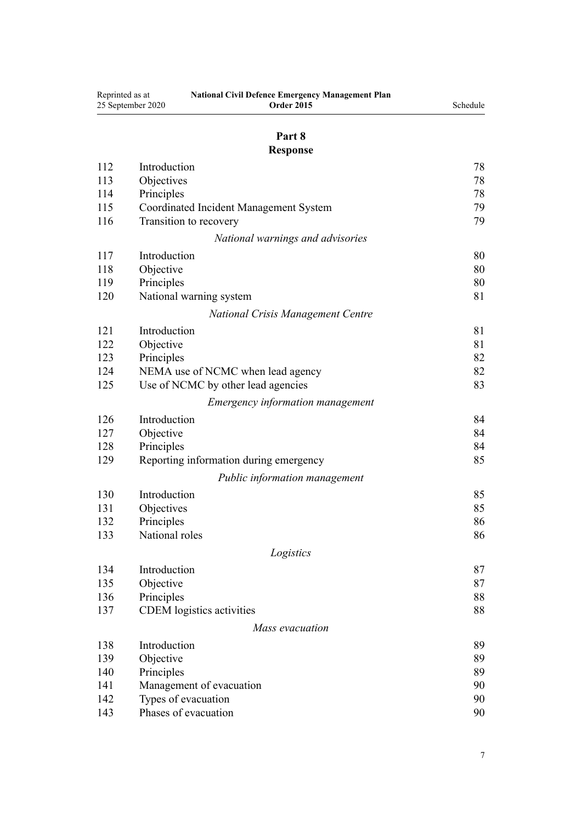| Reprinted as at | <b>National Civil Defence Emergency Management Plan</b><br>25 September 2020<br><b>Order 2015</b> | Schedule |
|-----------------|---------------------------------------------------------------------------------------------------|----------|
|                 | Part 8                                                                                            |          |
|                 | <b>Response</b>                                                                                   |          |
| 112             | Introduction                                                                                      | 78       |
| 113             | Objectives                                                                                        | 78       |
| 114             | Principles                                                                                        | 78       |
| 115             | Coordinated Incident Management System                                                            | 79       |
| 116             | Transition to recovery                                                                            | 79       |
|                 | National warnings and advisories                                                                  |          |
| 117             | Introduction                                                                                      | 80       |
| 118             | Objective                                                                                         | 80       |
| 119             | Principles                                                                                        | 80       |
| 120             | National warning system                                                                           | 81       |
|                 | <b>National Crisis Management Centre</b>                                                          |          |
| 121             | Introduction                                                                                      | 81       |
| 122             | Objective                                                                                         | 81       |
| 123             | Principles                                                                                        | 82       |
| 124             | NEMA use of NCMC when lead agency                                                                 | 82       |
| 125             | Use of NCMC by other lead agencies                                                                | 83       |
|                 | <i>Emergency information management</i>                                                           |          |
| 126             | Introduction                                                                                      | 84       |
| 127             | Objective                                                                                         | 84       |
| 128             | Principles                                                                                        | 84       |
| 129             | Reporting information during emergency                                                            | 85       |
|                 | Public information management                                                                     |          |
| 130             | Introduction                                                                                      | 85       |
| 131             | Objectives                                                                                        | 85       |
| 132             | Principles                                                                                        | 86       |
| 133             | National roles                                                                                    | 86       |
|                 | Logistics                                                                                         |          |
| 134             | Introduction                                                                                      | 87       |
| 135             | Objective                                                                                         | 87       |
| 136             | Principles                                                                                        | 88       |
| 137             | <b>CDEM</b> logistics activities                                                                  | 88       |
|                 | Mass evacuation                                                                                   |          |
| 138             | Introduction                                                                                      | 89       |
| 139             | Objective                                                                                         | 89       |
| 140             | Principles                                                                                        | 89       |
| 141             | Management of evacuation                                                                          | 90       |
| 142             | Types of evacuation                                                                               | 90       |
| 143             | Phases of evacuation                                                                              | 90       |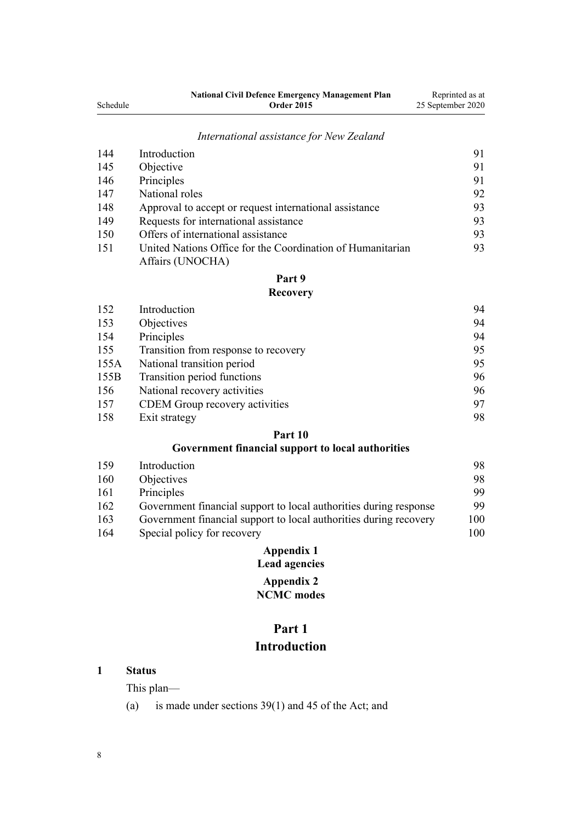<span id="page-7-0"></span>

|          | <b>National Civil Defence Emergency Management Plan</b> | Reprinted as at   |
|----------|---------------------------------------------------------|-------------------|
| Schedule | <b>Order 2015</b>                                       | 25 September 2020 |

## *[International assistance for New Zealand](#page-90-0)*

| 144 | Introduction                                               | 91 |
|-----|------------------------------------------------------------|----|
| 145 | Objective                                                  | 91 |
| 146 | Principles                                                 | 91 |
| 147 | National roles                                             | 92 |
| 148 | Approval to accept or request international assistance     | 93 |
| 149 | Requests for international assistance                      | 93 |
| 150 | Offers of international assistance                         | 93 |
| 151 | United Nations Office for the Coordination of Humanitarian | 93 |
|     | Affairs (UNOCHA)                                           |    |

## **[Part 9](#page-93-0)**

#### **[Recovery](#page-93-0)**

| 152  | Introduction                          | 94 |
|------|---------------------------------------|----|
| 153  | Objectives                            | 94 |
| 154  | Principles                            | 94 |
| 155  | Transition from response to recovery  | 95 |
| 155A | National transition period            | 95 |
| 155B | Transition period functions           | 96 |
| 156  | National recovery activities          | 96 |
| 157  | <b>CDEM</b> Group recovery activities | 97 |
| 158  | Exit strategy                         | 98 |

### **[Part 10](#page-97-0)**

## **[Government financial support to local authorities](#page-97-0)**

| 159 | Introduction                                                      | 98  |
|-----|-------------------------------------------------------------------|-----|
| 160 | Objectives                                                        | 98  |
| 161 | Principles                                                        | 99  |
| 162 | Government financial support to local authorities during response | 99  |
| 163 | Government financial support to local authorities during recovery | 100 |
| 164 | Special policy for recovery                                       | 100 |

## **[Appendix 1](#page-99-0) [Lead agencies](#page-99-0) [Appendix 2](#page-101-0) [NCMC modes](#page-101-0)**

# **Part 1**

## **Introduction**

**1 Status**

This plan—

(a) is made under [sections 39\(1\)](http://legislation.govt.nz/pdflink.aspx?id=DLM150739) and [45](http://legislation.govt.nz/pdflink.aspx?id=DLM150745) of the Act; and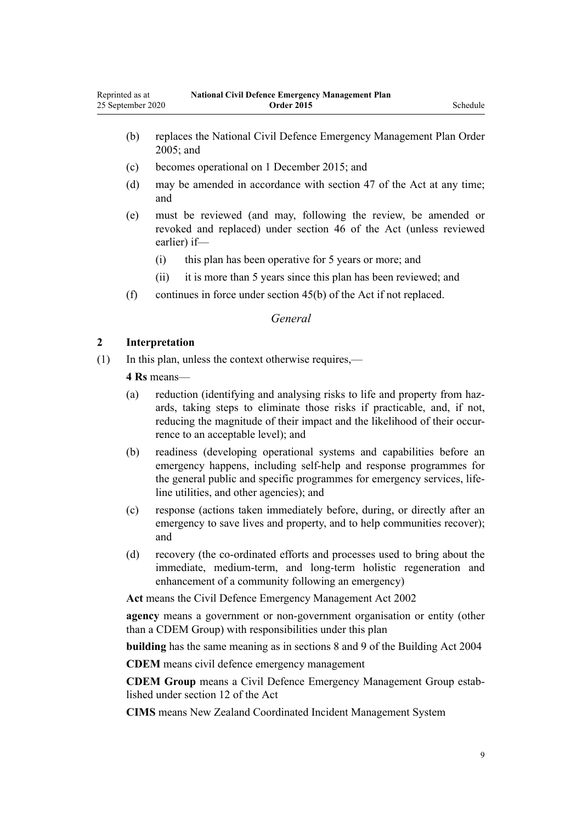- <span id="page-8-0"></span>(b) replaces the [National Civil Defence Emergency Management Plan Order](http://legislation.govt.nz/pdflink.aspx?id=DLM356568) [2005](http://legislation.govt.nz/pdflink.aspx?id=DLM356568); and
- (c) becomes operational on 1 December 2015; and
- (d) may be amended in accordance with [section 47](http://legislation.govt.nz/pdflink.aspx?id=DLM150748) of the Act at any time; and
- (e) must be reviewed (and may, following the review, be amended or revoked and replaced) under [section 46](http://legislation.govt.nz/pdflink.aspx?id=DLM150747) of the Act (unless reviewed earlier) if—
	- (i) this plan has been operative for 5 years or more; and
	- (ii) it is more than 5 years since this plan has been reviewed; and
- (f) continues in force under [section 45\(b\)](http://legislation.govt.nz/pdflink.aspx?id=DLM150745) of the Act if not replaced.

## *General*

#### **2 Interpretation**

(1) In this plan, unless the context otherwise requires,—

**4 Rs** means—

- (a) reduction (identifying and analysing risks to life and property from hazards, taking steps to eliminate those risks if practicable, and, if not, reducing the magnitude of their impact and the likelihood of their occurrence to an acceptable level); and
- (b) readiness (developing operational systems and capabilities before an emergency happens, including self-help and response programmes for the general public and specific programmes for emergency services, lifeline utilities, and other agencies); and
- (c) response (actions taken immediately before, during, or directly after an emergency to save lives and property, and to help communities recover); and
- (d) recovery (the co-ordinated efforts and processes used to bring about the immediate, medium-term, and long-term holistic regeneration and enhancement of a community following an emergency)

**Act** means the [Civil Defence Emergency Management Act 2002](http://legislation.govt.nz/pdflink.aspx?id=DLM149788)

**agency** means a government or non-government organisation or entity (other than a CDEM Group) with responsibilities under this plan

**building** has the same meaning as in [sections 8](http://legislation.govt.nz/pdflink.aspx?id=DLM306318) and [9](http://legislation.govt.nz/pdflink.aspx?id=DLM306321) of the Building Act 2004

**CDEM** means civil defence emergency management

**CDEM Group** means a Civil Defence Emergency Management Group established under [section 12](http://legislation.govt.nz/pdflink.aspx?id=DLM150596) of the Act

**CIMS** means New Zealand Coordinated Incident Management System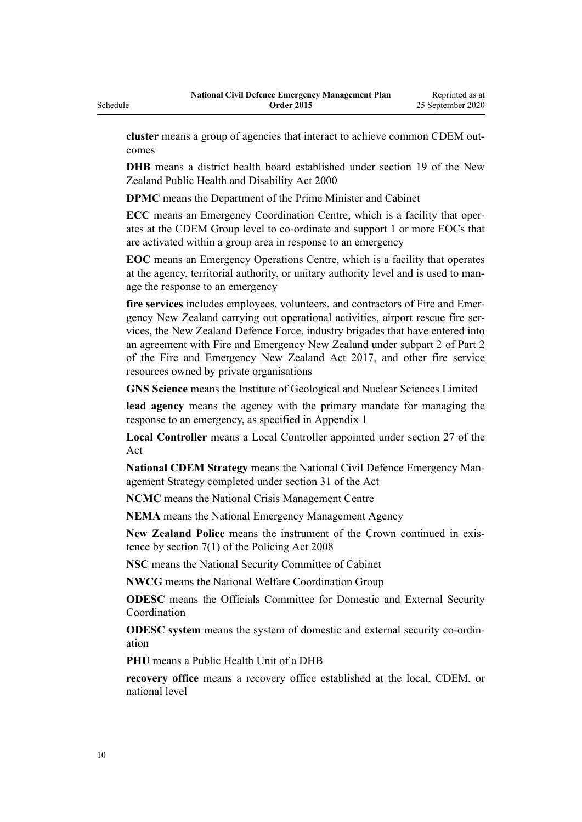Schedule

**cluster** means a group of agencies that interact to achieve common CDEM outcomes

**DHB** means a district health board established under [section 19](http://legislation.govt.nz/pdflink.aspx?id=DLM80802) of the New Zealand Public Health and Disability Act 2000

**DPMC** means the Department of the Prime Minister and Cabinet

**ECC** means an Emergency Coordination Centre, which is a facility that operates at the CDEM Group level to co-ordinate and support 1 or more EOCs that are activated within a group area in response to an emergency

**EOC** means an Emergency Operations Centre, which is a facility that operates at the agency, territorial authority, or unitary authority level and is used to manage the response to an emergency

**fire services** includes employees, volunteers, and contractors of Fire and Emergency New Zealand carrying out operational activities, airport rescue fire services, the New Zealand Defence Force, industry brigades that have entered into an agreement with Fire and Emergency New Zealand under [subpart 2](http://legislation.govt.nz/pdflink.aspx?id=DLM6888247) of Part 2 of the Fire and Emergency New Zealand Act 2017, and other fire service resources owned by private organisations

**GNS Science** means the Institute of Geological and Nuclear Sciences Limited

**lead agency** means the agency with the primary mandate for managing the response to an emergency, as specified in Appendix 1

**Local Controller** means a Local Controller appointed under [section 27](http://legislation.govt.nz/pdflink.aspx?id=DLM150722) of the Act

**National CDEM Strategy** means the National Civil Defence Emergency Management Strategy completed under [section 31](http://legislation.govt.nz/pdflink.aspx?id=DLM150729) of the Act

**NCMC** means the National Crisis Management Centre

**NEMA** means the National Emergency Management Agency

**New Zealand Police** means the instrument of the Crown continued in existence by [section 7\(1\)](http://legislation.govt.nz/pdflink.aspx?id=DLM1102185) of the Policing Act 2008

**NSC** means the National Security Committee of Cabinet

**NWCG** means the National Welfare Coordination Group

**ODESC** means the Officials Committee for Domestic and External Security Coordination

**ODESC system** means the system of domestic and external security co-ordination

**PHU** means a Public Health Unit of a DHB

**recovery office** means a recovery office established at the local, CDEM, or national level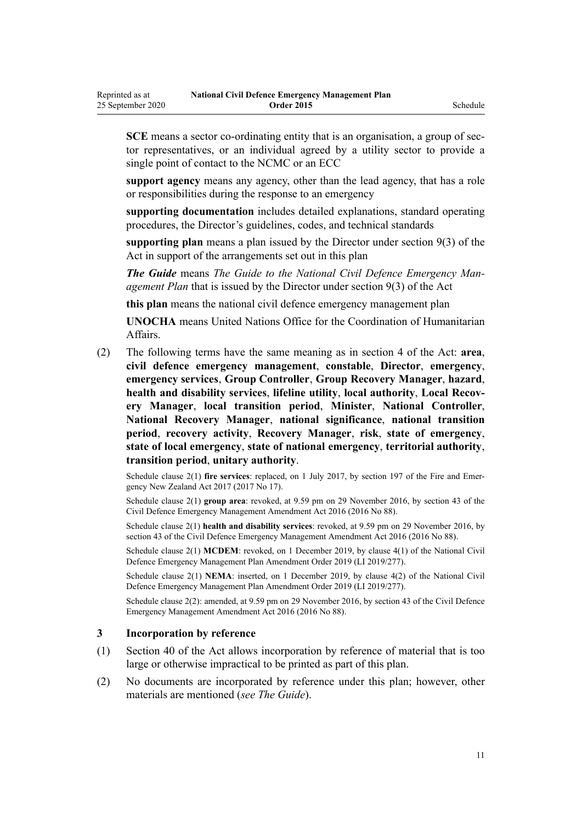<span id="page-10-0"></span>**SCE** means a sector co-ordinating entity that is an organisation, a group of sector representatives, or an individual agreed by a utility sector to provide a single point of contact to the NCMC or an ECC

**support agency** means any agency, other than the lead agency, that has a role or responsibilities during the response to an emergency

**supporting documentation** includes detailed explanations, standard operating procedures, the Director's guidelines, codes, and technical standards

**supporting plan** means a plan issued by the Director under [section 9\(3\)](http://legislation.govt.nz/pdflink.aspx?id=DLM150591) of the Act in support of the arrangements set out in this plan

*The Guide* means *The Guide to the National Civil Defence Emergency Management Plan* that is issued by the Director under [section 9\(3\)](http://legislation.govt.nz/pdflink.aspx?id=DLM150591) of the Act

**this plan** means the national civil defence emergency management plan

**UNOCHA** means United Nations Office for the Coordination of Humanitarian Affairs.

(2) The following terms have the same meaning as in [section 4](http://legislation.govt.nz/pdflink.aspx?id=DLM149796) of the Act: **area**, **civil defence emergency management**, **constable**, **Director**, **emergency**, **emergency services**, **Group Controller**, **Group Recovery Manager**, **hazard**, **health and disability services**, **lifeline utility**, **local authority**, **Local Recovery Manager**, **local transition period**, **Minister**, **National Controller**, **National Recovery Manager**, **national significance**, **national transition period**, **recovery activity**, **Recovery Manager**, **risk**, **state of emergency**, **state of local emergency**, **state of national emergency**, **territorial authority**, **transition period**, **unitary authority**.

Schedule clause 2(1) **fire services**: replaced, on 1 July 2017, by [section 197](http://legislation.govt.nz/pdflink.aspx?id=DLM6678752) of the Fire and Emergency New Zealand Act 2017 (2017 No 17).

Schedule clause 2(1) **group area**: revoked, at 9.59 pm on 29 November 2016, by [section 43](http://legislation.govt.nz/pdflink.aspx?id=DLM6928006) of the Civil Defence Emergency Management Amendment Act 2016 (2016 No 88).

Schedule clause 2(1) **health and disability services**: revoked, at 9.59 pm on 29 November 2016, by [section 43](http://legislation.govt.nz/pdflink.aspx?id=DLM6928006) of the Civil Defence Emergency Management Amendment Act 2016 (2016 No 88).

Schedule clause 2(1) **MCDEM**: revoked, on 1 December 2019, by [clause 4\(1\)](http://legislation.govt.nz/pdflink.aspx?id=LMS284018) of the National Civil Defence Emergency Management Plan Amendment Order 2019 (LI 2019/277).

Schedule clause 2(1) **NEMA**: inserted, on 1 December 2019, by [clause 4\(2\)](http://legislation.govt.nz/pdflink.aspx?id=LMS284018) of the National Civil Defence Emergency Management Plan Amendment Order 2019 (LI 2019/277).

Schedule clause 2(2): amended, at 9.59 pm on 29 November 2016, by [section 43](http://legislation.govt.nz/pdflink.aspx?id=DLM6928006) of the Civil Defence Emergency Management Amendment Act 2016 (2016 No 88).

#### **3 Incorporation by reference**

- (1) [Section 40](http://legislation.govt.nz/pdflink.aspx?id=DLM150740) of the Act allows incorporation by reference of material that is too large or otherwise impractical to be printed as part of this plan.
- (2) No documents are incorporated by reference under this plan; however, other materials are mentioned (*see The Guide*).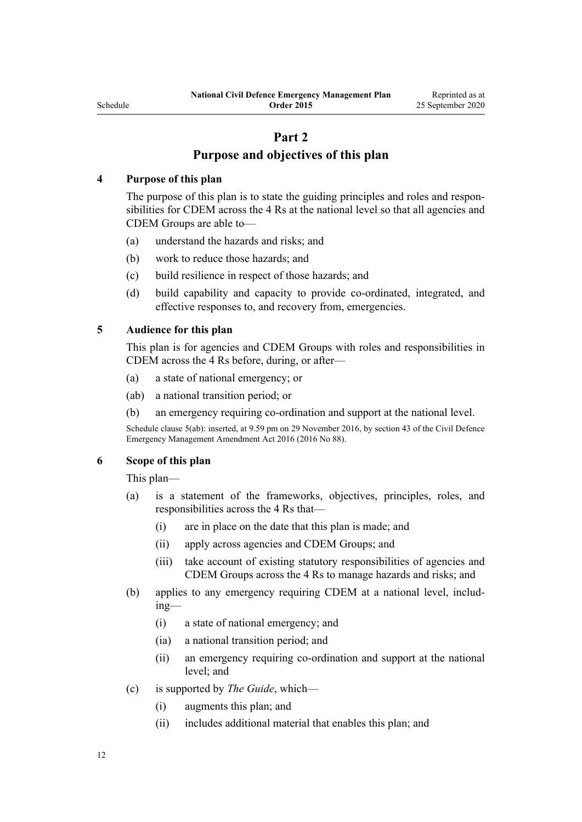#### <span id="page-11-0"></span>Schedule

## **Part 2 Purpose and objectives of this plan**

#### **4 Purpose of this plan**

The purpose of this plan is to state the guiding principles and roles and responsibilities for CDEM across the 4 Rs at the national level so that all agencies and CDEM Groups are able to—

- (a) understand the hazards and risks; and
- (b) work to reduce those hazards; and
- (c) build resilience in respect of those hazards; and
- (d) build capability and capacity to provide co-ordinated, integrated, and effective responses to, and recovery from, emergencies.

#### **5 Audience for this plan**

This plan is for agencies and CDEM Groups with roles and responsibilities in CDEM across the 4 Rs before, during, or after—

- (a) a state of national emergency; or
- (ab) a national transition period; or
- (b) an emergency requiring co-ordination and support at the national level.

Schedule clause 5(ab): inserted, at 9.59 pm on 29 November 2016, by [section 43](http://legislation.govt.nz/pdflink.aspx?id=DLM6928006) of the Civil Defence Emergency Management Amendment Act 2016 (2016 No 88).

### **6 Scope of this plan**

This plan—

- (a) is a statement of the frameworks, objectives, principles, roles, and responsibilities across the 4 Rs that—
	- (i) are in place on the date that this plan is made; and
	- (ii) apply across agencies and CDEM Groups; and
	- (iii) take account of existing statutory responsibilities of agencies and CDEM Groups across the 4 Rs to manage hazards and risks; and
- (b) applies to any emergency requiring CDEM at a national level, including—
	- (i) a state of national emergency; and
	- (ia) a national transition period; and
	- (ii) an emergency requiring co-ordination and support at the national level; and
- (c) is supported by *The Guide*, which—
	- (i) augments this plan; and
	- (ii) includes additional material that enables this plan; and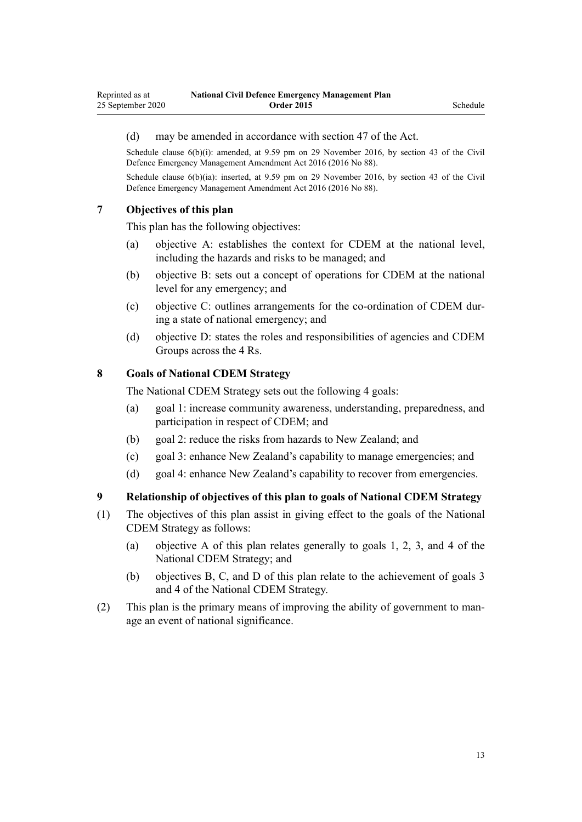#### <span id="page-12-0"></span>(d) may be amended in accordance with [section 47](http://legislation.govt.nz/pdflink.aspx?id=DLM150748) of the Act.

Schedule clause 6(b)(i): amended, at 9.59 pm on 29 November 2016, by [section 43](http://legislation.govt.nz/pdflink.aspx?id=DLM6928006) of the Civil Defence Emergency Management Amendment Act 2016 (2016 No 88).

Schedule clause 6(b)(ia): inserted, at 9.59 pm on 29 November 2016, by [section 43](http://legislation.govt.nz/pdflink.aspx?id=DLM6928006) of the Civil Defence Emergency Management Amendment Act 2016 (2016 No 88).

#### **7 Objectives of this plan**

This plan has the following objectives:

- (a) objective A: establishes the context for CDEM at the national level, including the hazards and risks to be managed; and
- (b) objective B: sets out a concept of operations for CDEM at the national level for any emergency; and
- (c) objective C: outlines arrangements for the co-ordination of CDEM during a state of national emergency; and
- (d) objective D: states the roles and responsibilities of agencies and CDEM Groups across the 4 Rs.

#### **8 Goals of National CDEM Strategy**

The National CDEM Strategy sets out the following 4 goals:

- (a) goal 1: increase community awareness, understanding, preparedness, and participation in respect of CDEM; and
- (b) goal 2: reduce the risks from hazards to New Zealand; and
- (c) goal 3: enhance New Zealand's capability to manage emergencies; and
- (d) goal 4: enhance New Zealand's capability to recover from emergencies.

#### **9 Relationship of objectives of this plan to goals of National CDEM Strategy**

- (1) The objectives of this plan assist in giving effect to the goals of the National CDEM Strategy as follows:
	- (a) objective A of this plan relates generally to goals 1, 2, 3, and 4 of the National CDEM Strategy; and
	- (b) objectives B, C, and D of this plan relate to the achievement of goals 3 and 4 of the National CDEM Strategy.
- (2) This plan is the primary means of improving the ability of government to manage an event of national significance.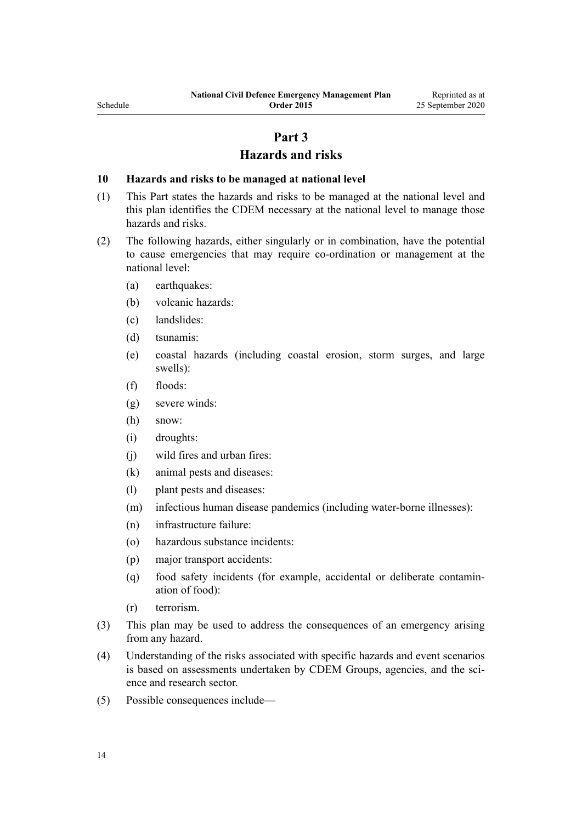Reprinted as at 25 September 2020

## **Part 3**

#### **Hazards and risks**

#### <span id="page-13-0"></span>**10 Hazards and risks to be managed at national level**

- (1) This Part states the hazards and risks to be managed at the national level and this plan identifies the CDEM necessary at the national level to manage those hazards and risks.
- (2) The following hazards, either singularly or in combination, have the potential to cause emergencies that may require co-ordination or management at the national level:
	- (a) earthquakes:
	- (b) volcanic hazards:
	- (c) landslides:
	- (d) tsunamis:
	- (e) coastal hazards (including coastal erosion, storm surges, and large swells):
	- (f) floods:
	- (g) severe winds:
	- (h) snow:
	- (i) droughts:
	- (j) wild fires and urban fires:
	- (k) animal pests and diseases:
	- (l) plant pests and diseases:
	- (m) infectious human disease pandemics (including water-borne illnesses):
	- (n) infrastructure failure:
	- (o) hazardous substance incidents:
	- (p) major transport accidents:
	- (q) food safety incidents (for example, accidental or deliberate contamination of food):
	- (r) terrorism.
- (3) This plan may be used to address the consequences of an emergency arising from any hazard.
- (4) Understanding of the risks associated with specific hazards and event scenarios is based on assessments undertaken by CDEM Groups, agencies, and the science and research sector.
- (5) Possible consequences include—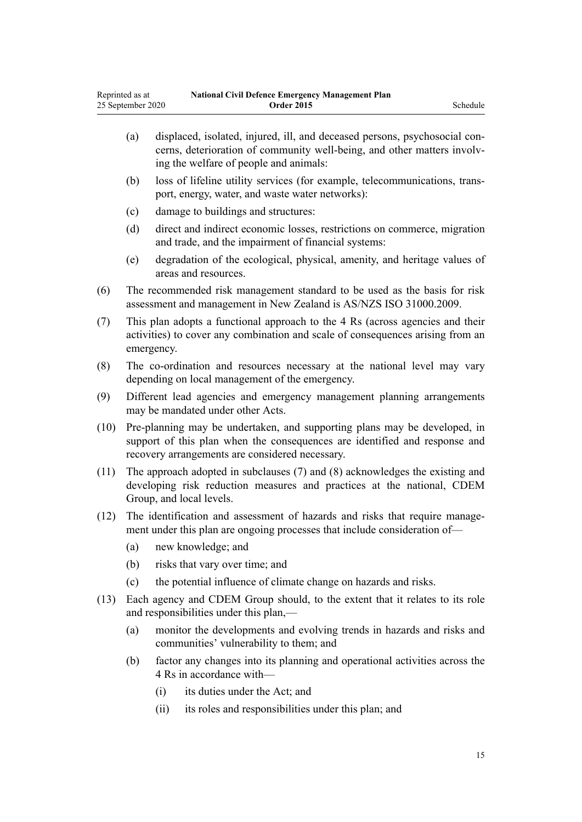- (a) displaced, isolated, injured, ill, and deceased persons, psychosocial concerns, deterioration of community well-being, and other matters involving the welfare of people and animals:
- (b) loss of lifeline utility services (for example, telecommunications, transport, energy, water, and waste water networks):
- (c) damage to buildings and structures:
- (d) direct and indirect economic losses, restrictions on commerce, migration and trade, and the impairment of financial systems:
- (e) degradation of the ecological, physical, amenity, and heritage values of areas and resources.
- (6) The recommended risk management standard to be used as the basis for risk assessment and management in New Zealand is AS/NZS ISO 31000.2009.
- (7) This plan adopts a functional approach to the 4 Rs (across agencies and their activities) to cover any combination and scale of consequences arising from an emergency.
- (8) The co-ordination and resources necessary at the national level may vary depending on local management of the emergency.
- (9) Different lead agencies and emergency management planning arrangements may be mandated under other Acts.
- (10) Pre-planning may be undertaken, and supporting plans may be developed, in support of this plan when the consequences are identified and response and recovery arrangements are considered necessary.
- (11) The approach adopted in subclauses (7) and (8) acknowledges the existing and developing risk reduction measures and practices at the national, CDEM Group, and local levels.
- (12) The identification and assessment of hazards and risks that require management under this plan are ongoing processes that include consideration of—
	- (a) new knowledge; and
	- (b) risks that vary over time; and
	- (c) the potential influence of climate change on hazards and risks.
- (13) Each agency and CDEM Group should, to the extent that it relates to its role and responsibilities under this plan,—
	- (a) monitor the developments and evolving trends in hazards and risks and communities' vulnerability to them; and
	- (b) factor any changes into its planning and operational activities across the 4 Rs in accordance with—
		- (i) its duties under the Act; and
		- (ii) its roles and responsibilities under this plan; and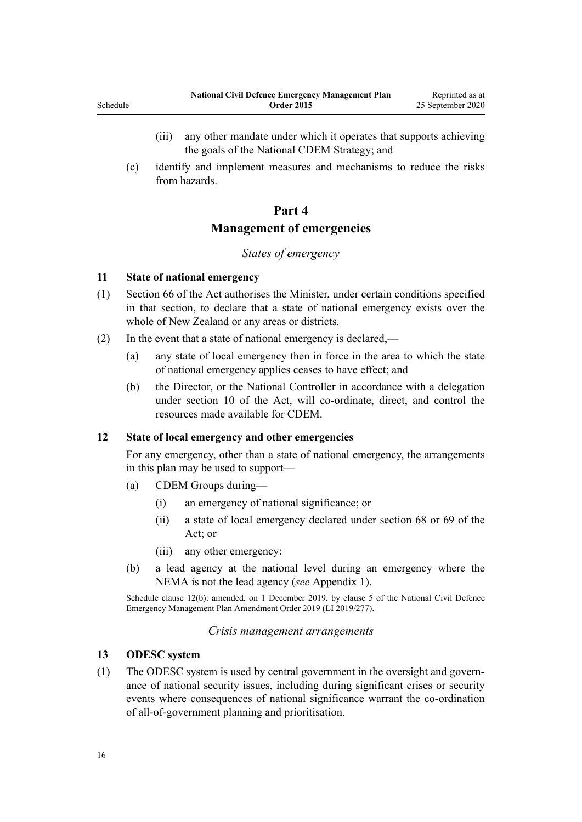- <span id="page-15-0"></span>(iii) any other mandate under which it operates that supports achieving the goals of the National CDEM Strategy; and
- (c) identify and implement measures and mechanisms to reduce the risks from hazards.

### **Part 4**

## **Management of emergencies**

## *States of emergency*

#### **11 State of national emergency**

- (1) [Section 66](http://legislation.govt.nz/pdflink.aspx?id=DLM150776) of the Act authorises the Minister, under certain conditions specified in that section, to declare that a state of national emergency exists over the whole of New Zealand or any areas or districts.
- (2) In the event that a state of national emergency is declared,—
	- (a) any state of local emergency then in force in the area to which the state of national emergency applies ceases to have effect; and
	- (b) the Director, or the National Controller in accordance with a delegation under [section 10](http://legislation.govt.nz/pdflink.aspx?id=DLM150593) of the Act, will co-ordinate, direct, and control the resources made available for CDEM.

#### **12 State of local emergency and other emergencies**

For any emergency, other than a state of national emergency, the arrangements in this plan may be used to support—

- (a) CDEM Groups during—
	- (i) an emergency of national significance; or
	- (ii) a state of local emergency declared under [section 68](http://legislation.govt.nz/pdflink.aspx?id=DLM150779) or [69](http://legislation.govt.nz/pdflink.aspx?id=DLM150780) of the Act; or
	- (iii) any other emergency:
- (b) a lead agency at the national level during an emergency where the NEMA is not the lead agency (*see* Appendix 1).

Schedule clause 12(b): amended, on 1 December 2019, by [clause 5](http://legislation.govt.nz/pdflink.aspx?id=LMS284019) of the National Civil Defence Emergency Management Plan Amendment Order 2019 (LI 2019/277).

#### *Crisis management arrangements*

#### **13 ODESC system**

(1) The ODESC system is used by central government in the oversight and governance of national security issues, including during significant crises or security events where consequences of national significance warrant the co-ordination of all-of-government planning and prioritisation.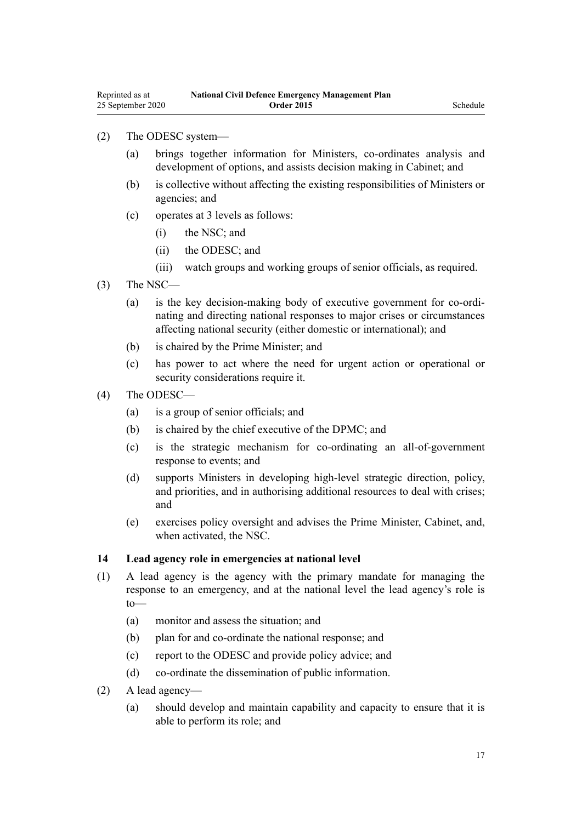#### <span id="page-16-0"></span>(2) The ODESC system—

- (a) brings together information for Ministers, co-ordinates analysis and development of options, and assists decision making in Cabinet; and
- (b) is collective without affecting the existing responsibilities of Ministers or agencies; and
- (c) operates at 3 levels as follows:
	- (i) the NSC; and
	- (ii) the ODESC; and
	- (iii) watch groups and working groups of senior officials, as required.
- (3) The NSC—
	- (a) is the key decision-making body of executive government for co-ordinating and directing national responses to major crises or circumstances affecting national security (either domestic or international); and
	- (b) is chaired by the Prime Minister; and
	- (c) has power to act where the need for urgent action or operational or security considerations require it.
- (4) The ODESC—
	- (a) is a group of senior officials; and
	- (b) is chaired by the chief executive of the DPMC; and
	- (c) is the strategic mechanism for co-ordinating an all-of-government response to events; and
	- (d) supports Ministers in developing high-level strategic direction, policy, and priorities, and in authorising additional resources to deal with crises; and
	- (e) exercises policy oversight and advises the Prime Minister, Cabinet, and, when activated, the NSC.

#### **14 Lead agency role in emergencies at national level**

- (1) A lead agency is the agency with the primary mandate for managing the response to an emergency, and at the national level the lead agency's role is to—
	- (a) monitor and assess the situation; and
	- (b) plan for and co-ordinate the national response; and
	- (c) report to the ODESC and provide policy advice; and
	- (d) co-ordinate the dissemination of public information.
- (2) A lead agency—
	- (a) should develop and maintain capability and capacity to ensure that it is able to perform its role; and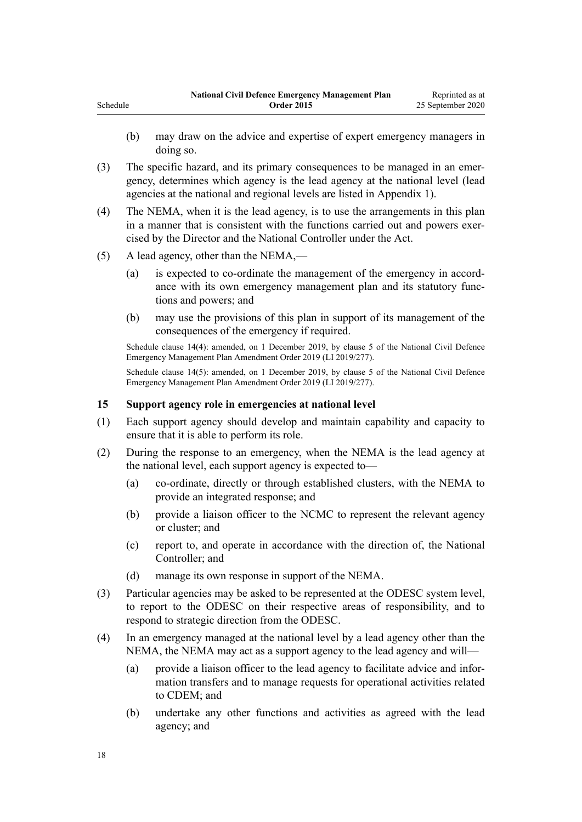- <span id="page-17-0"></span>(b) may draw on the advice and expertise of expert emergency managers in doing so.
- (3) The specific hazard, and its primary consequences to be managed in an emergency, determines which agency is the lead agency at the national level (lead agencies at the national and regional levels are listed in Appendix 1).
- (4) The NEMA, when it is the lead agency, is to use the arrangements in this plan in a manner that is consistent with the functions carried out and powers exercised by the Director and the National Controller under the Act.
- (5) A lead agency, other than the NEMA,—
	- (a) is expected to co-ordinate the management of the emergency in accordance with its own emergency management plan and its statutory functions and powers; and
	- (b) may use the provisions of this plan in support of its management of the consequences of the emergency if required.

Schedule clause 14(4): amended, on 1 December 2019, by [clause 5](http://legislation.govt.nz/pdflink.aspx?id=LMS284019) of the National Civil Defence Emergency Management Plan Amendment Order 2019 (LI 2019/277).

Schedule clause 14(5): amended, on 1 December 2019, by [clause 5](http://legislation.govt.nz/pdflink.aspx?id=LMS284019) of the National Civil Defence Emergency Management Plan Amendment Order 2019 (LI 2019/277).

#### **15 Support agency role in emergencies at national level**

- (1) Each support agency should develop and maintain capability and capacity to ensure that it is able to perform its role.
- (2) During the response to an emergency, when the NEMA is the lead agency at the national level, each support agency is expected to—
	- (a) co-ordinate, directly or through established clusters, with the NEMA to provide an integrated response; and
	- (b) provide a liaison officer to the NCMC to represent the relevant agency or cluster; and
	- (c) report to, and operate in accordance with the direction of, the National Controller; and
	- (d) manage its own response in support of the NEMA.
- (3) Particular agencies may be asked to be represented at the ODESC system level, to report to the ODESC on their respective areas of responsibility, and to respond to strategic direction from the ODESC.
- (4) In an emergency managed at the national level by a lead agency other than the NEMA, the NEMA may act as a support agency to the lead agency and will—
	- (a) provide a liaison officer to the lead agency to facilitate advice and information transfers and to manage requests for operational activities related to CDEM; and
	- (b) undertake any other functions and activities as agreed with the lead agency; and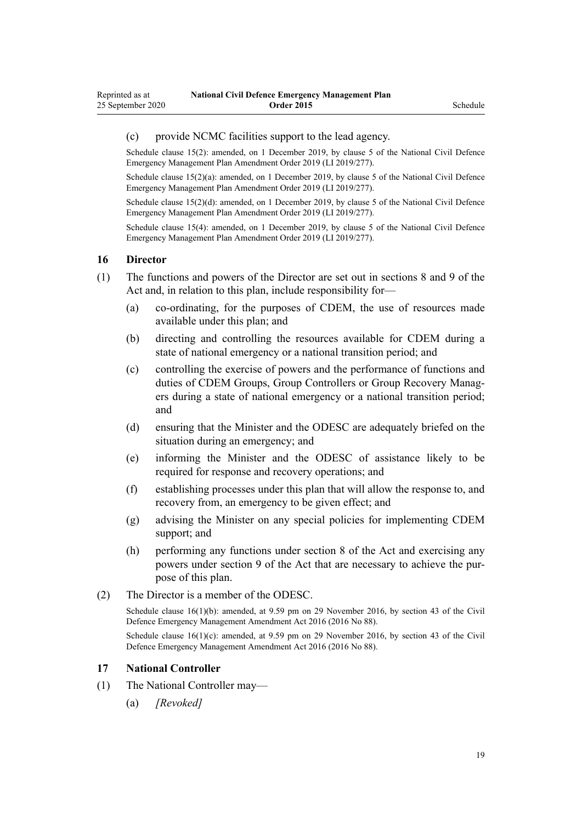#### <span id="page-18-0"></span>(c) provide NCMC facilities support to the lead agency.

Schedule clause 15(2): amended, on 1 December 2019, by [clause 5](http://legislation.govt.nz/pdflink.aspx?id=LMS284019) of the National Civil Defence Emergency Management Plan Amendment Order 2019 (LI 2019/277).

Schedule clause 15(2)(a): amended, on 1 December 2019, by [clause 5](http://legislation.govt.nz/pdflink.aspx?id=LMS284019) of the National Civil Defence Emergency Management Plan Amendment Order 2019 (LI 2019/277).

Schedule clause 15(2)(d): amended, on 1 December 2019, by [clause 5](http://legislation.govt.nz/pdflink.aspx?id=LMS284019) of the National Civil Defence Emergency Management Plan Amendment Order 2019 (LI 2019/277).

Schedule clause 15(4): amended, on 1 December 2019, by [clause 5](http://legislation.govt.nz/pdflink.aspx?id=LMS284019) of the National Civil Defence Emergency Management Plan Amendment Order 2019 (LI 2019/277).

#### **16 Director**

- (1) The functions and powers of the Director are set out in [sections 8](http://legislation.govt.nz/pdflink.aspx?id=DLM150590) and [9](http://legislation.govt.nz/pdflink.aspx?id=DLM150591) of the Act and, in relation to this plan, include responsibility for—
	- (a) co-ordinating, for the purposes of CDEM, the use of resources made available under this plan; and
	- (b) directing and controlling the resources available for CDEM during a state of national emergency or a national transition period; and
	- (c) controlling the exercise of powers and the performance of functions and duties of CDEM Groups, Group Controllers or Group Recovery Managers during a state of national emergency or a national transition period; and
	- (d) ensuring that the Minister and the ODESC are adequately briefed on the situation during an emergency; and
	- (e) informing the Minister and the ODESC of assistance likely to be required for response and recovery operations; and
	- (f) establishing processes under this plan that will allow the response to, and recovery from, an emergency to be given effect; and
	- (g) advising the Minister on any special policies for implementing CDEM support; and
	- (h) performing any functions under [section 8](http://legislation.govt.nz/pdflink.aspx?id=DLM150590) of the Act and exercising any powers under [section 9](http://legislation.govt.nz/pdflink.aspx?id=DLM150591) of the Act that are necessary to achieve the purpose of this plan.
- (2) The Director is a member of the ODESC.

Schedule clause 16(1)(b): amended, at 9.59 pm on 29 November 2016, by [section 43](http://legislation.govt.nz/pdflink.aspx?id=DLM6928006) of the Civil Defence Emergency Management Amendment Act 2016 (2016 No 88).

Schedule clause  $16(1)(c)$ : amended, at 9.59 pm on 29 November 2016, by [section 43](http://legislation.govt.nz/pdflink.aspx?id=DLM6928006) of the Civil Defence Emergency Management Amendment Act 2016 (2016 No 88).

#### **17 National Controller**

- (1) The National Controller may—
	- (a) *[Revoked]*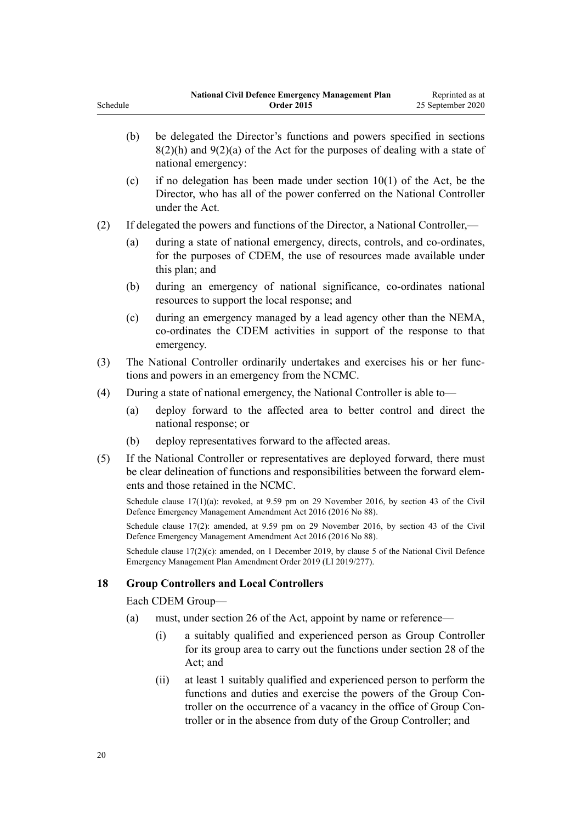<span id="page-19-0"></span>(b) be delegated the Director's functions and powers specified in [sections](http://legislation.govt.nz/pdflink.aspx?id=DLM150590)  $8(2)(h)$  and  $9(2)(a)$  of the Act for the purposes of dealing with a state of national emergency: (c) if no delegation has been made under section  $10(1)$  of the Act, be the Director, who has all of the power conferred on the National Controller under the Act. (2) If delegated the powers and functions of the Director, a National Controller,— (a) during a state of national emergency, directs, controls, and co-ordinates, for the purposes of CDEM, the use of resources made available under this plan; and (b) during an emergency of national significance, co-ordinates national resources to support the local response; and (c) during an emergency managed by a lead agency other than the NEMA, co-ordinates the CDEM activities in support of the response to that emergency. (3) The National Controller ordinarily undertakes and exercises his or her functions and powers in an emergency from the NCMC. (4) During a state of national emergency, the National Controller is able to— (a) deploy forward to the affected area to better control and direct the national response; or (b) deploy representatives forward to the affected areas. (5) If the National Controller or representatives are deployed forward, there must be clear delineation of functions and responsibilities between the forward elements and those retained in the NCMC. Schedule clause 17(1)(a): revoked, at 9.59 pm on 29 November 2016, by [section 43](http://legislation.govt.nz/pdflink.aspx?id=DLM6928006) of the Civil Defence Emergency Management Amendment Act 2016 (2016 No 88).

Schedule clause 17(2): amended, at 9.59 pm on 29 November 2016, by [section 43](http://legislation.govt.nz/pdflink.aspx?id=DLM6928006) of the Civil Defence Emergency Management Amendment Act 2016 (2016 No 88).

Schedule clause 17(2)(c): amended, on 1 December 2019, by [clause 5](http://legislation.govt.nz/pdflink.aspx?id=LMS284019) of the National Civil Defence Emergency Management Plan Amendment Order 2019 (LI 2019/277).

#### **18 Group Controllers and Local Controllers**

Each CDEM Group—

- (a) must, under [section 26](http://legislation.govt.nz/pdflink.aspx?id=DLM150721) of the Act, appoint by name or reference—
	- (i) a suitably qualified and experienced person as Group Controller for its group area to carry out the functions under [section 28](http://legislation.govt.nz/pdflink.aspx?id=DLM150723) of the Act; and
	- (ii) at least 1 suitably qualified and experienced person to perform the functions and duties and exercise the powers of the Group Controller on the occurrence of a vacancy in the office of Group Controller or in the absence from duty of the Group Controller; and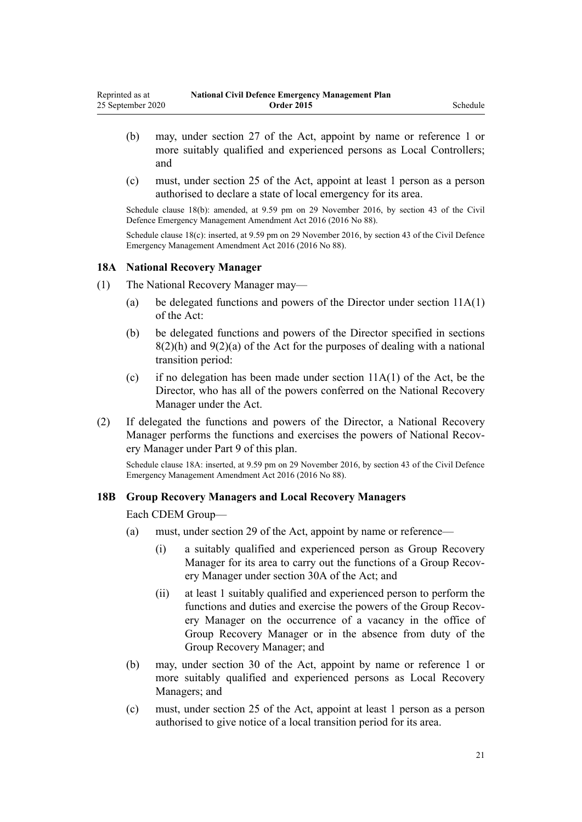- <span id="page-20-0"></span>(b) may, under [section 27](http://legislation.govt.nz/pdflink.aspx?id=DLM150722) of the Act, appoint by name or reference 1 or more suitably qualified and experienced persons as Local Controllers; and
- (c) must, under [section 25](http://legislation.govt.nz/pdflink.aspx?id=DLM150719) of the Act, appoint at least 1 person as a person authorised to declare a state of local emergency for its area.

Schedule clause 18(b): amended, at 9.59 pm on 29 November 2016, by [section 43](http://legislation.govt.nz/pdflink.aspx?id=DLM6928006) of the Civil Defence Emergency Management Amendment Act 2016 (2016 No 88).

Schedule clause 18(c): inserted, at 9.59 pm on 29 November 2016, by [section 43](http://legislation.govt.nz/pdflink.aspx?id=DLM6928006) of the Civil Defence Emergency Management Amendment Act 2016 (2016 No 88).

#### **18A National Recovery Manager**

- (1) The National Recovery Manager may—
	- (a) be delegated functions and powers of the Director under [section 11A\(1\)](http://legislation.govt.nz/pdflink.aspx?id=DLM7053502) of the Act:
	- (b) be delegated functions and powers of the Director specified in [sections](http://legislation.govt.nz/pdflink.aspx?id=DLM150590)  $8(2)(h)$  and  $9(2)(a)$  of the Act for the purposes of dealing with a national transition period:
	- (c) if no delegation has been made under section  $11A(1)$  of the Act, be the Director, who has all of the powers conferred on the National Recovery Manager under the Act.
- (2) If delegated the functions and powers of the Director, a National Recovery Manager performs the functions and exercises the powers of National Recovery Manager under [Part 9](#page-93-0) of this plan.

Schedule clause 18A: inserted, at 9.59 pm on 29 November 2016, by [section 43](http://legislation.govt.nz/pdflink.aspx?id=DLM6928006) of the Civil Defence Emergency Management Amendment Act 2016 (2016 No 88).

#### **18B Group Recovery Managers and Local Recovery Managers**

Each CDEM Group—

- (a) must, under [section 29](http://legislation.govt.nz/pdflink.aspx?id=DLM150725) of the Act, appoint by name or reference—
	- (i) a suitably qualified and experienced person as Group Recovery Manager for its area to carry out the functions of a Group Recovery Manager under [section 30A](http://legislation.govt.nz/pdflink.aspx?id=DLM7053530) of the Act; and
	- (ii) at least 1 suitably qualified and experienced person to perform the functions and duties and exercise the powers of the Group Recovery Manager on the occurrence of a vacancy in the office of Group Recovery Manager or in the absence from duty of the Group Recovery Manager; and
- (b) may, under [section 30](http://legislation.govt.nz/pdflink.aspx?id=DLM150726) of the Act, appoint by name or reference 1 or more suitably qualified and experienced persons as Local Recovery Managers; and
- (c) must, under [section 25](http://legislation.govt.nz/pdflink.aspx?id=DLM150719) of the Act, appoint at least 1 person as a person authorised to give notice of a local transition period for its area.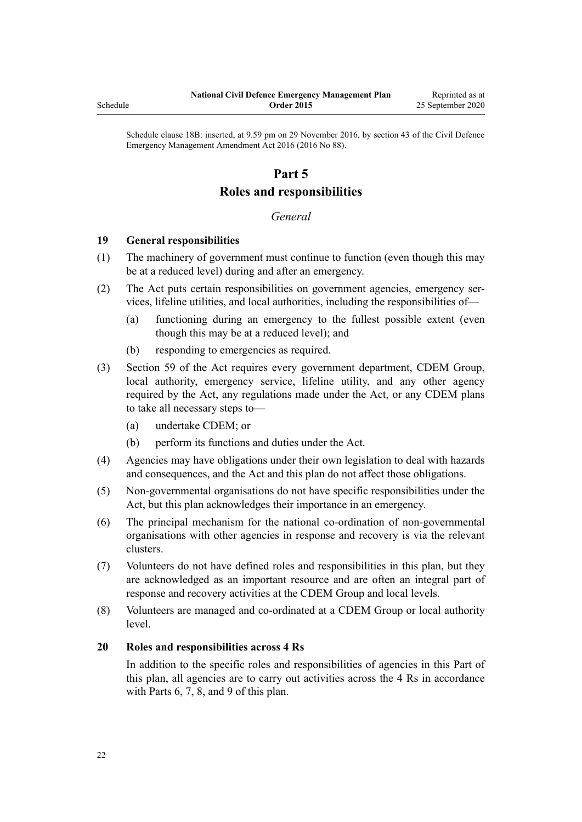<span id="page-21-0"></span>Schedule

Schedule clause 18B: inserted, at 9.59 pm on 29 November 2016, by [section 43](http://legislation.govt.nz/pdflink.aspx?id=DLM6928006) of the Civil Defence Emergency Management Amendment Act 2016 (2016 No 88).

## **Part 5 Roles and responsibilities**

## *General*

### **19 General responsibilities**

- (1) The machinery of government must continue to function (even though this may be at a reduced level) during and after an emergency.
- (2) The Act puts certain responsibilities on government agencies, emergency services, lifeline utilities, and local authorities, including the responsibilities of—
	- (a) functioning during an emergency to the fullest possible extent (even though this may be at a reduced level); and
	- (b) responding to emergencies as required.
- (3) [Section 59](http://legislation.govt.nz/pdflink.aspx?id=DLM150763) of the Act requires every government department, CDEM Group, local authority, emergency service, lifeline utility, and any other agency required by the Act, any regulations made under the Act, or any CDEM plans to take all necessary steps to—
	- (a) undertake CDEM; or
	- (b) perform its functions and duties under the Act.
- (4) Agencies may have obligations under their own legislation to deal with hazards and consequences, and the Act and this plan do not affect those obligations.
- (5) Non-governmental organisations do not have specific responsibilities under the Act, but this plan acknowledges their importance in an emergency.
- (6) The principal mechanism for the national co-ordination of non-governmental organisations with other agencies in response and recovery is via the relevant clusters.
- (7) Volunteers do not have defined roles and responsibilities in this plan, but they are acknowledged as an important resource and are often an integral part of response and recovery activities at the CDEM Group and local levels.
- (8) Volunteers are managed and co-ordinated at a CDEM Group or local authority level.

#### **20 Roles and responsibilities across 4 Rs**

In addition to the specific roles and responsibilities of agencies in this Part of this plan, all agencies are to carry out activities across the 4 Rs in accordance with [Parts 6](#page-67-0), [7,](#page-70-0) [8](#page-77-0), and [9](#page-93-0) of this plan.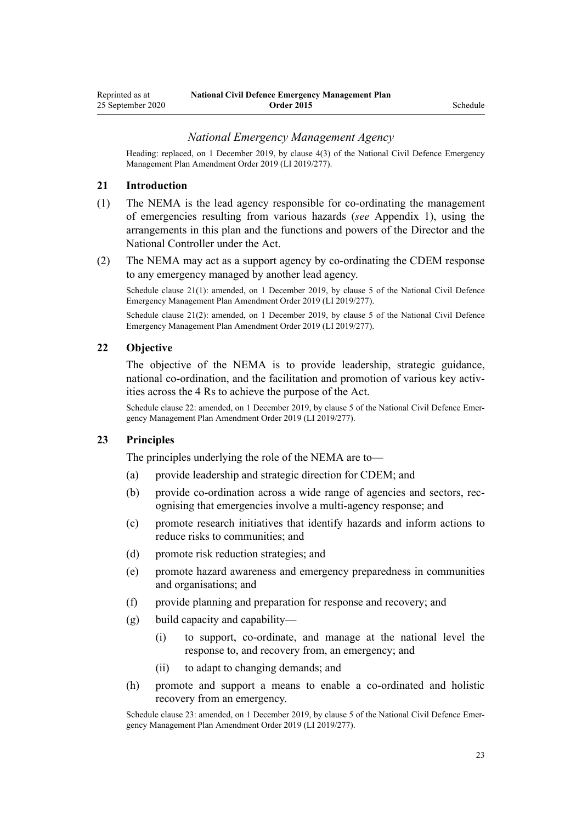#### *National Emergency Management Agency*

<span id="page-22-0"></span>Heading: replaced, on 1 December 2019, by [clause 4\(3\)](http://legislation.govt.nz/pdflink.aspx?id=LMS284018) of the National Civil Defence Emergency Management Plan Amendment Order 2019 (LI 2019/277).

#### **21 Introduction**

- (1) The NEMA is the lead agency responsible for co-ordinating the management of emergencies resulting from various hazards (*see* Appendix 1), using the arrangements in this plan and the functions and powers of the Director and the National Controller under the Act.
- (2) The NEMA may act as a support agency by co-ordinating the CDEM response to any emergency managed by another lead agency.

Schedule clause 21(1): amended, on 1 December 2019, by [clause 5](http://legislation.govt.nz/pdflink.aspx?id=LMS284019) of the National Civil Defence Emergency Management Plan Amendment Order 2019 (LI 2019/277).

Schedule clause 21(2): amended, on 1 December 2019, by [clause 5](http://legislation.govt.nz/pdflink.aspx?id=LMS284019) of the National Civil Defence Emergency Management Plan Amendment Order 2019 (LI 2019/277).

#### **22 Objective**

The objective of the NEMA is to provide leadership, strategic guidance, national co-ordination, and the facilitation and promotion of various key activities across the 4 Rs to achieve the purpose of the Act.

Schedule clause 22: amended, on 1 December 2019, by [clause 5](http://legislation.govt.nz/pdflink.aspx?id=LMS284019) of the National Civil Defence Emergency Management Plan Amendment Order 2019 (LI 2019/277).

#### **23 Principles**

The principles underlying the role of the NEMA are to—

- (a) provide leadership and strategic direction for CDEM; and
- (b) provide co-ordination across a wide range of agencies and sectors, recognising that emergencies involve a multi-agency response; and
- (c) promote research initiatives that identify hazards and inform actions to reduce risks to communities; and
- (d) promote risk reduction strategies; and
- (e) promote hazard awareness and emergency preparedness in communities and organisations; and
- (f) provide planning and preparation for response and recovery; and
- (g) build capacity and capability—
	- (i) to support, co-ordinate, and manage at the national level the response to, and recovery from, an emergency; and
	- (ii) to adapt to changing demands; and
- (h) promote and support a means to enable a co-ordinated and holistic recovery from an emergency.

Schedule clause 23: amended, on 1 December 2019, by [clause 5](http://legislation.govt.nz/pdflink.aspx?id=LMS284019) of the National Civil Defence Emergency Management Plan Amendment Order 2019 (LI 2019/277).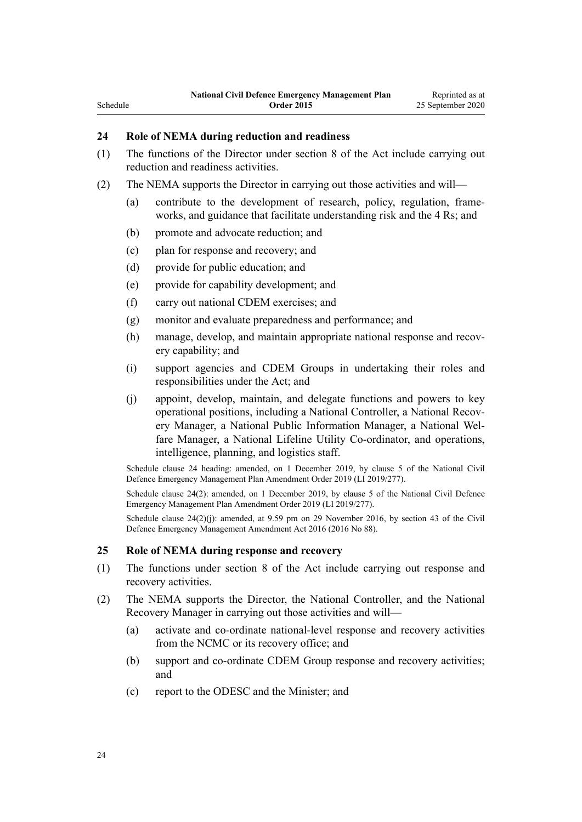## **24 Role of NEMA during reduction and readiness**

<span id="page-23-0"></span>Schedule

- (1) The functions of the Director under [section 8](http://legislation.govt.nz/pdflink.aspx?id=DLM150590) of the Act include carrying out reduction and readiness activities.
- (2) The NEMA supports the Director in carrying out those activities and will—
	- (a) contribute to the development of research, policy, regulation, frameworks, and guidance that facilitate understanding risk and the 4 Rs; and
	- (b) promote and advocate reduction; and
	- (c) plan for response and recovery; and
	- (d) provide for public education; and
	- (e) provide for capability development; and
	- (f) carry out national CDEM exercises; and
	- (g) monitor and evaluate preparedness and performance; and
	- (h) manage, develop, and maintain appropriate national response and recovery capability; and
	- (i) support agencies and CDEM Groups in undertaking their roles and responsibilities under the Act; and
	- (j) appoint, develop, maintain, and delegate functions and powers to key operational positions, including a National Controller, a National Recovery Manager, a National Public Information Manager, a National Welfare Manager, a National Lifeline Utility Co-ordinator, and operations, intelligence, planning, and logistics staff.

Schedule clause 24 heading: amended, on 1 December 2019, by [clause 5](http://legislation.govt.nz/pdflink.aspx?id=LMS284019) of the National Civil Defence Emergency Management Plan Amendment Order 2019 (LI 2019/277).

Schedule clause 24(2): amended, on 1 December 2019, by [clause 5](http://legislation.govt.nz/pdflink.aspx?id=LMS284019) of the National Civil Defence Emergency Management Plan Amendment Order 2019 (LI 2019/277).

Schedule clause  $24(2)(j)$ : amended, at 9.59 pm on 29 November 2016, by [section 43](http://legislation.govt.nz/pdflink.aspx?id=DLM6928006) of the Civil Defence Emergency Management Amendment Act 2016 (2016 No 88).

#### **25 Role of NEMA during response and recovery**

- (1) The functions under [section 8](http://legislation.govt.nz/pdflink.aspx?id=DLM150590) of the Act include carrying out response and recovery activities.
- (2) The NEMA supports the Director, the National Controller, and the National Recovery Manager in carrying out those activities and will—
	- (a) activate and co-ordinate national-level response and recovery activities from the NCMC or its recovery office; and
	- (b) support and co-ordinate CDEM Group response and recovery activities; and
	- (c) report to the ODESC and the Minister; and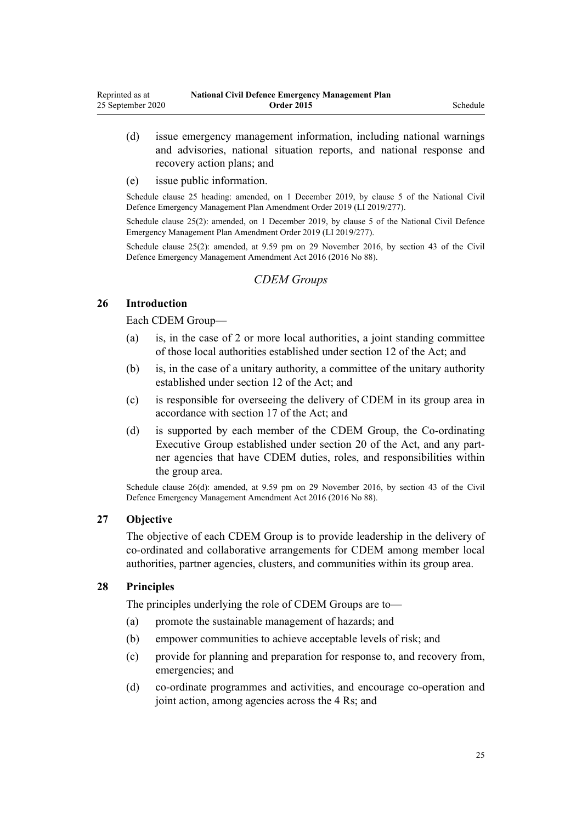- <span id="page-24-0"></span>(d) issue emergency management information, including national warnings and advisories, national situation reports, and national response and recovery action plans; and
- (e) issue public information.

Schedule clause 25 heading: amended, on 1 December 2019, by [clause 5](http://legislation.govt.nz/pdflink.aspx?id=LMS284019) of the National Civil Defence Emergency Management Plan Amendment Order 2019 (LI 2019/277).

Schedule clause 25(2): amended, on 1 December 2019, by [clause 5](http://legislation.govt.nz/pdflink.aspx?id=LMS284019) of the National Civil Defence Emergency Management Plan Amendment Order 2019 (LI 2019/277).

Schedule clause 25(2): amended, at 9.59 pm on 29 November 2016, by [section 43](http://legislation.govt.nz/pdflink.aspx?id=DLM6928006) of the Civil Defence Emergency Management Amendment Act 2016 (2016 No 88).

## *CDEM Groups*

#### **26 Introduction**

Each CDEM Group—

- (a) is, in the case of 2 or more local authorities, a joint standing committee of those local authorities established under [section 12](http://legislation.govt.nz/pdflink.aspx?id=DLM150596) of the Act; and
- (b) is, in the case of a unitary authority, a committee of the unitary authority established under [section 12](http://legislation.govt.nz/pdflink.aspx?id=DLM150596) of the Act; and
- (c) is responsible for overseeing the delivery of CDEM in its group area in accordance with [section 17](http://legislation.govt.nz/pdflink.aspx?id=DLM150705) of the Act; and
- (d) is supported by each member of the CDEM Group, the Co-ordinating Executive Group established under [section 20](http://legislation.govt.nz/pdflink.aspx?id=DLM150711) of the Act, and any partner agencies that have CDEM duties, roles, and responsibilities within the group area.

Schedule clause 26(d): amended, at 9.59 pm on 29 November 2016, by [section 43](http://legislation.govt.nz/pdflink.aspx?id=DLM6928006) of the Civil Defence Emergency Management Amendment Act 2016 (2016 No 88).

#### **27 Objective**

The objective of each CDEM Group is to provide leadership in the delivery of co-ordinated and collaborative arrangements for CDEM among member local authorities, partner agencies, clusters, and communities within its group area.

### **28 Principles**

The principles underlying the role of CDEM Groups are to—

- (a) promote the sustainable management of hazards; and
- (b) empower communities to achieve acceptable levels of risk; and
- (c) provide for planning and preparation for response to, and recovery from, emergencies; and
- (d) co-ordinate programmes and activities, and encourage co-operation and joint action, among agencies across the 4 Rs; and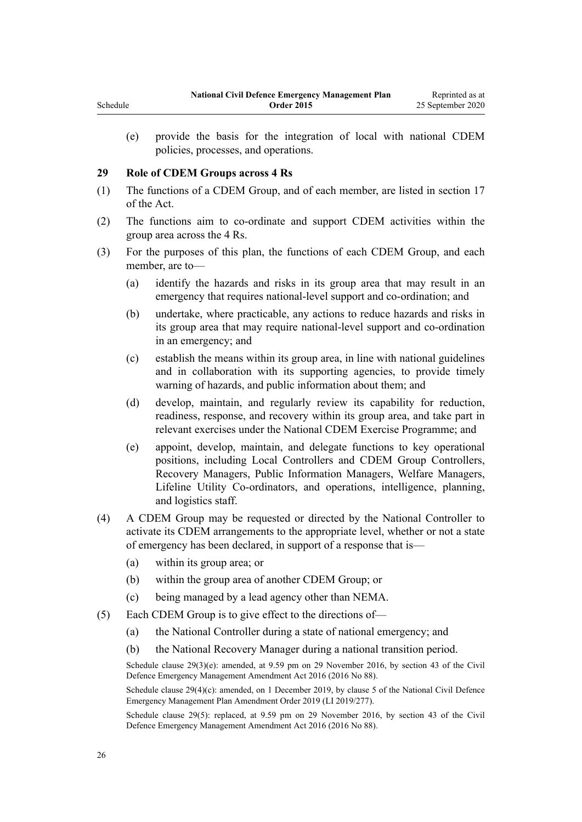(e) provide the basis for the integration of local with national CDEM policies, processes, and operations.

#### **29 Role of CDEM Groups across 4 Rs**

<span id="page-25-0"></span>Schedule

- (1) The functions of a CDEM Group, and of each member, are listed in [section 17](http://legislation.govt.nz/pdflink.aspx?id=DLM150705) of the Act.
- (2) The functions aim to co-ordinate and support CDEM activities within the group area across the 4 Rs.
- (3) For the purposes of this plan, the functions of each CDEM Group, and each member, are to—
	- (a) identify the hazards and risks in its group area that may result in an emergency that requires national-level support and co-ordination; and
	- (b) undertake, where practicable, any actions to reduce hazards and risks in its group area that may require national-level support and co-ordination in an emergency; and
	- (c) establish the means within its group area, in line with national guidelines and in collaboration with its supporting agencies, to provide timely warning of hazards, and public information about them; and
	- (d) develop, maintain, and regularly review its capability for reduction, readiness, response, and recovery within its group area, and take part in relevant exercises under the National CDEM Exercise Programme; and
	- (e) appoint, develop, maintain, and delegate functions to key operational positions, including Local Controllers and CDEM Group Controllers, Recovery Managers, Public Information Managers, Welfare Managers, Lifeline Utility Co-ordinators, and operations, intelligence, planning, and logistics staff.
- (4) A CDEM Group may be requested or directed by the National Controller to activate its CDEM arrangements to the appropriate level, whether or not a state of emergency has been declared, in support of a response that is—
	- (a) within its group area; or
	- (b) within the group area of another CDEM Group; or
	- (c) being managed by a lead agency other than NEMA.
- (5) Each CDEM Group is to give effect to the directions of—
	- (a) the National Controller during a state of national emergency; and
	- (b) the National Recovery Manager during a national transition period.

Schedule clause 29(3)(e): amended, at 9.59 pm on 29 November 2016, by [section 43](http://legislation.govt.nz/pdflink.aspx?id=DLM6928006) of the Civil Defence Emergency Management Amendment Act 2016 (2016 No 88).

Schedule clause 29(4)(c): amended, on 1 December 2019, by [clause 5](http://legislation.govt.nz/pdflink.aspx?id=LMS284019) of the National Civil Defence Emergency Management Plan Amendment Order 2019 (LI 2019/277).

Schedule clause 29(5): replaced, at 9.59 pm on 29 November 2016, by [section 43](http://legislation.govt.nz/pdflink.aspx?id=DLM6928006) of the Civil Defence Emergency Management Amendment Act 2016 (2016 No 88).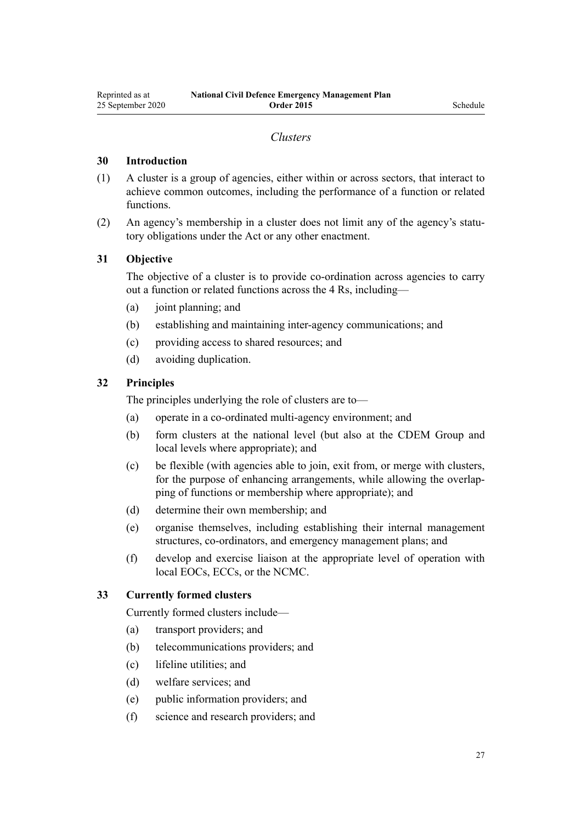#### *Clusters*

#### <span id="page-26-0"></span>**30 Introduction**

- (1) A cluster is a group of agencies, either within or across sectors, that interact to achieve common outcomes, including the performance of a function or related functions.
- (2) An agency's membership in a cluster does not limit any of the agency's statutory obligations under the Act or any other enactment.

#### **31 Objective**

The objective of a cluster is to provide co-ordination across agencies to carry out a function or related functions across the 4 Rs, including—

- (a) joint planning; and
- (b) establishing and maintaining inter-agency communications; and
- (c) providing access to shared resources; and
- (d) avoiding duplication.

#### **32 Principles**

The principles underlying the role of clusters are to—

- (a) operate in a co-ordinated multi-agency environment; and
- (b) form clusters at the national level (but also at the CDEM Group and local levels where appropriate); and
- (c) be flexible (with agencies able to join, exit from, or merge with clusters, for the purpose of enhancing arrangements, while allowing the overlapping of functions or membership where appropriate); and
- (d) determine their own membership; and
- (e) organise themselves, including establishing their internal management structures, co-ordinators, and emergency management plans; and
- (f) develop and exercise liaison at the appropriate level of operation with local EOCs, ECCs, or the NCMC.

#### **33 Currently formed clusters**

Currently formed clusters include—

- (a) transport providers; and
- (b) telecommunications providers; and
- (c) lifeline utilities; and
- (d) welfare services; and
- (e) public information providers; and
- (f) science and research providers; and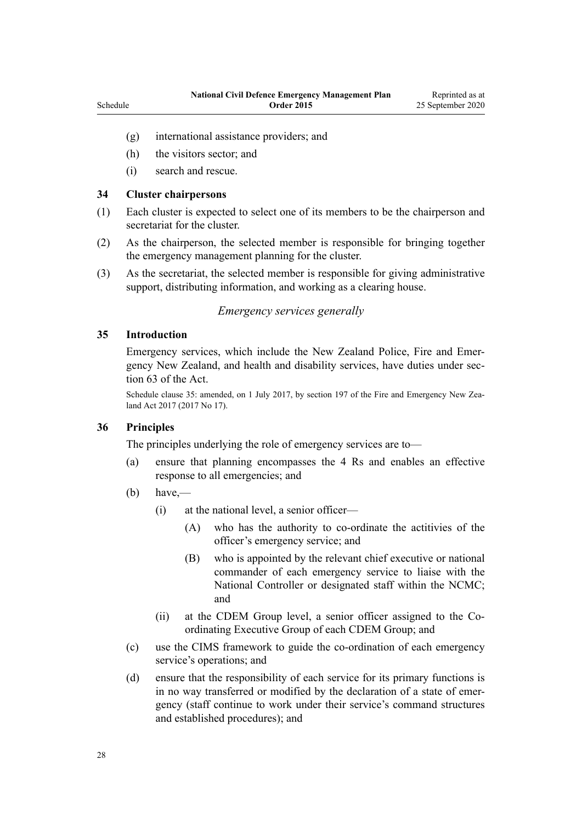- (g) international assistance providers; and
- (h) the visitors sector; and
- (i) search and rescue.

#### **34 Cluster chairpersons**

<span id="page-27-0"></span>Schedule

- (1) Each cluster is expected to select one of its members to be the chairperson and secretariat for the cluster.
- (2) As the chairperson, the selected member is responsible for bringing together the emergency management planning for the cluster.
- (3) As the secretariat, the selected member is responsible for giving administrative support, distributing information, and working as a clearing house.

#### *Emergency services generally*

#### **35 Introduction**

Emergency services, which include the New Zealand Police, Fire and Emergency New Zealand, and health and disability services, have duties under [sec](http://legislation.govt.nz/pdflink.aspx?id=DLM150769)[tion 63](http://legislation.govt.nz/pdflink.aspx?id=DLM150769) of the Act.

Schedule clause 35: amended, on 1 July 2017, by [section 197](http://legislation.govt.nz/pdflink.aspx?id=DLM6678752) of the Fire and Emergency New Zealand Act 2017 (2017 No 17).

#### **36 Principles**

The principles underlying the role of emergency services are to—

- (a) ensure that planning encompasses the 4 Rs and enables an effective response to all emergencies; and
- $(b)$  have,—
	- (i) at the national level, a senior officer—
		- (A) who has the authority to co-ordinate the actitivies of the officer's emergency service; and
		- (B) who is appointed by the relevant chief executive or national commander of each emergency service to liaise with the National Controller or designated staff within the NCMC; and
	- (ii) at the CDEM Group level, a senior officer assigned to the Coordinating Executive Group of each CDEM Group; and
- (c) use the CIMS framework to guide the co-ordination of each emergency service's operations; and
- (d) ensure that the responsibility of each service for its primary functions is in no way transferred or modified by the declaration of a state of emergency (staff continue to work under their service's command structures and established procedures); and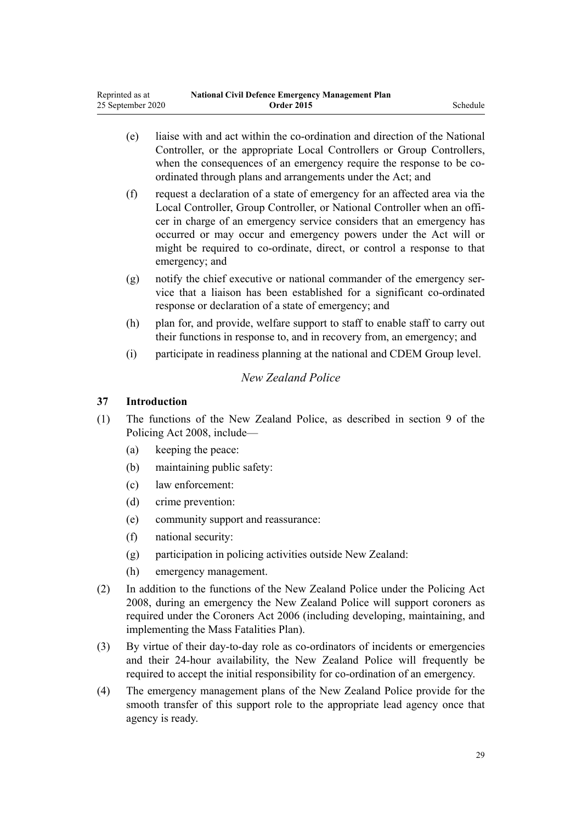- <span id="page-28-0"></span>(e) liaise with and act within the co-ordination and direction of the National Controller, or the appropriate Local Controllers or Group Controllers, when the consequences of an emergency require the response to be coordinated through plans and arrangements under the Act; and
- (f) request a declaration of a state of emergency for an affected area via the Local Controller, Group Controller, or National Controller when an officer in charge of an emergency service considers that an emergency has occurred or may occur and emergency powers under the Act will or might be required to co-ordinate, direct, or control a response to that emergency; and
- (g) notify the chief executive or national commander of the emergency service that a liaison has been established for a significant co-ordinated response or declaration of a state of emergency; and
- (h) plan for, and provide, welfare support to staff to enable staff to carry out their functions in response to, and in recovery from, an emergency; and
- (i) participate in readiness planning at the national and CDEM Group level.

## *New Zealand Police*

### **37 Introduction**

- (1) The functions of the New Zealand Police, as described in [section 9](http://legislation.govt.nz/pdflink.aspx?id=DLM1102187) of the Policing Act 2008, include—
	- (a) keeping the peace:
	- (b) maintaining public safety:
	- (c) law enforcement:
	- (d) crime prevention:
	- (e) community support and reassurance:
	- (f) national security:
	- (g) participation in policing activities outside New Zealand:
	- (h) emergency management.
- (2) In addition to the functions of the New Zealand Police under the [Policing Act](http://legislation.govt.nz/pdflink.aspx?id=DLM1102100) [2008](http://legislation.govt.nz/pdflink.aspx?id=DLM1102100), during an emergency the New Zealand Police will support coroners as required under the [Coroners Act 2006](http://legislation.govt.nz/pdflink.aspx?id=DLM377056) (including developing, maintaining, and implementing the Mass Fatalities Plan).
- (3) By virtue of their day-to-day role as co-ordinators of incidents or emergencies and their 24-hour availability, the New Zealand Police will frequently be required to accept the initial responsibility for co-ordination of an emergency.
- (4) The emergency management plans of the New Zealand Police provide for the smooth transfer of this support role to the appropriate lead agency once that agency is ready.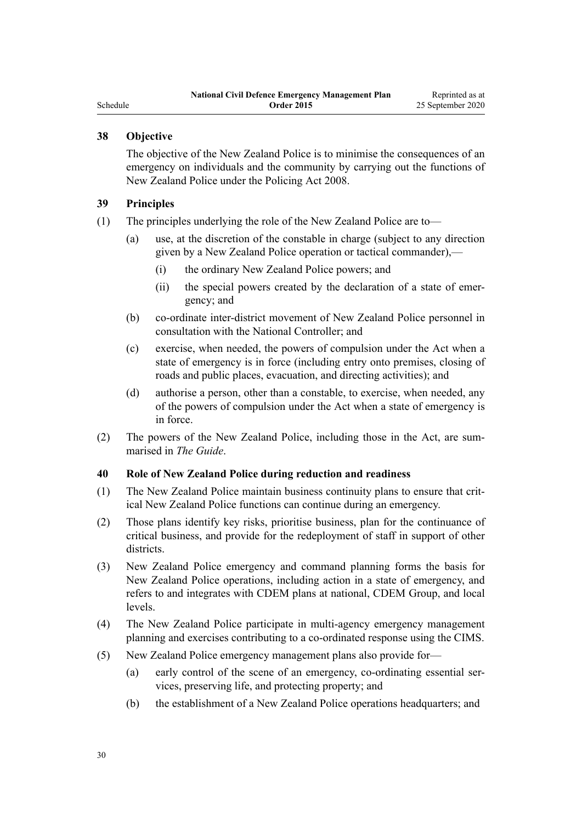# <span id="page-29-0"></span>**38 Objective**

The objective of the New Zealand Police is to minimise the consequences of an emergency on individuals and the community by carrying out the functions of New Zealand Police under the [Policing Act 2008](http://legislation.govt.nz/pdflink.aspx?id=DLM1102100).

#### **39 Principles**

- (1) The principles underlying the role of the New Zealand Police are to—
	- (a) use, at the discretion of the constable in charge (subject to any direction given by a New Zealand Police operation or tactical commander),—
		- (i) the ordinary New Zealand Police powers; and
		- (ii) the special powers created by the declaration of a state of emergency; and
	- (b) co-ordinate inter-district movement of New Zealand Police personnel in consultation with the National Controller; and
	- (c) exercise, when needed, the powers of compulsion under the Act when a state of emergency is in force (including entry onto premises, closing of roads and public places, evacuation, and directing activities); and
	- (d) authorise a person, other than a constable, to exercise, when needed, any of the powers of compulsion under the Act when a state of emergency is in force.
- (2) The powers of the New Zealand Police, including those in the Act, are summarised in *The Guide*.

#### **40 Role of New Zealand Police during reduction and readiness**

- (1) The New Zealand Police maintain business continuity plans to ensure that critical New Zealand Police functions can continue during an emergency.
- (2) Those plans identify key risks, prioritise business, plan for the continuance of critical business, and provide for the redeployment of staff in support of other districts.
- (3) New Zealand Police emergency and command planning forms the basis for New Zealand Police operations, including action in a state of emergency, and refers to and integrates with CDEM plans at national, CDEM Group, and local levels.
- (4) The New Zealand Police participate in multi-agency emergency management planning and exercises contributing to a co-ordinated response using the CIMS.
- (5) New Zealand Police emergency management plans also provide for—
	- (a) early control of the scene of an emergency, co-ordinating essential services, preserving life, and protecting property; and
	- (b) the establishment of a New Zealand Police operations headquarters; and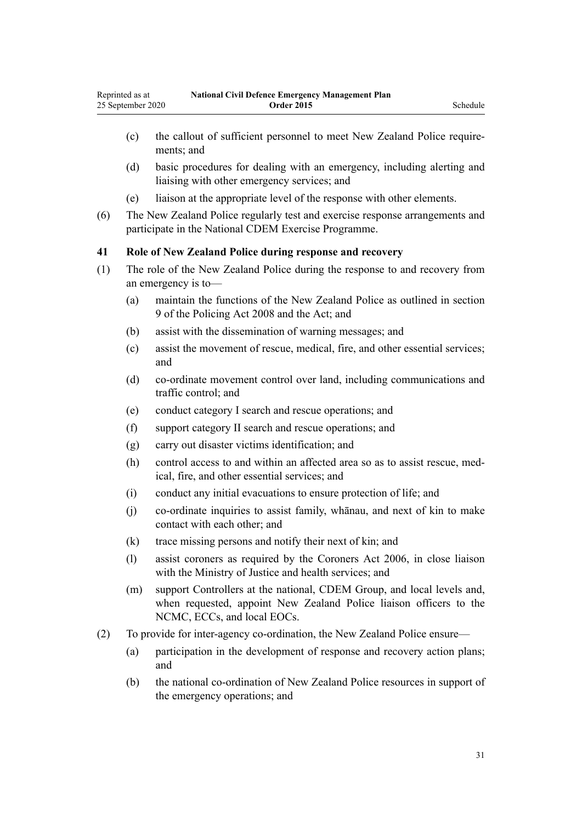- <span id="page-30-0"></span>(c) the callout of sufficient personnel to meet New Zealand Police requirements; and
- (d) basic procedures for dealing with an emergency, including alerting and liaising with other emergency services; and
- (e) liaison at the appropriate level of the response with other elements.
- (6) The New Zealand Police regularly test and exercise response arrangements and participate in the National CDEM Exercise Programme.

#### **41 Role of New Zealand Police during response and recovery**

- (1) The role of the New Zealand Police during the response to and recovery from an emergency is to—
	- (a) maintain the functions of the New Zealand Police as outlined in [section](http://legislation.govt.nz/pdflink.aspx?id=DLM1102187) [9](http://legislation.govt.nz/pdflink.aspx?id=DLM1102187) of the Policing Act 2008 and the Act; and
	- (b) assist with the dissemination of warning messages; and
	- (c) assist the movement of rescue, medical, fire, and other essential services; and
	- (d) co-ordinate movement control over land, including communications and traffic control; and
	- (e) conduct category I search and rescue operations; and
	- (f) support category II search and rescue operations; and
	- (g) carry out disaster victims identification; and
	- (h) control access to and within an affected area so as to assist rescue, medical, fire, and other essential services; and
	- (i) conduct any initial evacuations to ensure protection of life; and
	- (j) co-ordinate inquiries to assist family, whānau, and next of kin to make contact with each other; and
	- (k) trace missing persons and notify their next of kin; and
	- (l) assist coroners as required by the [Coroners Act 2006](http://legislation.govt.nz/pdflink.aspx?id=DLM377056), in close liaison with the Ministry of Justice and health services; and
	- (m) support Controllers at the national, CDEM Group, and local levels and, when requested, appoint New Zealand Police liaison officers to the NCMC, ECCs, and local EOCs.
- (2) To provide for inter-agency co-ordination, the New Zealand Police ensure—
	- (a) participation in the development of response and recovery action plans; and
	- (b) the national co-ordination of New Zealand Police resources in support of the emergency operations; and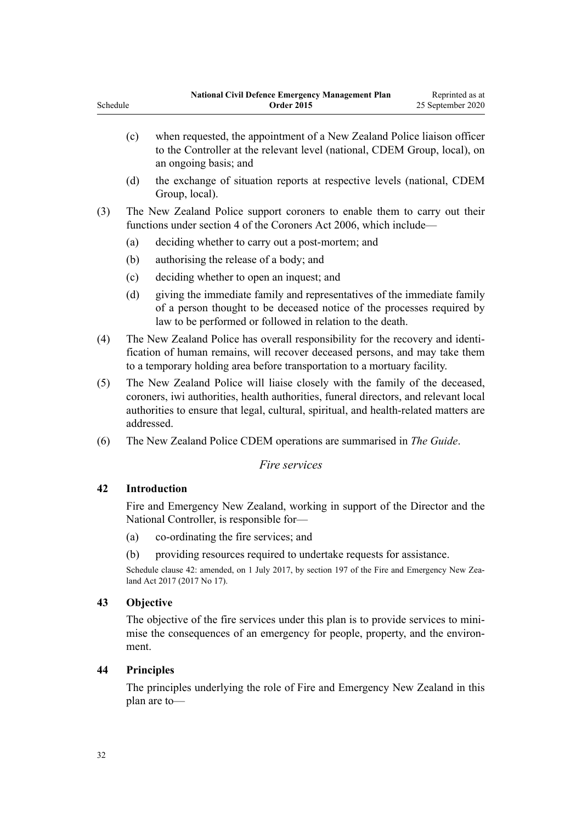- <span id="page-31-0"></span>(c) when requested, the appointment of a New Zealand Police liaison officer to the Controller at the relevant level (national, CDEM Group, local), on an ongoing basis; and
- (d) the exchange of situation reports at respective levels (national, CDEM Group, local).
- (3) The New Zealand Police support coroners to enable them to carry out their functions under [section 4](http://legislation.govt.nz/pdflink.aspx?id=DLM377064) of the Coroners Act 2006, which include—
	- (a) deciding whether to carry out a post-mortem; and
	- (b) authorising the release of a body; and
	- (c) deciding whether to open an inquest; and
	- (d) giving the immediate family and representatives of the immediate family of a person thought to be deceased notice of the processes required by law to be performed or followed in relation to the death.
- (4) The New Zealand Police has overall responsibility for the recovery and identification of human remains, will recover deceased persons, and may take them to a temporary holding area before transportation to a mortuary facility.
- (5) The New Zealand Police will liaise closely with the family of the deceased, coroners, iwi authorities, health authorities, funeral directors, and relevant local authorities to ensure that legal, cultural, spiritual, and health-related matters are addressed.
- (6) The New Zealand Police CDEM operations are summarised in *The Guide*.

#### *Fire services*

### **42 Introduction**

Fire and Emergency New Zealand, working in support of the Director and the National Controller, is responsible for—

- (a) co-ordinating the fire services; and
- (b) providing resources required to undertake requests for assistance.

Schedule clause 42: amended, on 1 July 2017, by [section 197](http://legislation.govt.nz/pdflink.aspx?id=DLM6678752) of the Fire and Emergency New Zealand Act 2017 (2017 No 17).

#### **43 Objective**

The objective of the fire services under this plan is to provide services to minimise the consequences of an emergency for people, property, and the environment.

#### **44 Principles**

The principles underlying the role of Fire and Emergency New Zealand in this plan are to—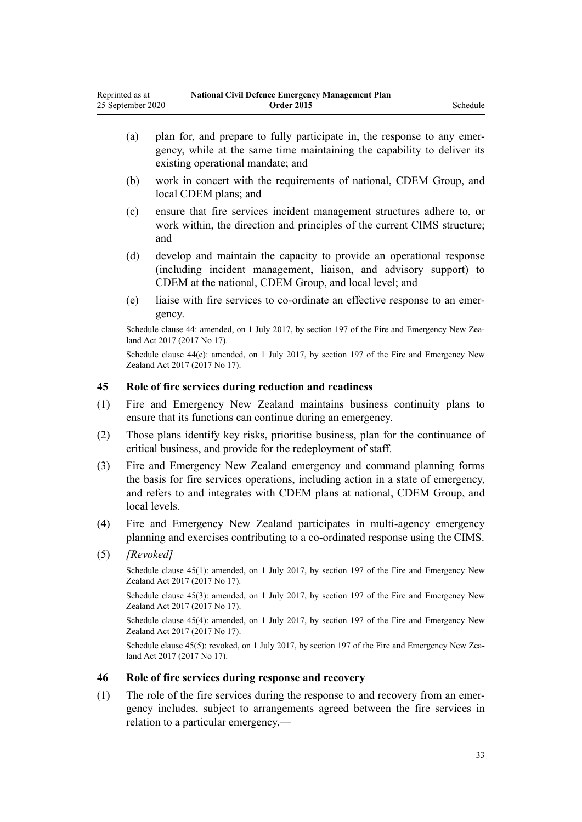- <span id="page-32-0"></span>(b) work in concert with the requirements of national, CDEM Group, and local CDEM plans; and
- (c) ensure that fire services incident management structures adhere to, or work within, the direction and principles of the current CIMS structure; and
- (d) develop and maintain the capacity to provide an operational response (including incident management, liaison, and advisory support) to CDEM at the national, CDEM Group, and local level; and
- (e) liaise with fire services to co-ordinate an effective response to an emergency.

Schedule clause 44: amended, on 1 July 2017, by [section 197](http://legislation.govt.nz/pdflink.aspx?id=DLM6678752) of the Fire and Emergency New Zealand Act 2017 (2017 No 17).

Schedule clause  $44(e)$ : amended, on 1 July 2017, by [section 197](http://legislation.govt.nz/pdflink.aspx?id=DLM6678752) of the Fire and Emergency New Zealand Act 2017 (2017 No 17).

### **45 Role of fire services during reduction and readiness**

- (1) Fire and Emergency New Zealand maintains business continuity plans to ensure that its functions can continue during an emergency.
- (2) Those plans identify key risks, prioritise business, plan for the continuance of critical business, and provide for the redeployment of staff.
- (3) Fire and Emergency New Zealand emergency and command planning forms the basis for fire services operations, including action in a state of emergency, and refers to and integrates with CDEM plans at national, CDEM Group, and local levels.
- (4) Fire and Emergency New Zealand participates in multi-agency emergency planning and exercises contributing to a co-ordinated response using the CIMS.
- (5) *[Revoked]*

Schedule clause 45(1): amended, on 1 July 2017, by [section 197](http://legislation.govt.nz/pdflink.aspx?id=DLM6678752) of the Fire and Emergency New Zealand Act 2017 (2017 No 17).

Schedule clause 45(3): amended, on 1 July 2017, by [section 197](http://legislation.govt.nz/pdflink.aspx?id=DLM6678752) of the Fire and Emergency New Zealand Act 2017 (2017 No 17).

Schedule clause 45(4): amended, on 1 July 2017, by [section 197](http://legislation.govt.nz/pdflink.aspx?id=DLM6678752) of the Fire and Emergency New Zealand Act 2017 (2017 No 17).

Schedule clause 45(5): revoked, on 1 July 2017, by [section 197](http://legislation.govt.nz/pdflink.aspx?id=DLM6678752) of the Fire and Emergency New Zealand Act 2017 (2017 No 17).

#### **46 Role of fire services during response and recovery**

(1) The role of the fire services during the response to and recovery from an emergency includes, subject to arrangements agreed between the fire services in relation to a particular emergency,—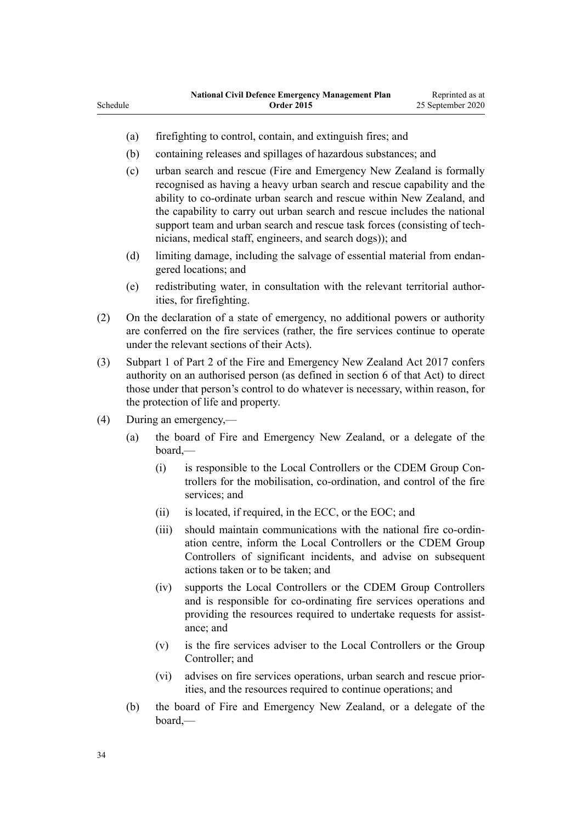- Schedule
	- (a) firefighting to control, contain, and extinguish fires; and
	- (b) containing releases and spillages of hazardous substances; and
	- (c) urban search and rescue (Fire and Emergency New Zealand is formally recognised as having a heavy urban search and rescue capability and the ability to co-ordinate urban search and rescue within New Zealand, and the capability to carry out urban search and rescue includes the national support team and urban search and rescue task forces (consisting of technicians, medical staff, engineers, and search dogs)); and
	- (d) limiting damage, including the salvage of essential material from endangered locations; and
	- (e) redistributing water, in consultation with the relevant territorial authorities, for firefighting.
- (2) On the declaration of a state of emergency, no additional powers or authority are conferred on the fire services (rather, the fire services continue to operate under the relevant sections of their Acts).
- (3) [Subpart 1](http://legislation.govt.nz/pdflink.aspx?id=DLM6678608) of Part 2 of the Fire and Emergency New Zealand Act 2017 confers authority on an authorised person (as defined in [section 6](http://legislation.govt.nz/pdflink.aspx?id=DLM6678613) of that Act) to direct those under that person's control to do whatever is necessary, within reason, for the protection of life and property.
- (4) During an emergency,—
	- (a) the board of Fire and Emergency New Zealand, or a delegate of the board,—
		- (i) is responsible to the Local Controllers or the CDEM Group Controllers for the mobilisation, co-ordination, and control of the fire services; and
		- (ii) is located, if required, in the ECC, or the EOC; and
		- (iii) should maintain communications with the national fire co-ordination centre, inform the Local Controllers or the CDEM Group Controllers of significant incidents, and advise on subsequent actions taken or to be taken; and
		- (iv) supports the Local Controllers or the CDEM Group Controllers and is responsible for co-ordinating fire services operations and providing the resources required to undertake requests for assistance; and
		- (v) is the fire services adviser to the Local Controllers or the Group Controller; and
		- (vi) advises on fire services operations, urban search and rescue priorities, and the resources required to continue operations; and
	- (b) the board of Fire and Emergency New Zealand, or a delegate of the board,—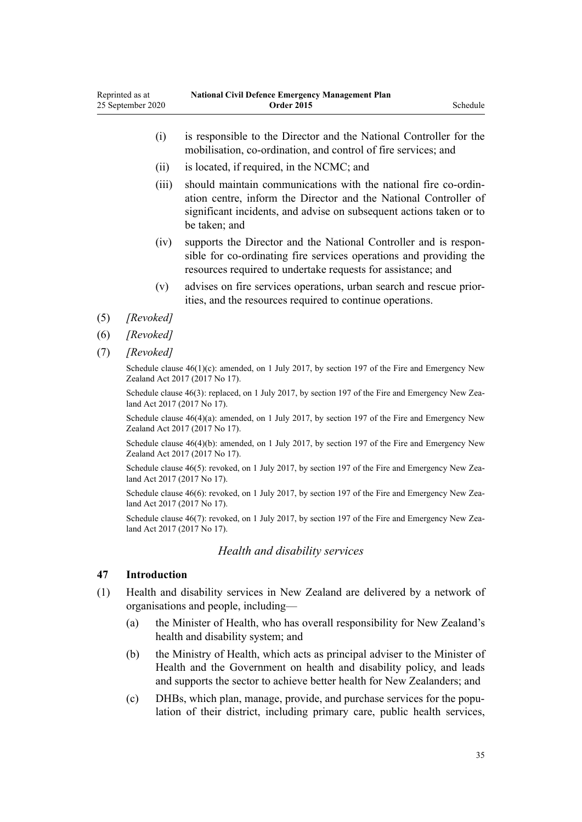- <span id="page-34-0"></span>(i) is responsible to the Director and the National Controller for the mobilisation, co-ordination, and control of fire services; and (ii) is located, if required, in the NCMC; and (iii) should maintain communications with the national fire co-ordination centre, inform the Director and the National Controller of significant incidents, and advise on subsequent actions taken or to be taken; and (iv) supports the Director and the National Controller and is responsible for co-ordinating fire services operations and providing the resources required to undertake requests for assistance; and
	- (v) advises on fire services operations, urban search and rescue priorities, and the resources required to continue operations.
- (5) *[Revoked]*
- (6) *[Revoked]*
- (7) *[Revoked]*

Schedule clause  $46(1)(c)$ : amended, on 1 July 2017, by [section 197](http://legislation.govt.nz/pdflink.aspx?id=DLM6678752) of the Fire and Emergency New Zealand Act 2017 (2017 No 17).

Schedule clause 46(3): replaced, on 1 July 2017, by [section 197](http://legislation.govt.nz/pdflink.aspx?id=DLM6678752) of the Fire and Emergency New Zealand Act 2017 (2017 No 17).

Schedule clause  $46(4)(a)$ : amended, on 1 July 2017, by [section 197](http://legislation.govt.nz/pdflink.aspx?id=DLM6678752) of the Fire and Emergency New Zealand Act 2017 (2017 No 17).

Schedule clause  $46(4)(b)$ : amended, on 1 July 2017, by [section 197](http://legislation.govt.nz/pdflink.aspx?id=DLM6678752) of the Fire and Emergency New Zealand Act 2017 (2017 No 17).

Schedule clause 46(5): revoked, on 1 July 2017, by [section 197](http://legislation.govt.nz/pdflink.aspx?id=DLM6678752) of the Fire and Emergency New Zealand Act 2017 (2017 No 17).

Schedule clause 46(6): revoked, on 1 July 2017, by [section 197](http://legislation.govt.nz/pdflink.aspx?id=DLM6678752) of the Fire and Emergency New Zealand Act 2017 (2017 No 17).

Schedule clause 46(7): revoked, on 1 July 2017, by [section 197](http://legislation.govt.nz/pdflink.aspx?id=DLM6678752) of the Fire and Emergency New Zealand Act 2017 (2017 No 17).

#### *Health and disability services*

## **47 Introduction**

- (1) Health and disability services in New Zealand are delivered by a network of organisations and people, including—
	- (a) the Minister of Health, who has overall responsibility for New Zealand's health and disability system; and
	- (b) the Ministry of Health, which acts as principal adviser to the Minister of Health and the Government on health and disability policy, and leads and supports the sector to achieve better health for New Zealanders; and
	- (c) DHBs, which plan, manage, provide, and purchase services for the population of their district, including primary care, public health services,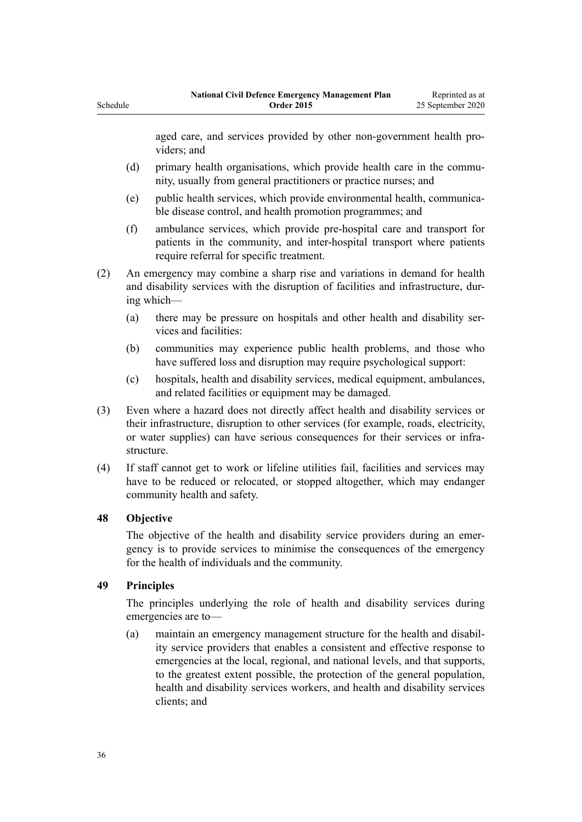aged care, and services provided by other non-government health providers; and

- (d) primary health organisations, which provide health care in the community, usually from general practitioners or practice nurses; and
- (e) public health services, which provide environmental health, communicable disease control, and health promotion programmes; and
- (f) ambulance services, which provide pre-hospital care and transport for patients in the community, and inter-hospital transport where patients require referral for specific treatment.
- (2) An emergency may combine a sharp rise and variations in demand for health and disability services with the disruption of facilities and infrastructure, during which—
	- (a) there may be pressure on hospitals and other health and disability services and facilities:
	- (b) communities may experience public health problems, and those who have suffered loss and disruption may require psychological support:
	- (c) hospitals, health and disability services, medical equipment, ambulances, and related facilities or equipment may be damaged.
- (3) Even where a hazard does not directly affect health and disability services or their infrastructure, disruption to other services (for example, roads, electricity, or water supplies) can have serious consequences for their services or infrastructure.
- (4) If staff cannot get to work or lifeline utilities fail, facilities and services may have to be reduced or relocated, or stopped altogether, which may endanger community health and safety.

### **48 Objective**

<span id="page-35-0"></span>Schedule

The objective of the health and disability service providers during an emergency is to provide services to minimise the consequences of the emergency for the health of individuals and the community.

### **49 Principles**

The principles underlying the role of health and disability services during emergencies are to—

(a) maintain an emergency management structure for the health and disability service providers that enables a consistent and effective response to emergencies at the local, regional, and national levels, and that supports, to the greatest extent possible, the protection of the general population, health and disability services workers, and health and disability services clients; and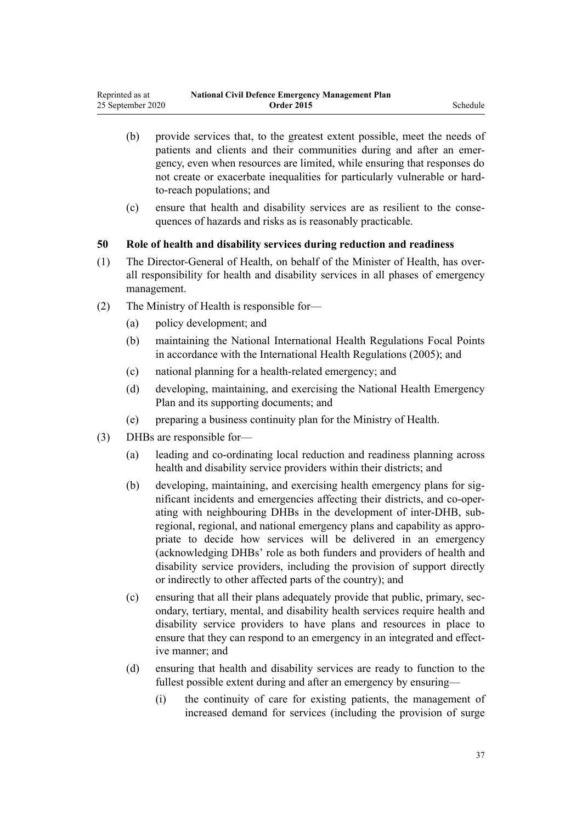- (b) provide services that, to the greatest extent possible, meet the needs of patients and clients and their communities during and after an emergency, even when resources are limited, while ensuring that responses do not create or exacerbate inequalities for particularly vulnerable or hardto-reach populations; and
- (c) ensure that health and disability services are as resilient to the consequences of hazards and risks as is reasonably practicable.

### **50 Role of health and disability services during reduction and readiness**

- (1) The Director-General of Health, on behalf of the Minister of Health, has overall responsibility for health and disability services in all phases of emergency management.
- (2) The Ministry of Health is responsible for—
	- (a) policy development; and
	- (b) maintaining the National International Health Regulations Focal Points in accordance with the International Health Regulations (2005); and
	- (c) national planning for a health-related emergency; and
	- (d) developing, maintaining, and exercising the National Health Emergency Plan and its supporting documents; and
	- (e) preparing a business continuity plan for the Ministry of Health.
- (3) DHBs are responsible for—
	- (a) leading and co-ordinating local reduction and readiness planning across health and disability service providers within their districts; and
	- (b) developing, maintaining, and exercising health emergency plans for significant incidents and emergencies affecting their districts, and co-operating with neighbouring DHBs in the development of inter-DHB, subregional, regional, and national emergency plans and capability as appropriate to decide how services will be delivered in an emergency (acknowledging DHBs' role as both funders and providers of health and disability service providers, including the provision of support directly or indirectly to other affected parts of the country); and
	- (c) ensuring that all their plans adequately provide that public, primary, secondary, tertiary, mental, and disability health services require health and disability service providers to have plans and resources in place to ensure that they can respond to an emergency in an integrated and effective manner; and
	- (d) ensuring that health and disability services are ready to function to the fullest possible extent during and after an emergency by ensuring—
		- (i) the continuity of care for existing patients, the management of increased demand for services (including the provision of surge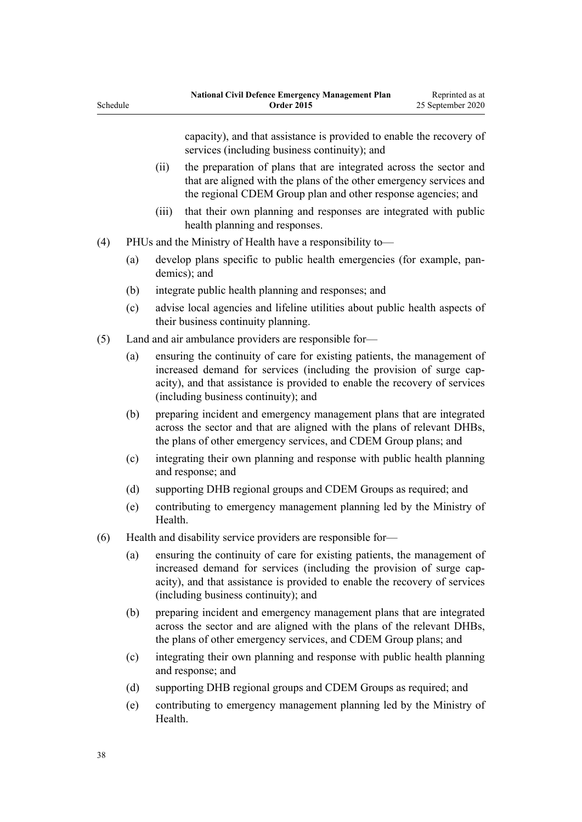Schedule

capacity), and that assistance is provided to enable the recovery of services (including business continuity); and

- (ii) the preparation of plans that are integrated across the sector and that are aligned with the plans of the other emergency services and the regional CDEM Group plan and other response agencies; and
- (iii) that their own planning and responses are integrated with public health planning and responses.
- (4) PHUs and the Ministry of Health have a responsibility to—
	- (a) develop plans specific to public health emergencies (for example, pandemics); and
	- (b) integrate public health planning and responses; and
	- (c) advise local agencies and lifeline utilities about public health aspects of their business continuity planning.
- (5) Land and air ambulance providers are responsible for—
	- (a) ensuring the continuity of care for existing patients, the management of increased demand for services (including the provision of surge capacity), and that assistance is provided to enable the recovery of services (including business continuity); and
	- (b) preparing incident and emergency management plans that are integrated across the sector and that are aligned with the plans of relevant DHBs, the plans of other emergency services, and CDEM Group plans; and
	- (c) integrating their own planning and response with public health planning and response; and
	- (d) supporting DHB regional groups and CDEM Groups as required; and
	- (e) contributing to emergency management planning led by the Ministry of **Health**
- (6) Health and disability service providers are responsible for—
	- (a) ensuring the continuity of care for existing patients, the management of increased demand for services (including the provision of surge capacity), and that assistance is provided to enable the recovery of services (including business continuity); and
	- (b) preparing incident and emergency management plans that are integrated across the sector and are aligned with the plans of the relevant DHBs, the plans of other emergency services, and CDEM Group plans; and
	- (c) integrating their own planning and response with public health planning and response; and
	- (d) supporting DHB regional groups and CDEM Groups as required; and
	- (e) contributing to emergency management planning led by the Ministry of **Health**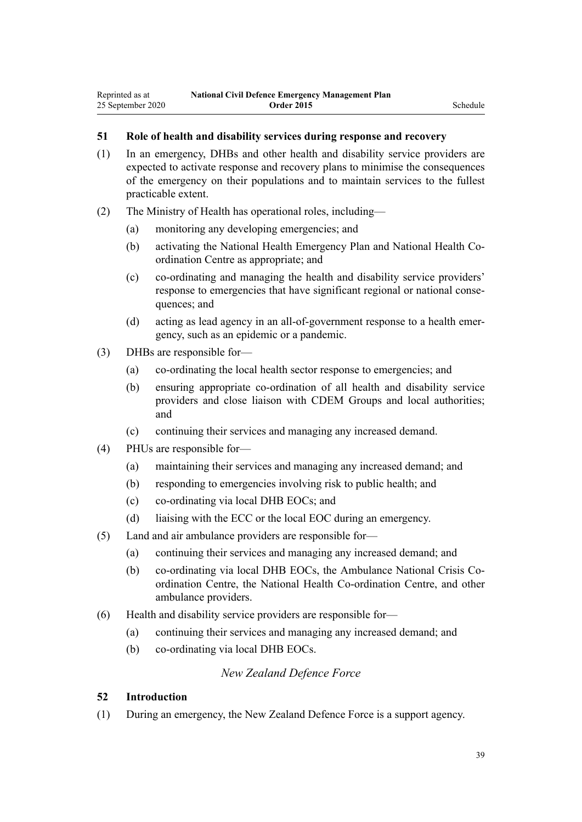## **51 Role of health and disability services during response and recovery**

- (1) In an emergency, DHBs and other health and disability service providers are expected to activate response and recovery plans to minimise the consequences of the emergency on their populations and to maintain services to the fullest practicable extent.
- (2) The Ministry of Health has operational roles, including—
	- (a) monitoring any developing emergencies; and
	- (b) activating the National Health Emergency Plan and National Health Coordination Centre as appropriate; and
	- (c) co-ordinating and managing the health and disability service providers' response to emergencies that have significant regional or national consequences; and
	- (d) acting as lead agency in an all-of-government response to a health emergency, such as an epidemic or a pandemic.
- (3) DHBs are responsible for—
	- (a) co-ordinating the local health sector response to emergencies; and
	- (b) ensuring appropriate co-ordination of all health and disability service providers and close liaison with CDEM Groups and local authorities; and
	- (c) continuing their services and managing any increased demand.
- (4) PHUs are responsible for—
	- (a) maintaining their services and managing any increased demand; and
	- (b) responding to emergencies involving risk to public health; and
	- (c) co-ordinating via local DHB EOCs; and
	- (d) liaising with the ECC or the local EOC during an emergency.
- (5) Land and air ambulance providers are responsible for—
	- (a) continuing their services and managing any increased demand; and
	- (b) co-ordinating via local DHB EOCs, the Ambulance National Crisis Coordination Centre, the National Health Co-ordination Centre, and other ambulance providers.
- (6) Health and disability service providers are responsible for—
	- (a) continuing their services and managing any increased demand; and
	- (b) co-ordinating via local DHB EOCs.

### *New Zealand Defence Force*

### **52 Introduction**

(1) During an emergency, the New Zealand Defence Force is a support agency.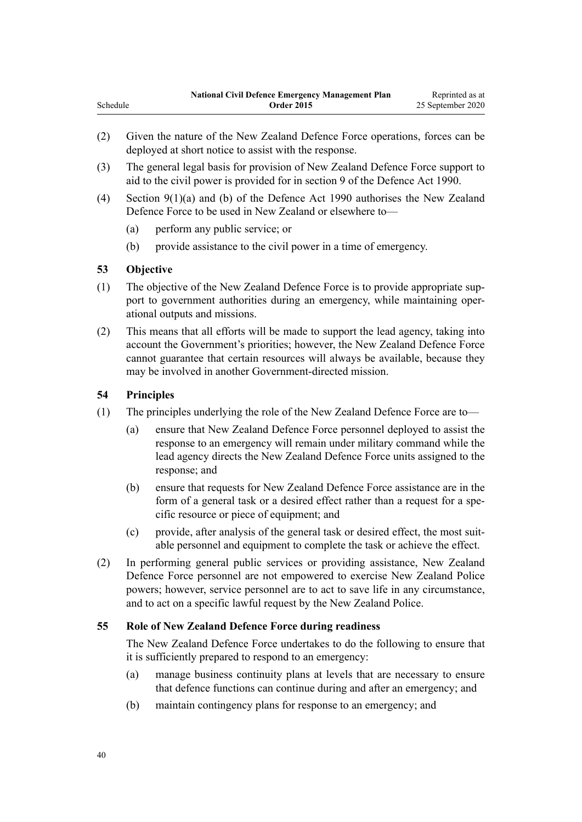- (2) Given the nature of the New Zealand Defence Force operations, forces can be deployed at short notice to assist with the response.
- (3) The general legal basis for provision of New Zealand Defence Force support to aid to the civil power is provided for in [section 9](http://legislation.govt.nz/pdflink.aspx?id=DLM205887) of the Defence Act 1990.
- (4) [Section 9\(1\)\(a\) and \(b\)](http://legislation.govt.nz/pdflink.aspx?id=DLM205887) of the Defence Act 1990 authorises the New Zealand Defence Force to be used in New Zealand or elsewhere to—
	- (a) perform any public service; or
	- (b) provide assistance to the civil power in a time of emergency.

# **53 Objective**

- (1) The objective of the New Zealand Defence Force is to provide appropriate support to government authorities during an emergency, while maintaining operational outputs and missions.
- (2) This means that all efforts will be made to support the lead agency, taking into account the Government's priorities; however, the New Zealand Defence Force cannot guarantee that certain resources will always be available, because they may be involved in another Government-directed mission.

# **54 Principles**

- (1) The principles underlying the role of the New Zealand Defence Force are to—
	- (a) ensure that New Zealand Defence Force personnel deployed to assist the response to an emergency will remain under military command while the lead agency directs the New Zealand Defence Force units assigned to the response; and
	- (b) ensure that requests for New Zealand Defence Force assistance are in the form of a general task or a desired effect rather than a request for a specific resource or piece of equipment; and
	- (c) provide, after analysis of the general task or desired effect, the most suitable personnel and equipment to complete the task or achieve the effect.
- (2) In performing general public services or providing assistance, New Zealand Defence Force personnel are not empowered to exercise New Zealand Police powers; however, service personnel are to act to save life in any circumstance, and to act on a specific lawful request by the New Zealand Police.

# **55 Role of New Zealand Defence Force during readiness**

The New Zealand Defence Force undertakes to do the following to ensure that it is sufficiently prepared to respond to an emergency:

- (a) manage business continuity plans at levels that are necessary to ensure that defence functions can continue during and after an emergency; and
- (b) maintain contingency plans for response to an emergency; and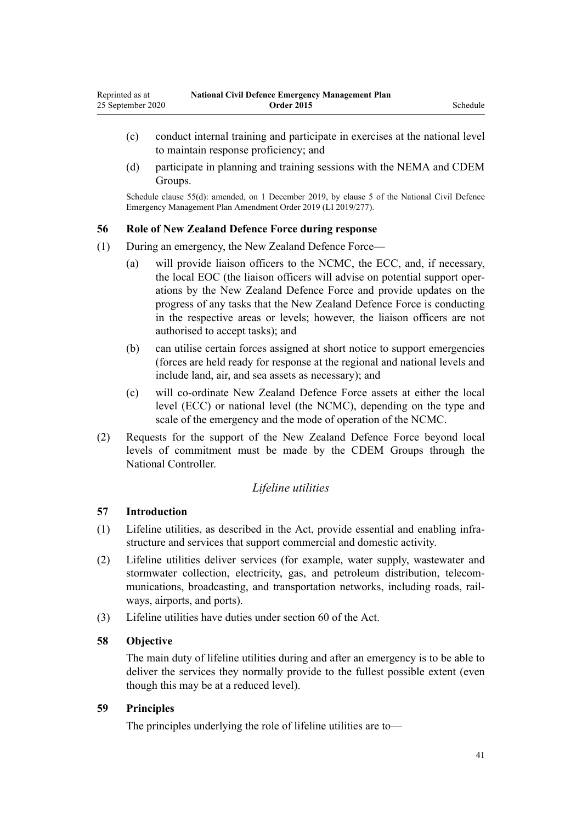- (c) conduct internal training and participate in exercises at the national level to maintain response proficiency; and
- (d) participate in planning and training sessions with the NEMA and CDEM Groups.

Schedule clause 55(d): amended, on 1 December 2019, by [clause 5](http://legislation.govt.nz/pdflink.aspx?id=LMS284019) of the National Civil Defence Emergency Management Plan Amendment Order 2019 (LI 2019/277).

### **56 Role of New Zealand Defence Force during response**

- (1) During an emergency, the New Zealand Defence Force—
	- (a) will provide liaison officers to the NCMC, the ECC, and, if necessary, the local EOC (the liaison officers will advise on potential support operations by the New Zealand Defence Force and provide updates on the progress of any tasks that the New Zealand Defence Force is conducting in the respective areas or levels; however, the liaison officers are not authorised to accept tasks); and
	- (b) can utilise certain forces assigned at short notice to support emergencies (forces are held ready for response at the regional and national levels and include land, air, and sea assets as necessary); and
	- (c) will co-ordinate New Zealand Defence Force assets at either the local level (ECC) or national level (the NCMC), depending on the type and scale of the emergency and the mode of operation of the NCMC.
- (2) Requests for the support of the New Zealand Defence Force beyond local levels of commitment must be made by the CDEM Groups through the National Controller.

# *Lifeline utilities*

# **57 Introduction**

- (1) Lifeline utilities, as described in the Act, provide essential and enabling infrastructure and services that support commercial and domestic activity.
- (2) Lifeline utilities deliver services (for example, water supply, wastewater and stormwater collection, electricity, gas, and petroleum distribution, telecommunications, broadcasting, and transportation networks, including roads, railways, airports, and ports).
- (3) Lifeline utilities have duties under [section 60](http://legislation.govt.nz/pdflink.aspx?id=DLM150765) of the Act.

### **58 Objective**

The main duty of lifeline utilities during and after an emergency is to be able to deliver the services they normally provide to the fullest possible extent (even though this may be at a reduced level).

### **59 Principles**

The principles underlying the role of lifeline utilities are to—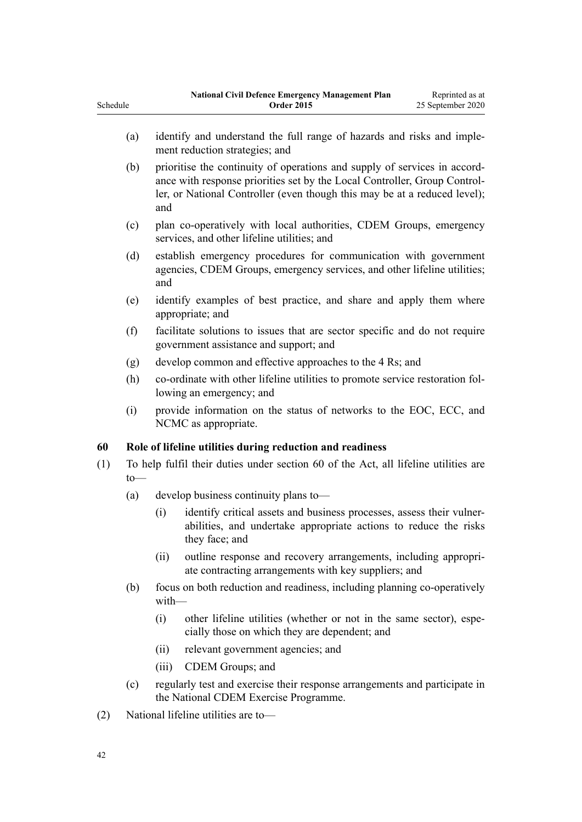| (a) | identify and understand the full range of hazards and risks and imple-<br>ment reduction strategies; and                                                                                                                                   |
|-----|--------------------------------------------------------------------------------------------------------------------------------------------------------------------------------------------------------------------------------------------|
| (b) | prioritise the continuity of operations and supply of services in accord-<br>ance with response priorities set by the Local Controller, Group Control-<br>ler, or National Controller (even though this may be at a reduced level);<br>and |
| (c) | plan co-operatively with local authorities, CDEM Groups, emergency<br>services, and other lifeline utilities; and                                                                                                                          |
| (d) | establish emergency procedures for communication with government<br>agencies, CDEM Groups, emergency services, and other lifeline utilities;<br>and                                                                                        |
| (e) | identify examples of best practice, and share and apply them where<br>appropriate; and                                                                                                                                                     |
| (f) | facilitate solutions to issues that are sector specific and do not require<br>government assistance and support; and                                                                                                                       |
| (g) | develop common and effective approaches to the 4 Rs; and                                                                                                                                                                                   |
| (h) | co-ordinate with other lifeline utilities to promote service restoration fol-<br>lowing an emergency; and                                                                                                                                  |
| (i) | provide information on the status of networks to the EOC, ECC, and<br>NCMC as appropriate.                                                                                                                                                 |

**National Civil Defence Emergency Management Plan Order 2015**

Reprinted as at 25 September 2020

### **60 Role of lifeline utilities during reduction and readiness**

- (1) To help fulfil their duties under [section 60](http://legislation.govt.nz/pdflink.aspx?id=DLM150765) of the Act, all lifeline utilities are to—
	- (a) develop business continuity plans to—
		- (i) identify critical assets and business processes, assess their vulnerabilities, and undertake appropriate actions to reduce the risks they face; and
		- (ii) outline response and recovery arrangements, including appropriate contracting arrangements with key suppliers; and
	- (b) focus on both reduction and readiness, including planning co-operatively with—
		- (i) other lifeline utilities (whether or not in the same sector), especially those on which they are dependent; and
		- (ii) relevant government agencies; and
		- (iii) CDEM Groups; and
	- (c) regularly test and exercise their response arrangements and participate in the National CDEM Exercise Programme.
- (2) National lifeline utilities are to—

Schedule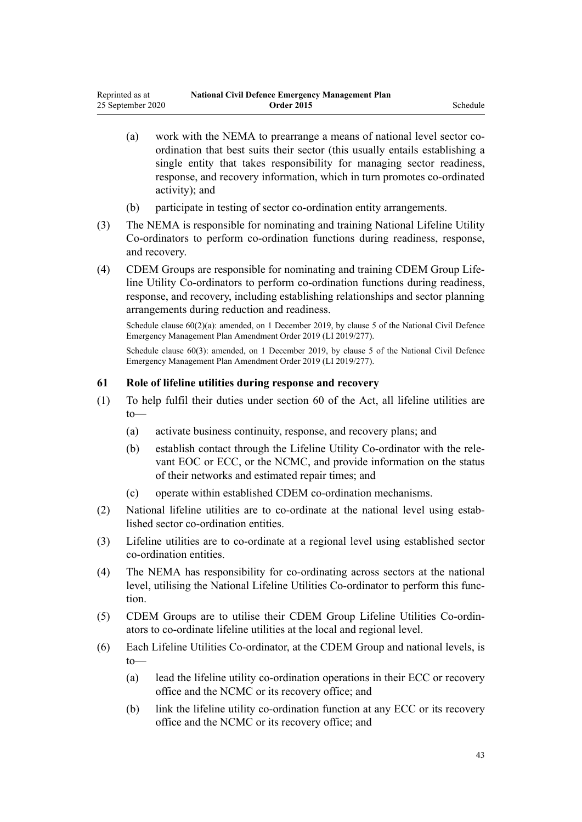- (a) work with the NEMA to prearrange a means of national level sector coordination that best suits their sector (this usually entails establishing a single entity that takes responsibility for managing sector readiness, response, and recovery information, which in turn promotes co-ordinated activity); and
- (b) participate in testing of sector co-ordination entity arrangements.
- (3) The NEMA is responsible for nominating and training National Lifeline Utility Co-ordinators to perform co-ordination functions during readiness, response, and recovery.
- (4) CDEM Groups are responsible for nominating and training CDEM Group Lifeline Utility Co-ordinators to perform co-ordination functions during readiness, response, and recovery, including establishing relationships and sector planning arrangements during reduction and readiness.

Schedule clause  $60(2)(a)$ : amended, on 1 December 2019, by [clause 5](http://legislation.govt.nz/pdflink.aspx?id=LMS284019) of the National Civil Defence Emergency Management Plan Amendment Order 2019 (LI 2019/277).

Schedule clause 60(3): amended, on 1 December 2019, by [clause 5](http://legislation.govt.nz/pdflink.aspx?id=LMS284019) of the National Civil Defence Emergency Management Plan Amendment Order 2019 (LI 2019/277).

# **61 Role of lifeline utilities during response and recovery**

- (1) To help fulfil their duties under [section 60](http://legislation.govt.nz/pdflink.aspx?id=DLM150765) of the Act, all lifeline utilities are to—
	- (a) activate business continuity, response, and recovery plans; and
	- (b) establish contact through the Lifeline Utility Co-ordinator with the relevant EOC or ECC, or the NCMC, and provide information on the status of their networks and estimated repair times; and
	- (c) operate within established CDEM co-ordination mechanisms.
- (2) National lifeline utilities are to co-ordinate at the national level using established sector co-ordination entities.
- (3) Lifeline utilities are to co-ordinate at a regional level using established sector co-ordination entities.
- (4) The NEMA has responsibility for co-ordinating across sectors at the national level, utilising the National Lifeline Utilities Co-ordinator to perform this function.
- (5) CDEM Groups are to utilise their CDEM Group Lifeline Utilities Co-ordinators to co-ordinate lifeline utilities at the local and regional level.
- (6) Each Lifeline Utilities Co-ordinator, at the CDEM Group and national levels, is to—
	- (a) lead the lifeline utility co-ordination operations in their ECC or recovery office and the NCMC or its recovery office; and
	- (b) link the lifeline utility co-ordination function at any ECC or its recovery office and the NCMC or its recovery office; and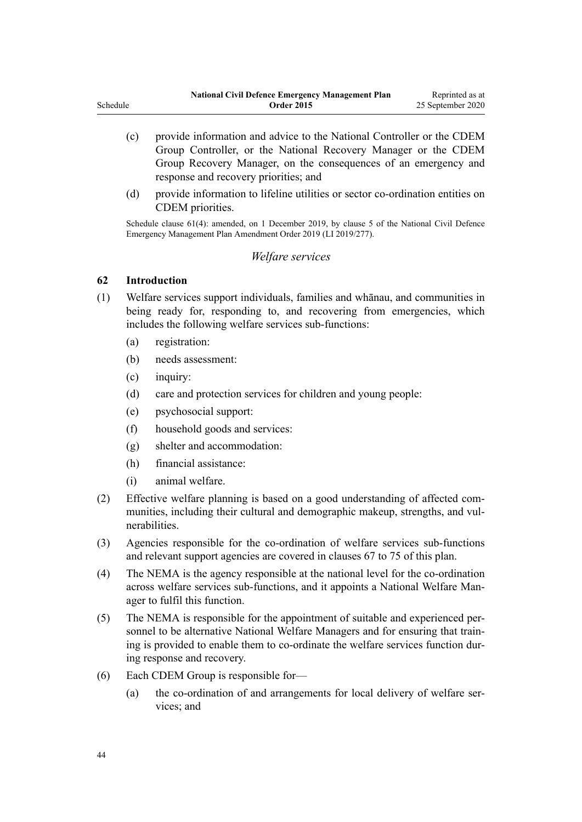|          | <b>National Civil Defence Emergency Management Plan</b> | Reprinted as at   |
|----------|---------------------------------------------------------|-------------------|
| Schedule | <b>Order 2015</b>                                       | 25 September 2020 |
|          |                                                         |                   |

- (c) provide information and advice to the National Controller or the CDEM Group Controller, or the National Recovery Manager or the CDEM Group Recovery Manager, on the consequences of an emergency and response and recovery priorities; and
- (d) provide information to lifeline utilities or sector co-ordination entities on CDEM priorities.

Schedule clause 61(4): amended, on 1 December 2019, by [clause 5](http://legislation.govt.nz/pdflink.aspx?id=LMS284019) of the National Civil Defence Emergency Management Plan Amendment Order 2019 (LI 2019/277).

### *Welfare services*

### **62 Introduction**

- (1) Welfare services support individuals, families and whānau, and communities in being ready for, responding to, and recovering from emergencies, which includes the following welfare services sub-functions:
	- (a) registration:
	- (b) needs assessment:
	- (c) inquiry:
	- (d) care and protection services for children and young people:
	- (e) psychosocial support:
	- (f) household goods and services:
	- (g) shelter and accommodation:
	- (h) financial assistance:
	- (i) animal welfare.
- (2) Effective welfare planning is based on a good understanding of affected communities, including their cultural and demographic makeup, strengths, and vulnerabilities.
- (3) Agencies responsible for the co-ordination of welfare services sub-functions and relevant support agencies are covered in [clauses 67 to 75](#page-48-0) of this plan.
- (4) The NEMA is the agency responsible at the national level for the co-ordination across welfare services sub-functions, and it appoints a National Welfare Manager to fulfil this function.
- (5) The NEMA is responsible for the appointment of suitable and experienced personnel to be alternative National Welfare Managers and for ensuring that training is provided to enable them to co-ordinate the welfare services function during response and recovery.
- (6) Each CDEM Group is responsible for—
	- (a) the co-ordination of and arrangements for local delivery of welfare services; and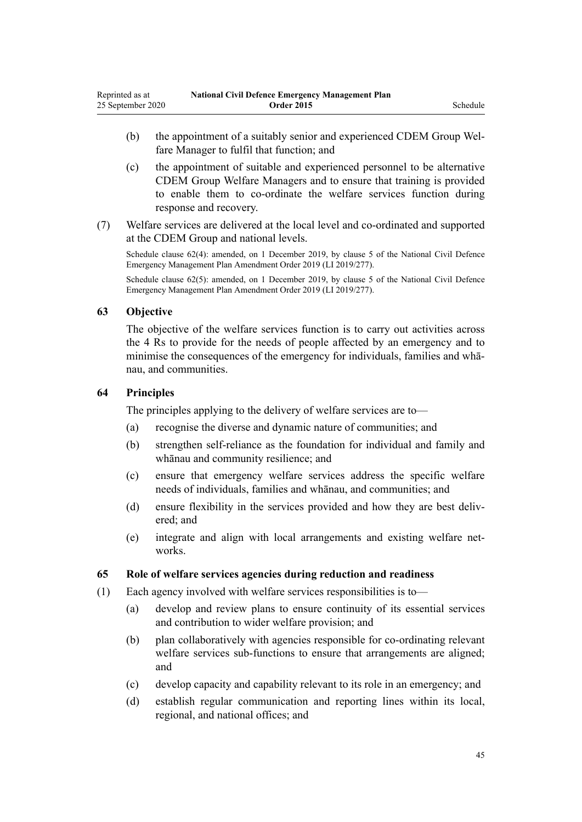- (b) the appointment of a suitably senior and experienced CDEM Group Welfare Manager to fulfil that function; and
- (c) the appointment of suitable and experienced personnel to be alternative CDEM Group Welfare Managers and to ensure that training is provided to enable them to co-ordinate the welfare services function during response and recovery.
- (7) Welfare services are delivered at the local level and co-ordinated and supported at the CDEM Group and national levels.

Schedule clause 62(4): amended, on 1 December 2019, by [clause 5](http://legislation.govt.nz/pdflink.aspx?id=LMS284019) of the National Civil Defence Emergency Management Plan Amendment Order 2019 (LI 2019/277).

Schedule clause 62(5): amended, on 1 December 2019, by [clause 5](http://legislation.govt.nz/pdflink.aspx?id=LMS284019) of the National Civil Defence Emergency Management Plan Amendment Order 2019 (LI 2019/277).

#### **63 Objective**

The objective of the welfare services function is to carry out activities across the 4 Rs to provide for the needs of people affected by an emergency and to minimise the consequences of the emergency for individuals, families and whānau, and communities.

### **64 Principles**

The principles applying to the delivery of welfare services are to—

- (a) recognise the diverse and dynamic nature of communities; and
- (b) strengthen self-reliance as the foundation for individual and family and whānau and community resilience; and
- (c) ensure that emergency welfare services address the specific welfare needs of individuals, families and whānau, and communities; and
- (d) ensure flexibility in the services provided and how they are best delivered; and
- (e) integrate and align with local arrangements and existing welfare networks.

### **65 Role of welfare services agencies during reduction and readiness**

- (1) Each agency involved with welfare services responsibilities is to—
	- (a) develop and review plans to ensure continuity of its essential services and contribution to wider welfare provision; and
	- (b) plan collaboratively with agencies responsible for co-ordinating relevant welfare services sub-functions to ensure that arrangements are aligned; and
	- (c) develop capacity and capability relevant to its role in an emergency; and
	- (d) establish regular communication and reporting lines within its local, regional, and national offices; and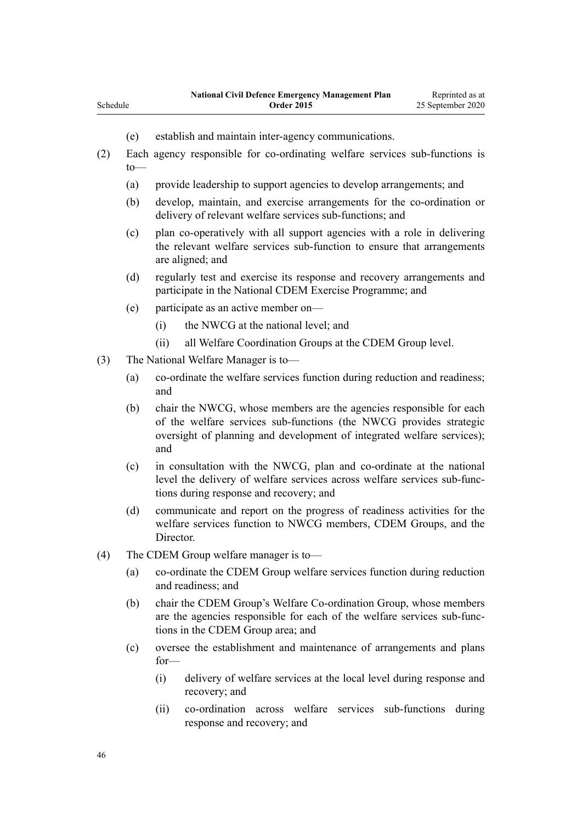- (e) establish and maintain inter-agency communications.
- (2) Each agency responsible for co-ordinating welfare services sub-functions is to—
	- (a) provide leadership to support agencies to develop arrangements; and
	- (b) develop, maintain, and exercise arrangements for the co-ordination or delivery of relevant welfare services sub-functions; and
	- (c) plan co-operatively with all support agencies with a role in delivering the relevant welfare services sub-function to ensure that arrangements are aligned; and
	- (d) regularly test and exercise its response and recovery arrangements and participate in the National CDEM Exercise Programme; and
	- (e) participate as an active member on—
		- (i) the NWCG at the national level; and
		- (ii) all Welfare Coordination Groups at the CDEM Group level.
- (3) The National Welfare Manager is to—

Schedule

- (a) co-ordinate the welfare services function during reduction and readiness; and
- (b) chair the NWCG, whose members are the agencies responsible for each of the welfare services sub-functions (the NWCG provides strategic oversight of planning and development of integrated welfare services); and
- (c) in consultation with the NWCG, plan and co-ordinate at the national level the delivery of welfare services across welfare services sub-functions during response and recovery; and
- (d) communicate and report on the progress of readiness activities for the welfare services function to NWCG members, CDEM Groups, and the Director.
- (4) The CDEM Group welfare manager is to—
	- (a) co-ordinate the CDEM Group welfare services function during reduction and readiness; and
	- (b) chair the CDEM Group's Welfare Co-ordination Group, whose members are the agencies responsible for each of the welfare services sub-functions in the CDEM Group area; and
	- (c) oversee the establishment and maintenance of arrangements and plans for—
		- (i) delivery of welfare services at the local level during response and recovery; and
		- (ii) co-ordination across welfare services sub-functions during response and recovery; and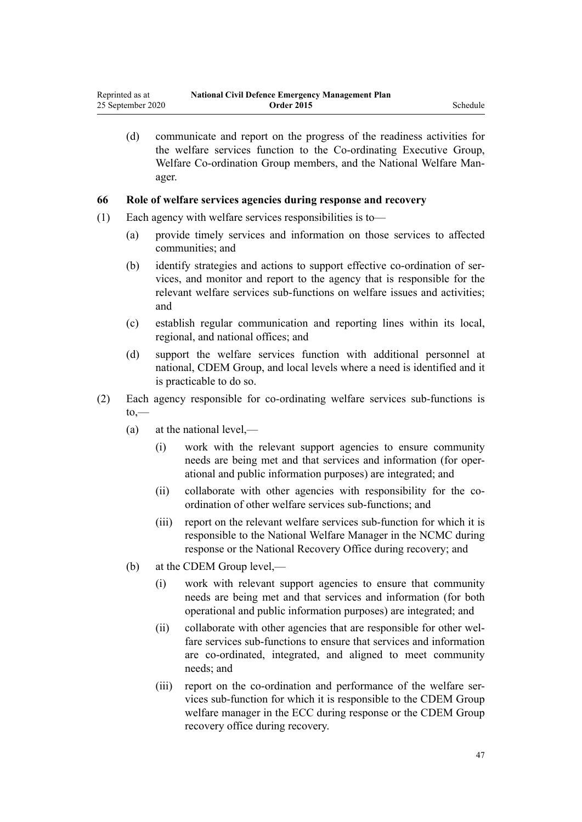(d) communicate and report on the progress of the readiness activities for the welfare services function to the Co-ordinating Executive Group, Welfare Co-ordination Group members, and the National Welfare Manager.

### **66 Role of welfare services agencies during response and recovery**

- (1) Each agency with welfare services responsibilities is to—
	- (a) provide timely services and information on those services to affected communities; and
	- (b) identify strategies and actions to support effective co-ordination of services, and monitor and report to the agency that is responsible for the relevant welfare services sub-functions on welfare issues and activities; and
	- (c) establish regular communication and reporting lines within its local, regional, and national offices; and
	- (d) support the welfare services function with additional personnel at national, CDEM Group, and local levels where a need is identified and it is practicable to do so.
- (2) Each agency responsible for co-ordinating welfare services sub-functions is  $to,$ —
	- (a) at the national level,—
		- (i) work with the relevant support agencies to ensure community needs are being met and that services and information (for operational and public information purposes) are integrated; and
		- (ii) collaborate with other agencies with responsibility for the coordination of other welfare services sub-functions; and
		- (iii) report on the relevant welfare services sub-function for which it is responsible to the National Welfare Manager in the NCMC during response or the National Recovery Office during recovery; and
	- (b) at the CDEM Group level,—
		- (i) work with relevant support agencies to ensure that community needs are being met and that services and information (for both operational and public information purposes) are integrated; and
		- (ii) collaborate with other agencies that are responsible for other welfare services sub-functions to ensure that services and information are co-ordinated, integrated, and aligned to meet community needs; and
		- (iii) report on the co-ordination and performance of the welfare services sub-function for which it is responsible to the CDEM Group welfare manager in the ECC during response or the CDEM Group recovery office during recovery.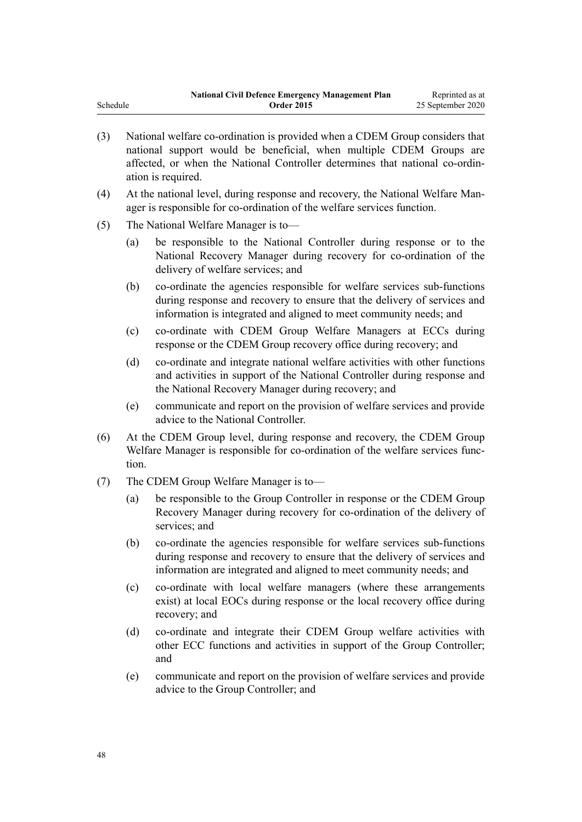|          | <b>National Civil Defence Emergency Management Plan</b> | Reprinted as at   |
|----------|---------------------------------------------------------|-------------------|
| Schedule | <b>Order 2015</b>                                       | 25 September 2020 |

- (3) National welfare co-ordination is provided when a CDEM Group considers that national support would be beneficial, when multiple CDEM Groups are affected, or when the National Controller determines that national co-ordination is required.
- (4) At the national level, during response and recovery, the National Welfare Manager is responsible for co-ordination of the welfare services function.
- (5) The National Welfare Manager is to—
	- (a) be responsible to the National Controller during response or to the National Recovery Manager during recovery for co-ordination of the delivery of welfare services; and
	- (b) co-ordinate the agencies responsible for welfare services sub-functions during response and recovery to ensure that the delivery of services and information is integrated and aligned to meet community needs; and
	- (c) co-ordinate with CDEM Group Welfare Managers at ECCs during response or the CDEM Group recovery office during recovery; and
	- (d) co-ordinate and integrate national welfare activities with other functions and activities in support of the National Controller during response and the National Recovery Manager during recovery; and
	- (e) communicate and report on the provision of welfare services and provide advice to the National Controller.
- (6) At the CDEM Group level, during response and recovery, the CDEM Group Welfare Manager is responsible for co-ordination of the welfare services function.
- (7) The CDEM Group Welfare Manager is to—
	- (a) be responsible to the Group Controller in response or the CDEM Group Recovery Manager during recovery for co-ordination of the delivery of services; and
	- (b) co-ordinate the agencies responsible for welfare services sub-functions during response and recovery to ensure that the delivery of services and information are integrated and aligned to meet community needs; and
	- (c) co-ordinate with local welfare managers (where these arrangements exist) at local EOCs during response or the local recovery office during recovery; and
	- (d) co-ordinate and integrate their CDEM Group welfare activities with other ECC functions and activities in support of the Group Controller; and
	- (e) communicate and report on the provision of welfare services and provide advice to the Group Controller; and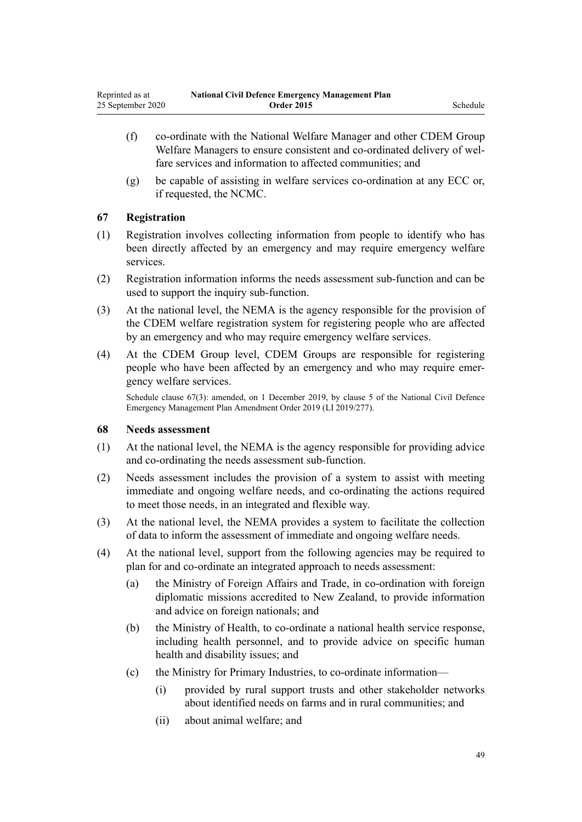- <span id="page-48-0"></span>(f) co-ordinate with the National Welfare Manager and other CDEM Group Welfare Managers to ensure consistent and co-ordinated delivery of welfare services and information to affected communities; and
- (g) be capable of assisting in welfare services co-ordination at any ECC or, if requested, the NCMC.

# **67 Registration**

- (1) Registration involves collecting information from people to identify who has been directly affected by an emergency and may require emergency welfare services.
- (2) Registration information informs the needs assessment sub-function and can be used to support the inquiry sub-function.
- (3) At the national level, the NEMA is the agency responsible for the provision of the CDEM welfare registration system for registering people who are affected by an emergency and who may require emergency welfare services.
- (4) At the CDEM Group level, CDEM Groups are responsible for registering people who have been affected by an emergency and who may require emergency welfare services.

Schedule clause 67(3): amended, on 1 December 2019, by [clause 5](http://legislation.govt.nz/pdflink.aspx?id=LMS284019) of the National Civil Defence Emergency Management Plan Amendment Order 2019 (LI 2019/277).

### **68 Needs assessment**

- (1) At the national level, the NEMA is the agency responsible for providing advice and co-ordinating the needs assessment sub-function.
- (2) Needs assessment includes the provision of a system to assist with meeting immediate and ongoing welfare needs, and co-ordinating the actions required to meet those needs, in an integrated and flexible way.
- (3) At the national level, the NEMA provides a system to facilitate the collection of data to inform the assessment of immediate and ongoing welfare needs.
- (4) At the national level, support from the following agencies may be required to plan for and co-ordinate an integrated approach to needs assessment:
	- (a) the Ministry of Foreign Affairs and Trade, in co-ordination with foreign diplomatic missions accredited to New Zealand, to provide information and advice on foreign nationals; and
	- (b) the Ministry of Health, to co-ordinate a national health service response, including health personnel, and to provide advice on specific human health and disability issues; and
	- (c) the Ministry for Primary Industries, to co-ordinate information—
		- (i) provided by rural support trusts and other stakeholder networks about identified needs on farms and in rural communities; and
		- (ii) about animal welfare; and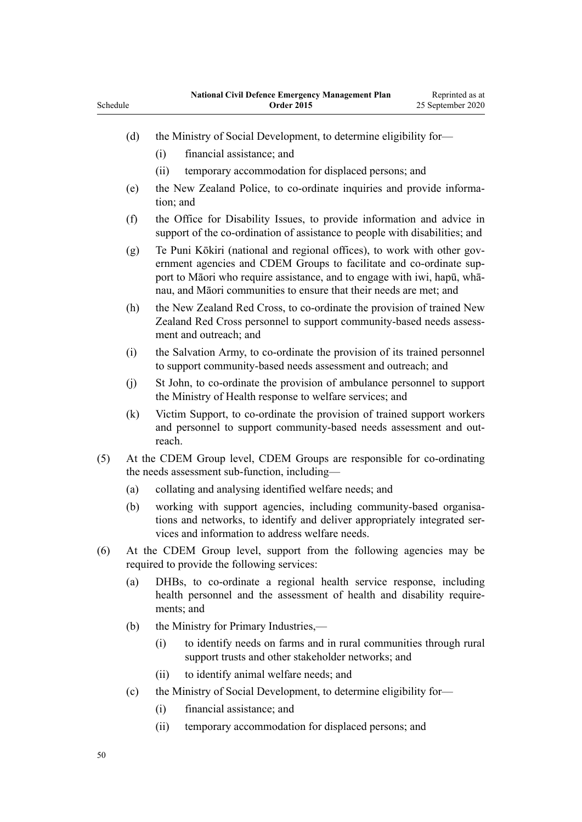| Schedule                                                                                                                                                                                                                                                                                                |                                                                                                                         |                                                                                                                                                           | ational Civil Defence Emergency Management I fail<br><b>Order 2015</b>                                                                                                                             | керинен аз ат<br>25 September 2020 |  |  |
|---------------------------------------------------------------------------------------------------------------------------------------------------------------------------------------------------------------------------------------------------------------------------------------------------------|-------------------------------------------------------------------------------------------------------------------------|-----------------------------------------------------------------------------------------------------------------------------------------------------------|----------------------------------------------------------------------------------------------------------------------------------------------------------------------------------------------------|------------------------------------|--|--|
|                                                                                                                                                                                                                                                                                                         | (d)                                                                                                                     | (i)                                                                                                                                                       | the Ministry of Social Development, to determine eligibility for-<br>financial assistance; and                                                                                                     |                                    |  |  |
|                                                                                                                                                                                                                                                                                                         |                                                                                                                         | (ii)                                                                                                                                                      | temporary accommodation for displaced persons; and                                                                                                                                                 |                                    |  |  |
|                                                                                                                                                                                                                                                                                                         | (e)                                                                                                                     | tion; and                                                                                                                                                 | the New Zealand Police, to co-ordinate inquiries and provide informa-                                                                                                                              |                                    |  |  |
|                                                                                                                                                                                                                                                                                                         | (f)                                                                                                                     |                                                                                                                                                           | the Office for Disability Issues, to provide information and advice in<br>support of the co-ordination of assistance to people with disabilities; and                                              |                                    |  |  |
| Te Puni Kōkiri (national and regional offices), to work with other gov-<br>(g)<br>ernment agencies and CDEM Groups to facilitate and co-ordinate sup-<br>port to Māori who require assistance, and to engage with iwi, hapū, whā-<br>nau, and Māori communities to ensure that their needs are met; and |                                                                                                                         |                                                                                                                                                           |                                                                                                                                                                                                    |                                    |  |  |
|                                                                                                                                                                                                                                                                                                         | (h)                                                                                                                     |                                                                                                                                                           | the New Zealand Red Cross, to co-ordinate the provision of trained New<br>Zealand Red Cross personnel to support community-based needs assess-<br>ment and outreach; and                           |                                    |  |  |
|                                                                                                                                                                                                                                                                                                         | (i)                                                                                                                     |                                                                                                                                                           | the Salvation Army, to co-ordinate the provision of its trained personnel<br>to support community-based needs assessment and outreach; and                                                         |                                    |  |  |
|                                                                                                                                                                                                                                                                                                         | (j)                                                                                                                     |                                                                                                                                                           | St John, to co-ordinate the provision of ambulance personnel to support<br>the Ministry of Health response to welfare services; and                                                                |                                    |  |  |
|                                                                                                                                                                                                                                                                                                         | (k)                                                                                                                     | reach.                                                                                                                                                    | Victim Support, to co-ordinate the provision of trained support workers<br>and personnel to support community-based needs assessment and out-                                                      |                                    |  |  |
| (5)                                                                                                                                                                                                                                                                                                     | At the CDEM Group level, CDEM Groups are responsible for co-ordinating<br>the needs assessment sub-function, including- |                                                                                                                                                           |                                                                                                                                                                                                    |                                    |  |  |
|                                                                                                                                                                                                                                                                                                         | (a)                                                                                                                     |                                                                                                                                                           | collating and analysing identified welfare needs; and                                                                                                                                              |                                    |  |  |
|                                                                                                                                                                                                                                                                                                         | (b)                                                                                                                     |                                                                                                                                                           | working with support agencies, including community-based organisa-<br>tions and networks, to identify and deliver appropriately integrated ser-<br>vices and information to address welfare needs. |                                    |  |  |
| (6)                                                                                                                                                                                                                                                                                                     | At the CDEM Group level, support from the following agencies may be<br>required to provide the following services:      |                                                                                                                                                           |                                                                                                                                                                                                    |                                    |  |  |
|                                                                                                                                                                                                                                                                                                         | (a)                                                                                                                     | DHBs, to co-ordinate a regional health service response, including<br>health personnel and the assessment of health and disability require-<br>ments; and |                                                                                                                                                                                                    |                                    |  |  |
|                                                                                                                                                                                                                                                                                                         | (b)                                                                                                                     |                                                                                                                                                           | the Ministry for Primary Industries,—                                                                                                                                                              |                                    |  |  |
|                                                                                                                                                                                                                                                                                                         |                                                                                                                         | (i)                                                                                                                                                       | to identify needs on farms and in rural communities through rural<br>support trusts and other stakeholder networks; and                                                                            |                                    |  |  |
|                                                                                                                                                                                                                                                                                                         |                                                                                                                         | (ii)                                                                                                                                                      | to identify animal welfare needs; and                                                                                                                                                              |                                    |  |  |
|                                                                                                                                                                                                                                                                                                         | (c)                                                                                                                     | the Ministry of Social Development, to determine eligibility for-                                                                                         |                                                                                                                                                                                                    |                                    |  |  |
|                                                                                                                                                                                                                                                                                                         |                                                                                                                         | (i)                                                                                                                                                       | financial assistance; and                                                                                                                                                                          |                                    |  |  |
|                                                                                                                                                                                                                                                                                                         |                                                                                                                         | (ii)                                                                                                                                                      | temporary accommodation for displaced persons; and                                                                                                                                                 |                                    |  |  |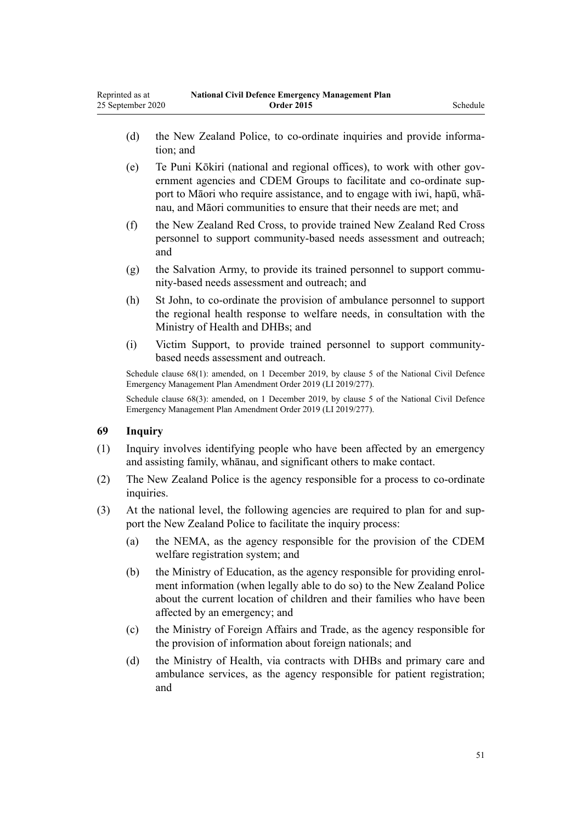- (d) the New Zealand Police, to co-ordinate inquiries and provide information; and
- (e) Te Puni Kōkiri (national and regional offices), to work with other government agencies and CDEM Groups to facilitate and co-ordinate support to Māori who require assistance, and to engage with iwi, hapū, whānau, and Māori communities to ensure that their needs are met; and
- (f) the New Zealand Red Cross, to provide trained New Zealand Red Cross personnel to support community-based needs assessment and outreach; and
- (g) the Salvation Army, to provide its trained personnel to support community-based needs assessment and outreach; and
- (h) St John, to co-ordinate the provision of ambulance personnel to support the regional health response to welfare needs, in consultation with the Ministry of Health and DHBs; and
- (i) Victim Support, to provide trained personnel to support communitybased needs assessment and outreach.

Schedule clause 68(1): amended, on 1 December 2019, by [clause 5](http://legislation.govt.nz/pdflink.aspx?id=LMS284019) of the National Civil Defence Emergency Management Plan Amendment Order 2019 (LI 2019/277).

Schedule clause 68(3): amended, on 1 December 2019, by [clause 5](http://legislation.govt.nz/pdflink.aspx?id=LMS284019) of the National Civil Defence Emergency Management Plan Amendment Order 2019 (LI 2019/277).

### **69 Inquiry**

- (1) Inquiry involves identifying people who have been affected by an emergency and assisting family, whānau, and significant others to make contact.
- (2) The New Zealand Police is the agency responsible for a process to co-ordinate inquiries.
- (3) At the national level, the following agencies are required to plan for and support the New Zealand Police to facilitate the inquiry process:
	- (a) the NEMA, as the agency responsible for the provision of the CDEM welfare registration system; and
	- (b) the Ministry of Education, as the agency responsible for providing enrolment information (when legally able to do so) to the New Zealand Police about the current location of children and their families who have been affected by an emergency; and
	- (c) the Ministry of Foreign Affairs and Trade, as the agency responsible for the provision of information about foreign nationals; and
	- (d) the Ministry of Health, via contracts with DHBs and primary care and ambulance services, as the agency responsible for patient registration; and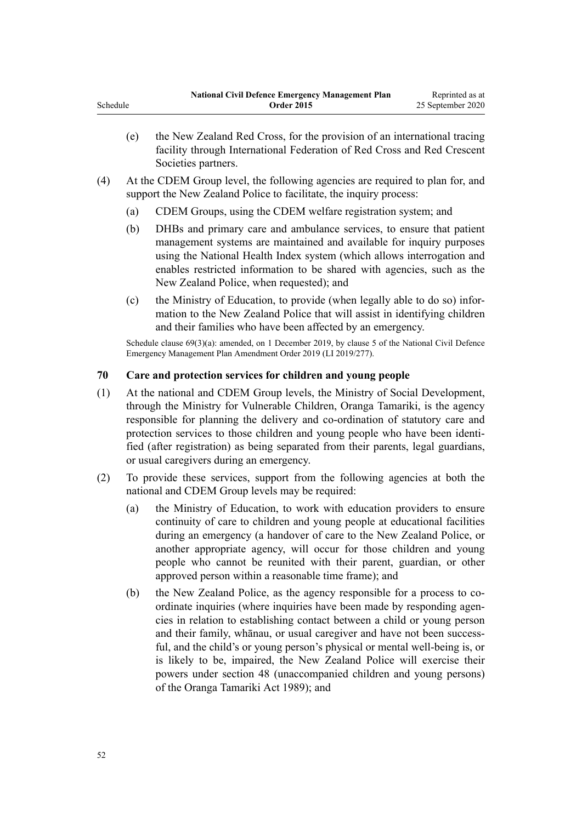- (e) the New Zealand Red Cross, for the provision of an international tracing facility through International Federation of Red Cross and Red Crescent Societies partners.
- (4) At the CDEM Group level, the following agencies are required to plan for, and support the New Zealand Police to facilitate, the inquiry process:
	- (a) CDEM Groups, using the CDEM welfare registration system; and
	- (b) DHBs and primary care and ambulance services, to ensure that patient management systems are maintained and available for inquiry purposes using the National Health Index system (which allows interrogation and enables restricted information to be shared with agencies, such as the New Zealand Police, when requested); and
	- (c) the Ministry of Education, to provide (when legally able to do so) information to the New Zealand Police that will assist in identifying children and their families who have been affected by an emergency.

Schedule clause 69(3)(a): amended, on 1 December 2019, by [clause 5](http://legislation.govt.nz/pdflink.aspx?id=LMS284019) of the National Civil Defence Emergency Management Plan Amendment Order 2019 (LI 2019/277).

### **70 Care and protection services for children and young people**

- (1) At the national and CDEM Group levels, the Ministry of Social Development, through the Ministry for Vulnerable Children, Oranga Tamariki, is the agency responsible for planning the delivery and co-ordination of statutory care and protection services to those children and young people who have been identified (after registration) as being separated from their parents, legal guardians, or usual caregivers during an emergency.
- (2) To provide these services, support from the following agencies at both the national and CDEM Group levels may be required:
	- (a) the Ministry of Education, to work with education providers to ensure continuity of care to children and young people at educational facilities during an emergency (a handover of care to the New Zealand Police, or another appropriate agency, will occur for those children and young people who cannot be reunited with their parent, guardian, or other approved person within a reasonable time frame); and
	- (b) the New Zealand Police, as the agency responsible for a process to coordinate inquiries (where inquiries have been made by responding agencies in relation to establishing contact between a child or young person and their family, whānau, or usual caregiver and have not been successful, and the child's or young person's physical or mental well-being is, or is likely to be, impaired, the New Zealand Police will exercise their powers under [section 48](http://legislation.govt.nz/pdflink.aspx?id=DLM150022) (unaccompanied children and young persons) of the Oranga Tamariki Act 1989); and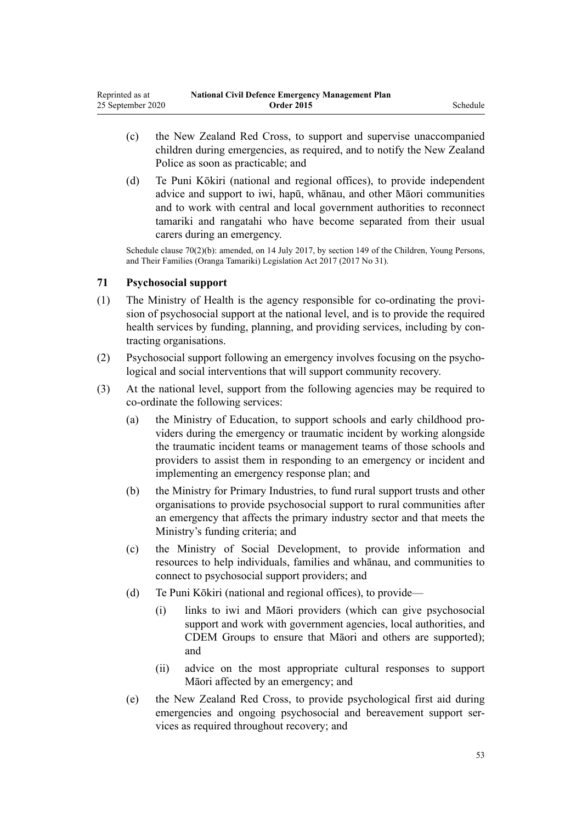- (c) the New Zealand Red Cross, to support and supervise unaccompanied children during emergencies, as required, and to notify the New Zealand Police as soon as practicable; and
- (d) Te Puni Kōkiri (national and regional offices), to provide independent advice and support to iwi, hapū, whānau, and other Māori communities and to work with central and local government authorities to reconnect tamariki and rangatahi who have become separated from their usual carers during an emergency.

Schedule clause 70(2)(b): amended, on 14 July 2017, by [section 149](http://legislation.govt.nz/pdflink.aspx?id=DLM7287401) of the Children, Young Persons, and Their Families (Oranga Tamariki) Legislation Act 2017 (2017 No 31).

### **71 Psychosocial support**

- (1) The Ministry of Health is the agency responsible for co-ordinating the provision of psychosocial support at the national level, and is to provide the required health services by funding, planning, and providing services, including by contracting organisations.
- (2) Psychosocial support following an emergency involves focusing on the psychological and social interventions that will support community recovery.
- (3) At the national level, support from the following agencies may be required to co-ordinate the following services:
	- (a) the Ministry of Education, to support schools and early childhood providers during the emergency or traumatic incident by working alongside the traumatic incident teams or management teams of those schools and providers to assist them in responding to an emergency or incident and implementing an emergency response plan; and
	- (b) the Ministry for Primary Industries, to fund rural support trusts and other organisations to provide psychosocial support to rural communities after an emergency that affects the primary industry sector and that meets the Ministry's funding criteria; and
	- (c) the Ministry of Social Development, to provide information and resources to help individuals, families and whānau, and communities to connect to psychosocial support providers; and
	- (d) Te Puni Kōkiri (national and regional offices), to provide—
		- (i) links to iwi and Māori providers (which can give psychosocial support and work with government agencies, local authorities, and CDEM Groups to ensure that Māori and others are supported); and
		- (ii) advice on the most appropriate cultural responses to support Māori affected by an emergency; and
	- (e) the New Zealand Red Cross, to provide psychological first aid during emergencies and ongoing psychosocial and bereavement support services as required throughout recovery; and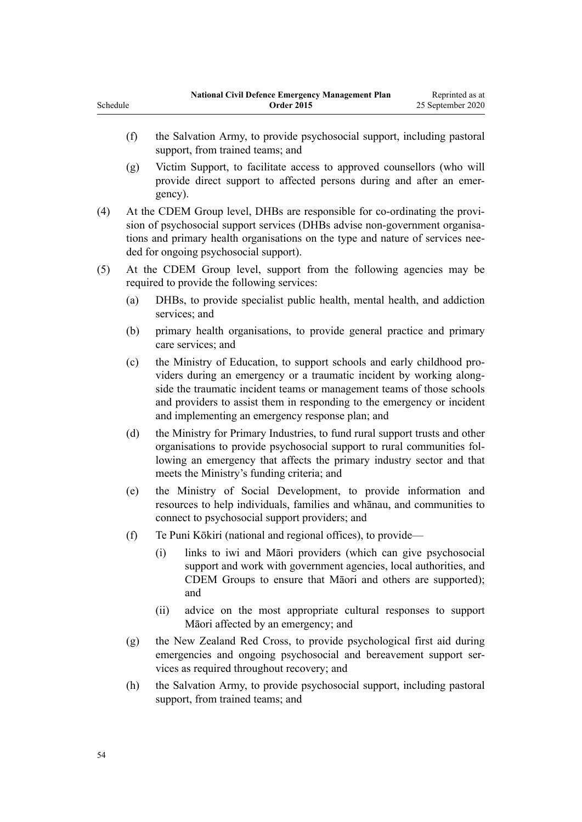- (f) the Salvation Army, to provide psychosocial support, including pastoral support, from trained teams; and
- (g) Victim Support, to facilitate access to approved counsellors (who will provide direct support to affected persons during and after an emergency).
- (4) At the CDEM Group level, DHBs are responsible for co-ordinating the provision of psychosocial support services (DHBs advise non-government organisations and primary health organisations on the type and nature of services needed for ongoing psychosocial support).
- (5) At the CDEM Group level, support from the following agencies may be required to provide the following services:
	- (a) DHBs, to provide specialist public health, mental health, and addiction services; and
	- (b) primary health organisations, to provide general practice and primary care services; and
	- (c) the Ministry of Education, to support schools and early childhood providers during an emergency or a traumatic incident by working alongside the traumatic incident teams or management teams of those schools and providers to assist them in responding to the emergency or incident and implementing an emergency response plan; and
	- (d) the Ministry for Primary Industries, to fund rural support trusts and other organisations to provide psychosocial support to rural communities following an emergency that affects the primary industry sector and that meets the Ministry's funding criteria; and
	- (e) the Ministry of Social Development, to provide information and resources to help individuals, families and whānau, and communities to connect to psychosocial support providers; and
	- (f) Te Puni Kōkiri (national and regional offices), to provide—
		- (i) links to iwi and Māori providers (which can give psychosocial support and work with government agencies, local authorities, and CDEM Groups to ensure that Māori and others are supported); and
		- (ii) advice on the most appropriate cultural responses to support Māori affected by an emergency; and
	- (g) the New Zealand Red Cross, to provide psychological first aid during emergencies and ongoing psychosocial and bereavement support services as required throughout recovery; and
	- (h) the Salvation Army, to provide psychosocial support, including pastoral support, from trained teams; and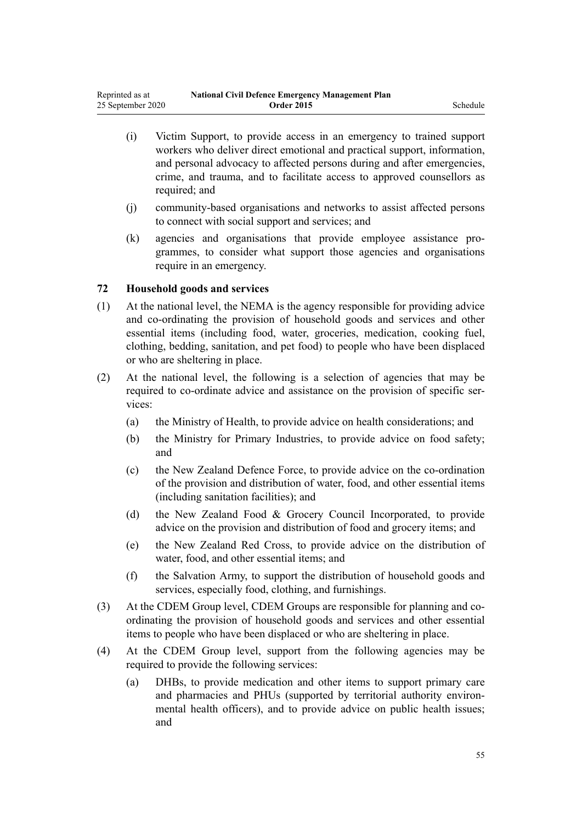- (i) Victim Support, to provide access in an emergency to trained support workers who deliver direct emotional and practical support, information, and personal advocacy to affected persons during and after emergencies, crime, and trauma, and to facilitate access to approved counsellors as required; and
- (j) community-based organisations and networks to assist affected persons to connect with social support and services; and
- (k) agencies and organisations that provide employee assistance programmes, to consider what support those agencies and organisations require in an emergency.

### **72 Household goods and services**

- (1) At the national level, the NEMA is the agency responsible for providing advice and co-ordinating the provision of household goods and services and other essential items (including food, water, groceries, medication, cooking fuel, clothing, bedding, sanitation, and pet food) to people who have been displaced or who are sheltering in place.
- (2) At the national level, the following is a selection of agencies that may be required to co-ordinate advice and assistance on the provision of specific services:
	- (a) the Ministry of Health, to provide advice on health considerations; and
	- (b) the Ministry for Primary Industries, to provide advice on food safety; and
	- (c) the New Zealand Defence Force, to provide advice on the co-ordination of the provision and distribution of water, food, and other essential items (including sanitation facilities); and
	- (d) the New Zealand Food & Grocery Council Incorporated, to provide advice on the provision and distribution of food and grocery items; and
	- (e) the New Zealand Red Cross, to provide advice on the distribution of water, food, and other essential items; and
	- (f) the Salvation Army, to support the distribution of household goods and services, especially food, clothing, and furnishings.
- (3) At the CDEM Group level, CDEM Groups are responsible for planning and coordinating the provision of household goods and services and other essential items to people who have been displaced or who are sheltering in place.
- (4) At the CDEM Group level, support from the following agencies may be required to provide the following services:
	- (a) DHBs, to provide medication and other items to support primary care and pharmacies and PHUs (supported by territorial authority environmental health officers), and to provide advice on public health issues; and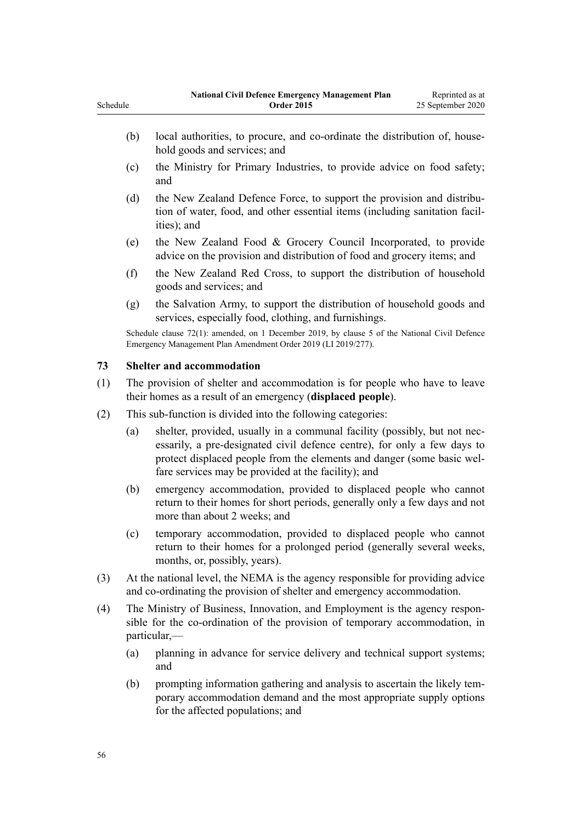- (b) local authorities, to procure, and co-ordinate the distribution of, household goods and services; and
- (c) the Ministry for Primary Industries, to provide advice on food safety; and
- (d) the New Zealand Defence Force, to support the provision and distribution of water, food, and other essential items (including sanitation facilities); and
- (e) the New Zealand Food & Grocery Council Incorporated, to provide advice on the provision and distribution of food and grocery items; and
- (f) the New Zealand Red Cross, to support the distribution of household goods and services; and
- (g) the Salvation Army, to support the distribution of household goods and services, especially food, clothing, and furnishings.

Schedule clause 72(1): amended, on 1 December 2019, by [clause 5](http://legislation.govt.nz/pdflink.aspx?id=LMS284019) of the National Civil Defence Emergency Management Plan Amendment Order 2019 (LI 2019/277).

### **73 Shelter and accommodation**

- (1) The provision of shelter and accommodation is for people who have to leave their homes as a result of an emergency (**displaced people**).
- (2) This sub-function is divided into the following categories:
	- (a) shelter, provided, usually in a communal facility (possibly, but not necessarily, a pre-designated civil defence centre), for only a few days to protect displaced people from the elements and danger (some basic welfare services may be provided at the facility); and
	- (b) emergency accommodation, provided to displaced people who cannot return to their homes for short periods, generally only a few days and not more than about 2 weeks; and
	- (c) temporary accommodation, provided to displaced people who cannot return to their homes for a prolonged period (generally several weeks, months, or, possibly, years).
- (3) At the national level, the NEMA is the agency responsible for providing advice and co-ordinating the provision of shelter and emergency accommodation.
- (4) The Ministry of Business, Innovation, and Employment is the agency responsible for the co-ordination of the provision of temporary accommodation, in particular,—
	- (a) planning in advance for service delivery and technical support systems; and
	- (b) prompting information gathering and analysis to ascertain the likely temporary accommodation demand and the most appropriate supply options for the affected populations; and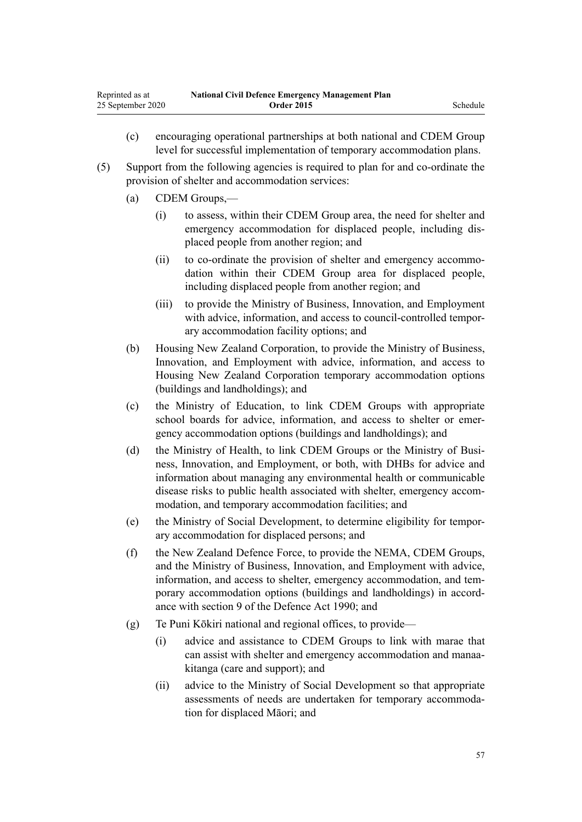- (c) encouraging operational partnerships at both national and CDEM Group level for successful implementation of temporary accommodation plans.
- (5) Support from the following agencies is required to plan for and co-ordinate the provision of shelter and accommodation services:
	- (a) CDEM Groups,—
		- (i) to assess, within their CDEM Group area, the need for shelter and emergency accommodation for displaced people, including displaced people from another region; and
		- (ii) to co-ordinate the provision of shelter and emergency accommodation within their CDEM Group area for displaced people, including displaced people from another region; and
		- (iii) to provide the Ministry of Business, Innovation, and Employment with advice, information, and access to council-controlled temporary accommodation facility options; and
	- (b) Housing New Zealand Corporation, to provide the Ministry of Business, Innovation, and Employment with advice, information, and access to Housing New Zealand Corporation temporary accommodation options (buildings and landholdings); and
	- (c) the Ministry of Education, to link CDEM Groups with appropriate school boards for advice, information, and access to shelter or emergency accommodation options (buildings and landholdings); and
	- (d) the Ministry of Health, to link CDEM Groups or the Ministry of Business, Innovation, and Employment, or both, with DHBs for advice and information about managing any environmental health or communicable disease risks to public health associated with shelter, emergency accommodation, and temporary accommodation facilities; and
	- (e) the Ministry of Social Development, to determine eligibility for temporary accommodation for displaced persons; and
	- (f) the New Zealand Defence Force, to provide the NEMA, CDEM Groups, and the Ministry of Business, Innovation, and Employment with advice, information, and access to shelter, emergency accommodation, and temporary accommodation options (buildings and landholdings) in accordance with [section 9](http://legislation.govt.nz/pdflink.aspx?id=DLM205887) of the Defence Act 1990; and
	- (g) Te Puni Kōkiri national and regional offices, to provide—
		- (i) advice and assistance to CDEM Groups to link with marae that can assist with shelter and emergency accommodation and manaakitanga (care and support); and
		- (ii) advice to the Ministry of Social Development so that appropriate assessments of needs are undertaken for temporary accommodation for displaced Māori; and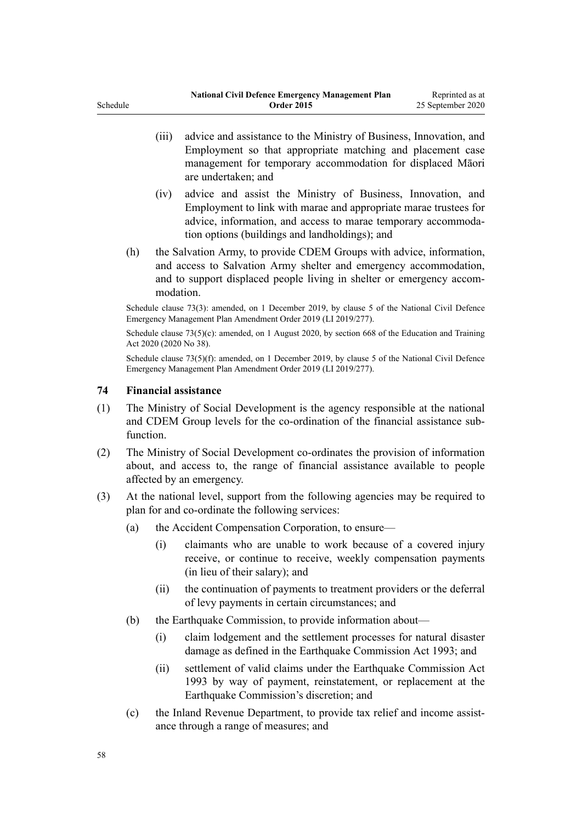- (iii) advice and assistance to the Ministry of Business, Innovation, and Employment so that appropriate matching and placement case management for temporary accommodation for displaced Māori are undertaken; and
	- (iv) advice and assist the Ministry of Business, Innovation, and Employment to link with marae and appropriate marae trustees for advice, information, and access to marae temporary accommodation options (buildings and landholdings); and
- (h) the Salvation Army, to provide CDEM Groups with advice, information, and access to Salvation Army shelter and emergency accommodation, and to support displaced people living in shelter or emergency accommodation.

Schedule clause 73(3): amended, on 1 December 2019, by [clause 5](http://legislation.govt.nz/pdflink.aspx?id=LMS284019) of the National Civil Defence Emergency Management Plan Amendment Order 2019 (LI 2019/277).

Schedule clause  $73(5)(c)$ : amended, on 1 August 2020, by [section 668](http://legislation.govt.nz/pdflink.aspx?id=LMS367713) of the Education and Training Act 2020 (2020 No 38).

Schedule clause 73(5)(f): amended, on 1 December 2019, by [clause 5](http://legislation.govt.nz/pdflink.aspx?id=LMS284019) of the National Civil Defence Emergency Management Plan Amendment Order 2019 (LI 2019/277).

### **74 Financial assistance**

- (1) The Ministry of Social Development is the agency responsible at the national and CDEM Group levels for the co-ordination of the financial assistance subfunction.
- (2) The Ministry of Social Development co-ordinates the provision of information about, and access to, the range of financial assistance available to people affected by an emergency.
- (3) At the national level, support from the following agencies may be required to plan for and co-ordinate the following services:
	- (a) the Accident Compensation Corporation, to ensure—
		- (i) claimants who are unable to work because of a covered injury receive, or continue to receive, weekly compensation payments (in lieu of their salary); and
		- (ii) the continuation of payments to treatment providers or the deferral of levy payments in certain circumstances; and
	- (b) the Earthquake Commission, to provide information about—
		- (i) claim lodgement and the settlement processes for natural disaster damage as defined in the [Earthquake Commission Act 1993](http://legislation.govt.nz/pdflink.aspx?id=DLM305967); and
		- (ii) settlement of valid claims under the [Earthquake Commission Act](http://legislation.govt.nz/pdflink.aspx?id=DLM305967) [1993](http://legislation.govt.nz/pdflink.aspx?id=DLM305967) by way of payment, reinstatement, or replacement at the Earthquake Commission's discretion; and
	- (c) the Inland Revenue Department, to provide tax relief and income assistance through a range of measures; and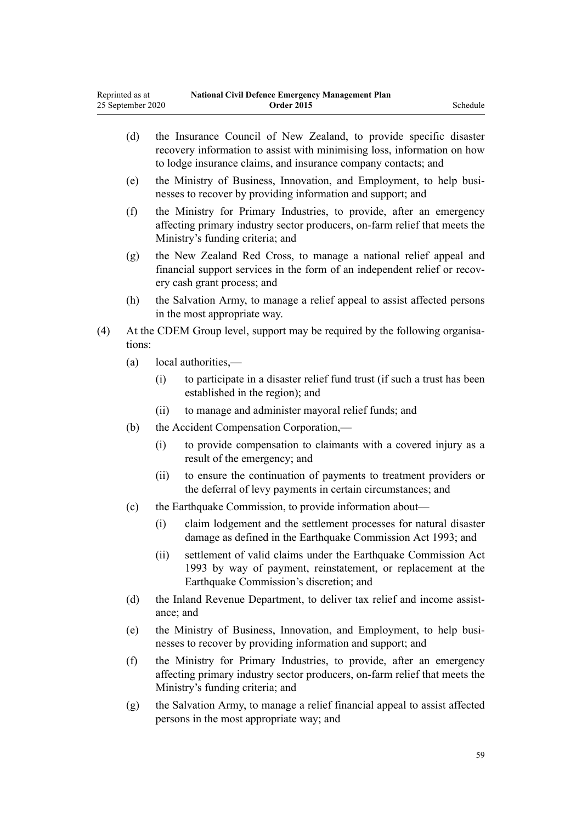|     | (d)    |                                                                                                                                                                               | the Insurance Council of New Zealand, to provide specific disaster<br>recovery information to assist with minimising loss, information on how<br>to lodge insurance claims, and insurance company contacts; and |  |  |
|-----|--------|-------------------------------------------------------------------------------------------------------------------------------------------------------------------------------|-----------------------------------------------------------------------------------------------------------------------------------------------------------------------------------------------------------------|--|--|
|     | (e)    |                                                                                                                                                                               | the Ministry of Business, Innovation, and Employment, to help busi-<br>nesses to recover by providing information and support; and                                                                              |  |  |
|     | (f)    |                                                                                                                                                                               | the Ministry for Primary Industries, to provide, after an emergency<br>affecting primary industry sector producers, on-farm relief that meets the<br>Ministry's funding criteria; and                           |  |  |
|     | (g)    | the New Zealand Red Cross, to manage a national relief appeal and<br>financial support services in the form of an independent relief or recov-<br>ery cash grant process; and |                                                                                                                                                                                                                 |  |  |
|     | (h)    |                                                                                                                                                                               | the Salvation Army, to manage a relief appeal to assist affected persons<br>in the most appropriate way.                                                                                                        |  |  |
| (4) | tions: |                                                                                                                                                                               | At the CDEM Group level, support may be required by the following organisa-                                                                                                                                     |  |  |
|     | (a)    |                                                                                                                                                                               | local authorities,—                                                                                                                                                                                             |  |  |
|     |        | (i)                                                                                                                                                                           | to participate in a disaster relief fund trust (if such a trust has been<br>established in the region); and                                                                                                     |  |  |
|     |        | (ii)                                                                                                                                                                          | to manage and administer mayoral relief funds; and                                                                                                                                                              |  |  |
|     | (b)    | the Accident Compensation Corporation,-                                                                                                                                       |                                                                                                                                                                                                                 |  |  |
|     |        | (i)                                                                                                                                                                           | to provide compensation to claimants with a covered injury as a<br>result of the emergency; and                                                                                                                 |  |  |
|     |        | (ii)                                                                                                                                                                          | to ensure the continuation of payments to treatment providers or<br>the deferral of levy payments in certain circumstances; and                                                                                 |  |  |
|     | (c)    | the Earthquake Commission, to provide information about—                                                                                                                      |                                                                                                                                                                                                                 |  |  |
|     |        | (i)                                                                                                                                                                           | claim lodgement and the settlement processes for natural disaster<br>damage as defined in the Earthquake Commission Act 1993; and                                                                               |  |  |
|     |        | (ii)                                                                                                                                                                          | settlement of valid claims under the Earthquake Commission Act<br>1993 by way of payment, reinstatement, or replacement at the<br>Earthquake Commission's discretion; and                                       |  |  |
|     | (d)    |                                                                                                                                                                               | the Inland Revenue Department, to deliver tax relief and income assist-                                                                                                                                         |  |  |

- ance; and
- (e) the Ministry of Business, Innovation, and Employment, to help businesses to recover by providing information and support; and
- (f) the Ministry for Primary Industries, to provide, after an emergency affecting primary industry sector producers, on-farm relief that meets the Ministry's funding criteria; and
- (g) the Salvation Army, to manage a relief financial appeal to assist affected persons in the most appropriate way; and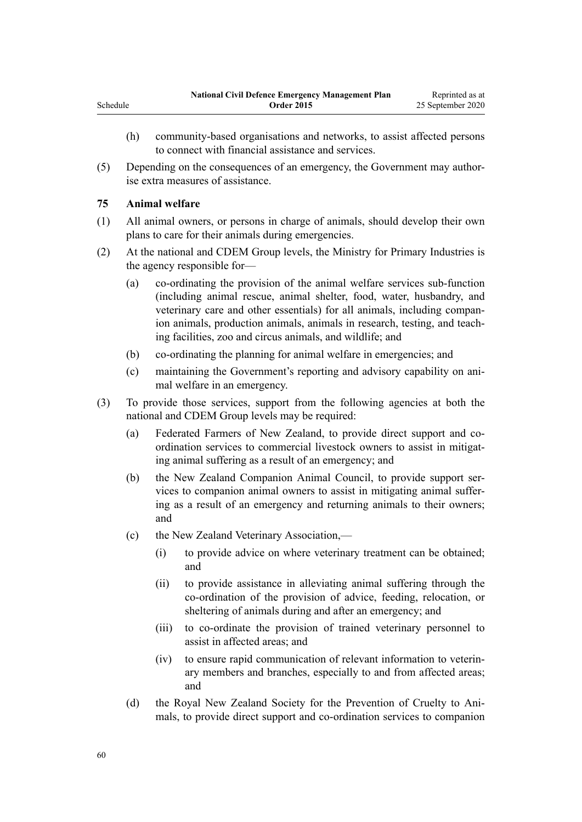- (h) community-based organisations and networks, to assist affected persons to connect with financial assistance and services.
- (5) Depending on the consequences of an emergency, the Government may authorise extra measures of assistance.

### **75 Animal welfare**

Schedule

- (1) All animal owners, or persons in charge of animals, should develop their own plans to care for their animals during emergencies.
- (2) At the national and CDEM Group levels, the Ministry for Primary Industries is the agency responsible for—
	- (a) co-ordinating the provision of the animal welfare services sub-function (including animal rescue, animal shelter, food, water, husbandry, and veterinary care and other essentials) for all animals, including companion animals, production animals, animals in research, testing, and teaching facilities, zoo and circus animals, and wildlife; and
	- (b) co-ordinating the planning for animal welfare in emergencies; and
	- (c) maintaining the Government's reporting and advisory capability on animal welfare in an emergency.
- (3) To provide those services, support from the following agencies at both the national and CDEM Group levels may be required:
	- (a) Federated Farmers of New Zealand, to provide direct support and coordination services to commercial livestock owners to assist in mitigating animal suffering as a result of an emergency; and
	- (b) the New Zealand Companion Animal Council, to provide support services to companion animal owners to assist in mitigating animal suffering as a result of an emergency and returning animals to their owners; and
	- (c) the New Zealand Veterinary Association,—
		- (i) to provide advice on where veterinary treatment can be obtained; and
		- (ii) to provide assistance in alleviating animal suffering through the co-ordination of the provision of advice, feeding, relocation, or sheltering of animals during and after an emergency; and
		- (iii) to co-ordinate the provision of trained veterinary personnel to assist in affected areas; and
		- (iv) to ensure rapid communication of relevant information to veterinary members and branches, especially to and from affected areas; and
	- (d) the Royal New Zealand Society for the Prevention of Cruelty to Animals, to provide direct support and co-ordination services to companion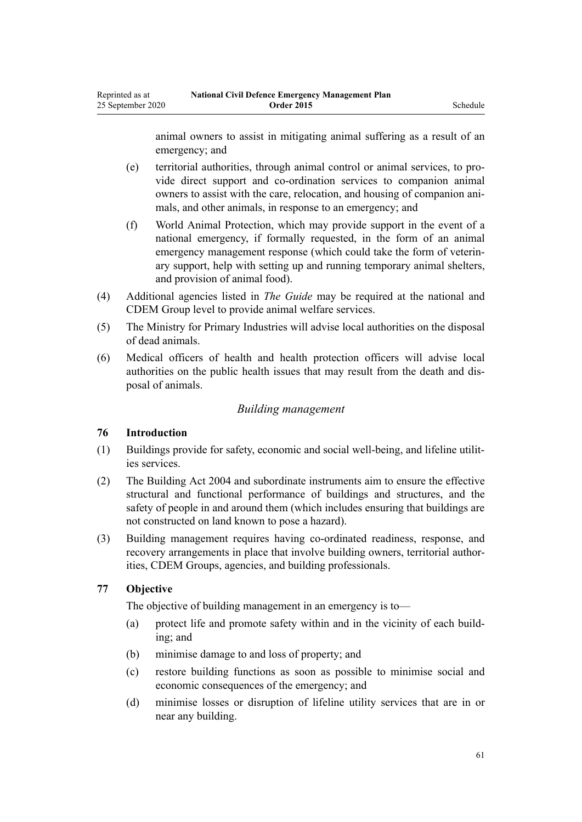animal owners to assist in mitigating animal suffering as a result of an emergency; and

- (e) territorial authorities, through animal control or animal services, to provide direct support and co-ordination services to companion animal owners to assist with the care, relocation, and housing of companion animals, and other animals, in response to an emergency; and
- (f) World Animal Protection, which may provide support in the event of a national emergency, if formally requested, in the form of an animal emergency management response (which could take the form of veterinary support, help with setting up and running temporary animal shelters, and provision of animal food).
- (4) Additional agencies listed in *The Guide* may be required at the national and CDEM Group level to provide animal welfare services.
- (5) The Ministry for Primary Industries will advise local authorities on the disposal of dead animals.
- (6) Medical officers of health and health protection officers will advise local authorities on the public health issues that may result from the death and disposal of animals.

### *Building management*

# **76 Introduction**

- (1) Buildings provide for safety, economic and social well-being, and lifeline utilities services.
- (2) The [Building Act 2004](http://legislation.govt.nz/pdflink.aspx?id=DLM306035) and subordinate instruments aim to ensure the effective structural and functional performance of buildings and structures, and the safety of people in and around them (which includes ensuring that buildings are not constructed on land known to pose a hazard).
- (3) Building management requires having co-ordinated readiness, response, and recovery arrangements in place that involve building owners, territorial authorities, CDEM Groups, agencies, and building professionals.

### **77 Objective**

The objective of building management in an emergency is to—

- (a) protect life and promote safety within and in the vicinity of each building; and
- (b) minimise damage to and loss of property; and
- (c) restore building functions as soon as possible to minimise social and economic consequences of the emergency; and
- (d) minimise losses or disruption of lifeline utility services that are in or near any building.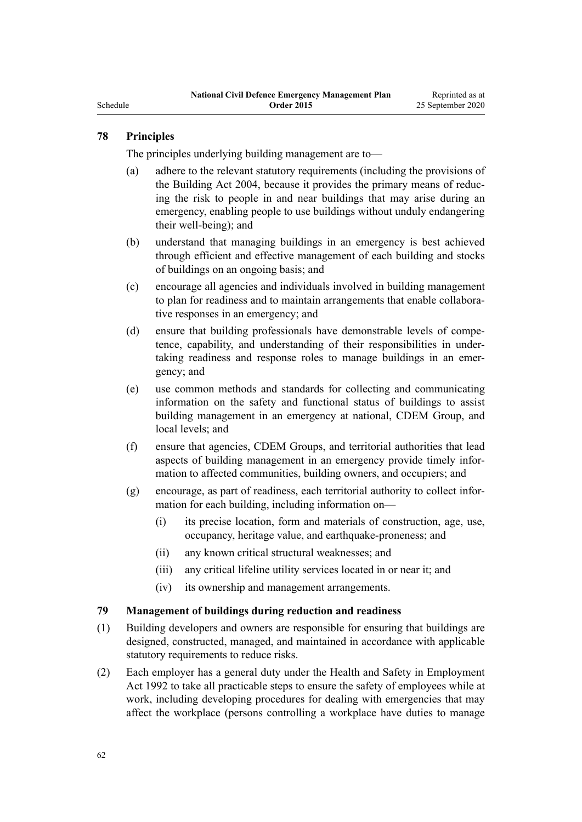# Schedule

# **78 Principles**

The principles underlying building management are to—

- (a) adhere to the relevant statutory requirements (including the provisions of the [Building Act 2004,](http://legislation.govt.nz/pdflink.aspx?id=DLM306035) because it provides the primary means of reducing the risk to people in and near buildings that may arise during an emergency, enabling people to use buildings without unduly endangering their well-being); and
- (b) understand that managing buildings in an emergency is best achieved through efficient and effective management of each building and stocks of buildings on an ongoing basis; and
- (c) encourage all agencies and individuals involved in building management to plan for readiness and to maintain arrangements that enable collaborative responses in an emergency; and
- (d) ensure that building professionals have demonstrable levels of competence, capability, and understanding of their responsibilities in undertaking readiness and response roles to manage buildings in an emergency; and
- (e) use common methods and standards for collecting and communicating information on the safety and functional status of buildings to assist building management in an emergency at national, CDEM Group, and local levels; and
- (f) ensure that agencies, CDEM Groups, and territorial authorities that lead aspects of building management in an emergency provide timely information to affected communities, building owners, and occupiers; and
- (g) encourage, as part of readiness, each territorial authority to collect information for each building, including information on—
	- (i) its precise location, form and materials of construction, age, use, occupancy, heritage value, and earthquake-proneness; and
	- (ii) any known critical structural weaknesses; and
	- (iii) any critical lifeline utility services located in or near it; and
	- (iv) its ownership and management arrangements.

### **79 Management of buildings during reduction and readiness**

- (1) Building developers and owners are responsible for ensuring that buildings are designed, constructed, managed, and maintained in accordance with applicable statutory requirements to reduce risks.
- (2) Each employer has a general duty under the [Health and Safety in Employment](http://legislation.govt.nz/pdflink.aspx?id=DLM278828) [Act 1992](http://legislation.govt.nz/pdflink.aspx?id=DLM278828) to take all practicable steps to ensure the safety of employees while at work, including developing procedures for dealing with emergencies that may affect the workplace (persons controlling a workplace have duties to manage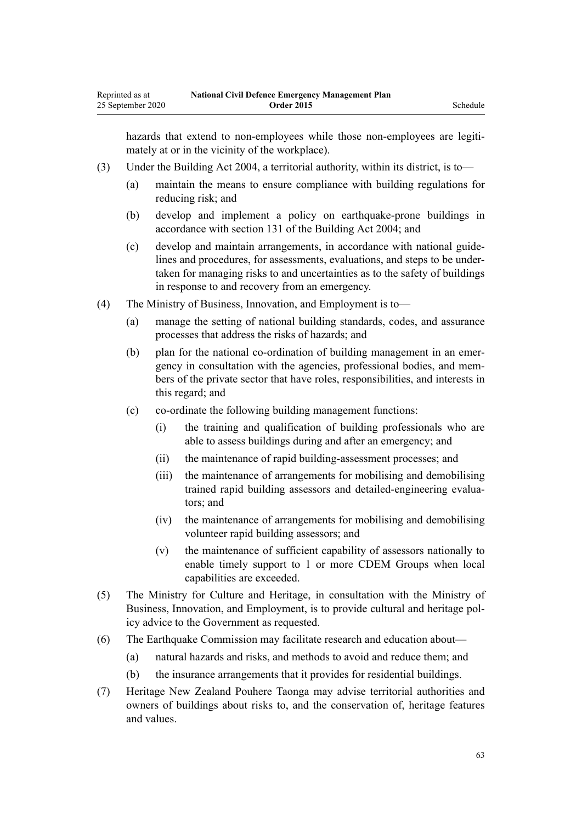hazards that extend to non-employees while those non-employees are legitimately at or in the vicinity of the workplace).

- (3) Under the [Building Act 2004](http://legislation.govt.nz/pdflink.aspx?id=DLM306035), a territorial authority, within its district, is to—
	- (a) maintain the means to ensure compliance with building regulations for reducing risk; and
	- (b) develop and implement a policy on earthquake-prone buildings in accordance with [section 131](http://legislation.govt.nz/pdflink.aspx?id=DLM307308) of the Building Act 2004; and
	- (c) develop and maintain arrangements, in accordance with national guidelines and procedures, for assessments, evaluations, and steps to be undertaken for managing risks to and uncertainties as to the safety of buildings in response to and recovery from an emergency.
- (4) The Ministry of Business, Innovation, and Employment is to—
	- (a) manage the setting of national building standards, codes, and assurance processes that address the risks of hazards; and
	- (b) plan for the national co-ordination of building management in an emergency in consultation with the agencies, professional bodies, and members of the private sector that have roles, responsibilities, and interests in this regard; and
	- (c) co-ordinate the following building management functions:
		- (i) the training and qualification of building professionals who are able to assess buildings during and after an emergency; and
		- (ii) the maintenance of rapid building-assessment processes; and
		- (iii) the maintenance of arrangements for mobilising and demobilising trained rapid building assessors and detailed-engineering evaluators; and
		- (iv) the maintenance of arrangements for mobilising and demobilising volunteer rapid building assessors; and
		- (v) the maintenance of sufficient capability of assessors nationally to enable timely support to 1 or more CDEM Groups when local capabilities are exceeded.
- (5) The Ministry for Culture and Heritage, in consultation with the Ministry of Business, Innovation, and Employment, is to provide cultural and heritage policy advice to the Government as requested.
- (6) The Earthquake Commission may facilitate research and education about—
	- (a) natural hazards and risks, and methods to avoid and reduce them; and
	- (b) the insurance arrangements that it provides for residential buildings.
- (7) Heritage New Zealand Pouhere Taonga may advise territorial authorities and owners of buildings about risks to, and the conservation of, heritage features and values.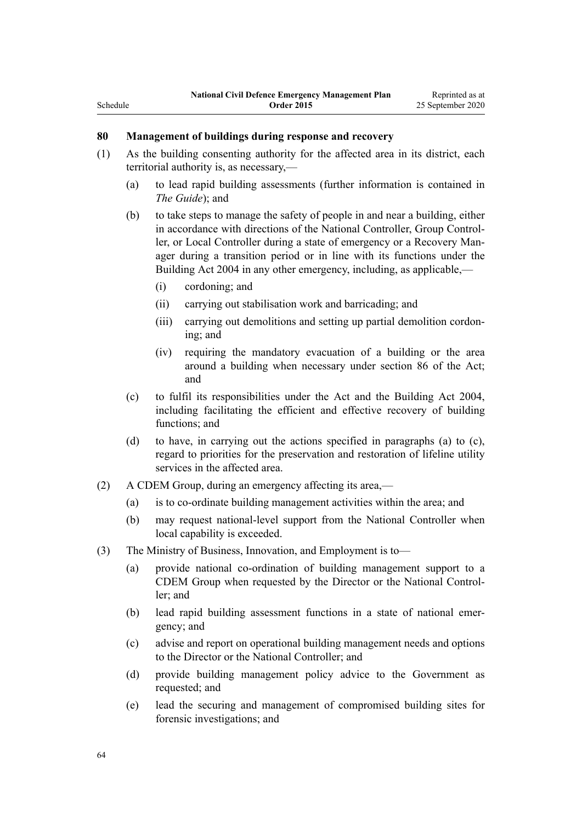# **80 Management of buildings during response and recovery**

- (1) As the building consenting authority for the affected area in its district, each territorial authority is, as necessary,—
	- (a) to lead rapid building assessments (further information is contained in *The Guide*); and
	- (b) to take steps to manage the safety of people in and near a building, either in accordance with directions of the National Controller, Group Controller, or Local Controller during a state of emergency or a Recovery Manager during a transition period or in line with its functions under the [Building Act 2004](http://legislation.govt.nz/pdflink.aspx?id=DLM306035) in any other emergency, including, as applicable,—
		- (i) cordoning; and
		- (ii) carrying out stabilisation work and barricading; and
		- (iii) carrying out demolitions and setting up partial demolition cordoning; and
		- (iv) requiring the mandatory evacuation of a building or the area around a building when necessary under [section 86](http://legislation.govt.nz/pdflink.aspx?id=DLM150799) of the Act; and
	- (c) to fulfil its responsibilities under the Act and the [Building Act 2004](http://legislation.govt.nz/pdflink.aspx?id=DLM306035), including facilitating the efficient and effective recovery of building functions; and
	- (d) to have, in carrying out the actions specified in paragraphs (a) to (c), regard to priorities for the preservation and restoration of lifeline utility services in the affected area.
- (2) A CDEM Group, during an emergency affecting its area,—
	- (a) is to co-ordinate building management activities within the area; and
	- (b) may request national-level support from the National Controller when local capability is exceeded.
- (3) The Ministry of Business, Innovation, and Employment is to—
	- (a) provide national co-ordination of building management support to a CDEM Group when requested by the Director or the National Controller; and
	- (b) lead rapid building assessment functions in a state of national emergency; and
	- (c) advise and report on operational building management needs and options to the Director or the National Controller; and
	- (d) provide building management policy advice to the Government as requested; and
	- (e) lead the securing and management of compromised building sites for forensic investigations; and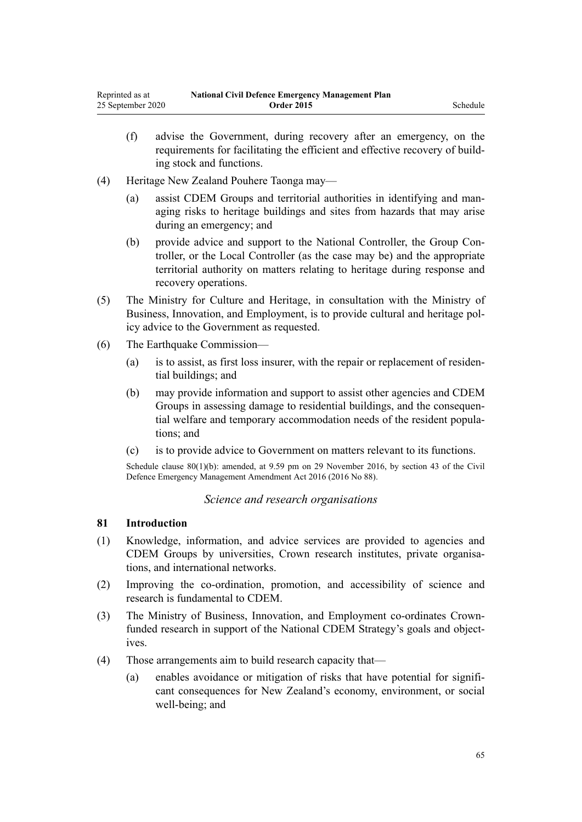- (f) advise the Government, during recovery after an emergency, on the requirements for facilitating the efficient and effective recovery of building stock and functions.
- (4) Heritage New Zealand Pouhere Taonga may—
	- (a) assist CDEM Groups and territorial authorities in identifying and managing risks to heritage buildings and sites from hazards that may arise during an emergency; and
	- (b) provide advice and support to the National Controller, the Group Controller, or the Local Controller (as the case may be) and the appropriate territorial authority on matters relating to heritage during response and recovery operations.
- (5) The Ministry for Culture and Heritage, in consultation with the Ministry of Business, Innovation, and Employment, is to provide cultural and heritage policy advice to the Government as requested.
- (6) The Earthquake Commission—
	- (a) is to assist, as first loss insurer, with the repair or replacement of residential buildings; and
	- (b) may provide information and support to assist other agencies and CDEM Groups in assessing damage to residential buildings, and the consequential welfare and temporary accommodation needs of the resident populations; and
	- (c) is to provide advice to Government on matters relevant to its functions.

Schedule clause 80(1)(b): amended, at 9.59 pm on 29 November 2016, by [section 43](http://legislation.govt.nz/pdflink.aspx?id=DLM6928006) of the Civil Defence Emergency Management Amendment Act 2016 (2016 No 88).

# *Science and research organisations*

### **81 Introduction**

- (1) Knowledge, information, and advice services are provided to agencies and CDEM Groups by universities, Crown research institutes, private organisations, and international networks.
- (2) Improving the co-ordination, promotion, and accessibility of science and research is fundamental to CDEM.
- (3) The Ministry of Business, Innovation, and Employment co-ordinates Crownfunded research in support of the National CDEM Strategy's goals and objectives.
- (4) Those arrangements aim to build research capacity that—
	- (a) enables avoidance or mitigation of risks that have potential for significant consequences for New Zealand's economy, environment, or social well-being; and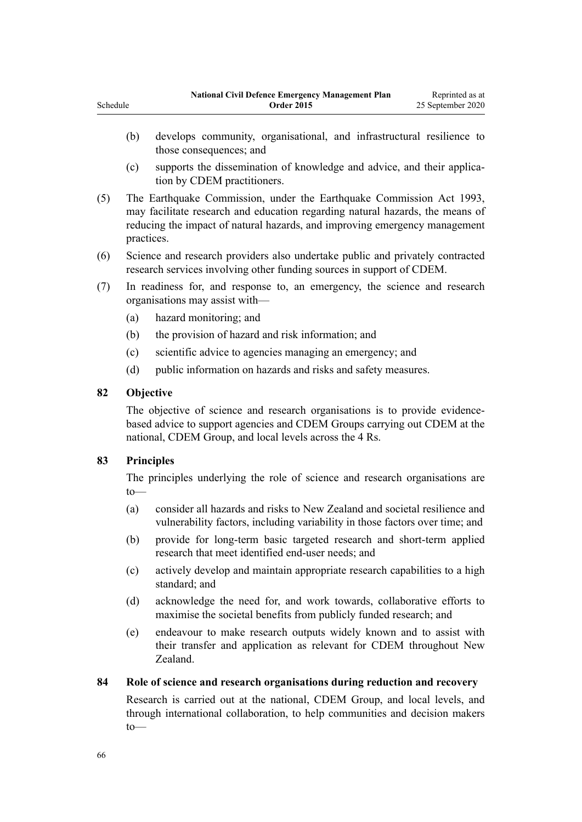- (c) supports the dissemination of knowledge and advice, and their application by CDEM practitioners.
- (5) The Earthquake Commission, under the [Earthquake Commission Act 1993](http://legislation.govt.nz/pdflink.aspx?id=DLM305967), may facilitate research and education regarding natural hazards, the means of reducing the impact of natural hazards, and improving emergency management practices.
- (6) Science and research providers also undertake public and privately contracted research services involving other funding sources in support of CDEM.
- (7) In readiness for, and response to, an emergency, the science and research organisations may assist with—
	- (a) hazard monitoring; and
	- (b) the provision of hazard and risk information; and
	- (c) scientific advice to agencies managing an emergency; and
	- (d) public information on hazards and risks and safety measures.

# **82 Objective**

The objective of science and research organisations is to provide evidencebased advice to support agencies and CDEM Groups carrying out CDEM at the national, CDEM Group, and local levels across the 4 Rs.

# **83 Principles**

The principles underlying the role of science and research organisations are to—

- (a) consider all hazards and risks to New Zealand and societal resilience and vulnerability factors, including variability in those factors over time; and
- (b) provide for long-term basic targeted research and short-term applied research that meet identified end-user needs; and
- (c) actively develop and maintain appropriate research capabilities to a high standard; and
- (d) acknowledge the need for, and work towards, collaborative efforts to maximise the societal benefits from publicly funded research; and
- (e) endeavour to make research outputs widely known and to assist with their transfer and application as relevant for CDEM throughout New Zealand.

# **84 Role of science and research organisations during reduction and recovery**

Research is carried out at the national, CDEM Group, and local levels, and through international collaboration, to help communities and decision makers to—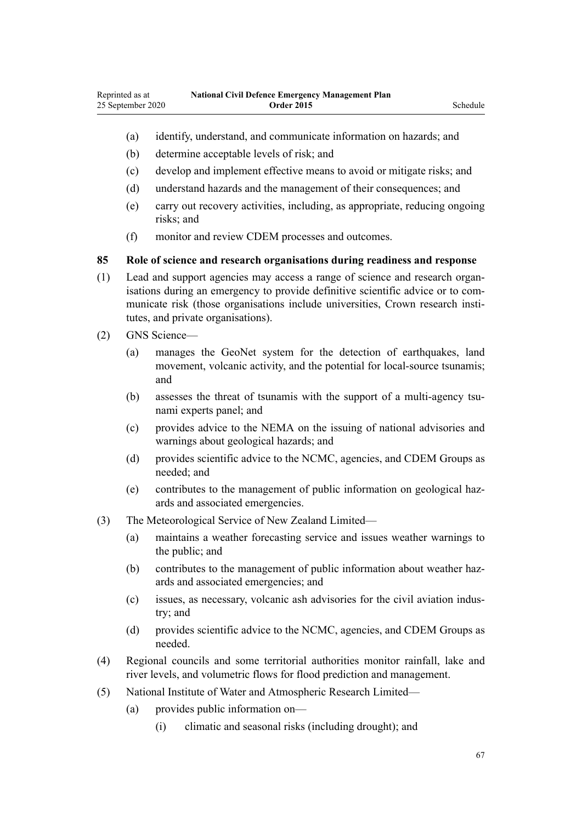- (a) identify, understand, and communicate information on hazards; and
- (b) determine acceptable levels of risk; and
- (c) develop and implement effective means to avoid or mitigate risks; and
- (d) understand hazards and the management of their consequences; and
- (e) carry out recovery activities, including, as appropriate, reducing ongoing risks; and
- (f) monitor and review CDEM processes and outcomes.

#### **85 Role of science and research organisations during readiness and response**

- (1) Lead and support agencies may access a range of science and research organisations during an emergency to provide definitive scientific advice or to communicate risk (those organisations include universities, Crown research institutes, and private organisations).
- (2) GNS Science—
	- (a) manages the GeoNet system for the detection of earthquakes, land movement, volcanic activity, and the potential for local-source tsunamis; and
	- (b) assesses the threat of tsunamis with the support of a multi-agency tsunami experts panel; and
	- (c) provides advice to the NEMA on the issuing of national advisories and warnings about geological hazards; and
	- (d) provides scientific advice to the NCMC, agencies, and CDEM Groups as needed; and
	- (e) contributes to the management of public information on geological hazards and associated emergencies.
- (3) The Meteorological Service of New Zealand Limited—
	- (a) maintains a weather forecasting service and issues weather warnings to the public; and
	- (b) contributes to the management of public information about weather hazards and associated emergencies; and
	- (c) issues, as necessary, volcanic ash advisories for the civil aviation industry; and
	- (d) provides scientific advice to the NCMC, agencies, and CDEM Groups as needed.
- (4) Regional councils and some territorial authorities monitor rainfall, lake and river levels, and volumetric flows for flood prediction and management.
- (5) National Institute of Water and Atmospheric Research Limited—
	- (a) provides public information on—
		- (i) climatic and seasonal risks (including drought); and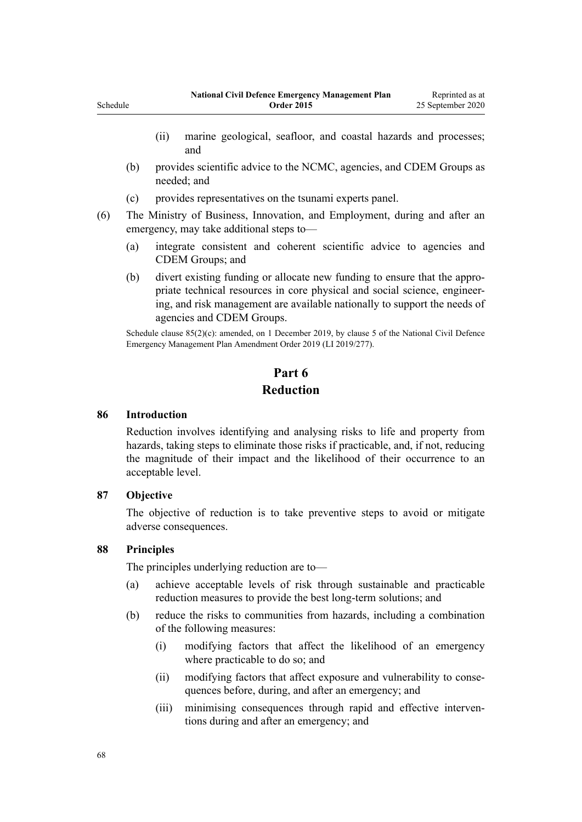- (ii) marine geological, seafloor, and coastal hazards and processes; and
- (b) provides scientific advice to the NCMC, agencies, and CDEM Groups as needed; and
- (c) provides representatives on the tsunami experts panel.
- (6) The Ministry of Business, Innovation, and Employment, during and after an emergency, may take additional steps to—
	- (a) integrate consistent and coherent scientific advice to agencies and CDEM Groups; and
	- (b) divert existing funding or allocate new funding to ensure that the appropriate technical resources in core physical and social science, engineering, and risk management are available nationally to support the needs of agencies and CDEM Groups.

Schedule clause 85(2)(c): amended, on 1 December 2019, by [clause 5](http://legislation.govt.nz/pdflink.aspx?id=LMS284019) of the National Civil Defence Emergency Management Plan Amendment Order 2019 (LI 2019/277).

# **Part 6**

# **Reduction**

### **86 Introduction**

Reduction involves identifying and analysing risks to life and property from hazards, taking steps to eliminate those risks if practicable, and, if not, reducing the magnitude of their impact and the likelihood of their occurrence to an acceptable level.

### **87 Objective**

The objective of reduction is to take preventive steps to avoid or mitigate adverse consequences.

### **88 Principles**

The principles underlying reduction are to—

- (a) achieve acceptable levels of risk through sustainable and practicable reduction measures to provide the best long-term solutions; and
- (b) reduce the risks to communities from hazards, including a combination of the following measures:
	- (i) modifying factors that affect the likelihood of an emergency where practicable to do so; and
	- (ii) modifying factors that affect exposure and vulnerability to consequences before, during, and after an emergency; and
	- (iii) minimising consequences through rapid and effective interventions during and after an emergency; and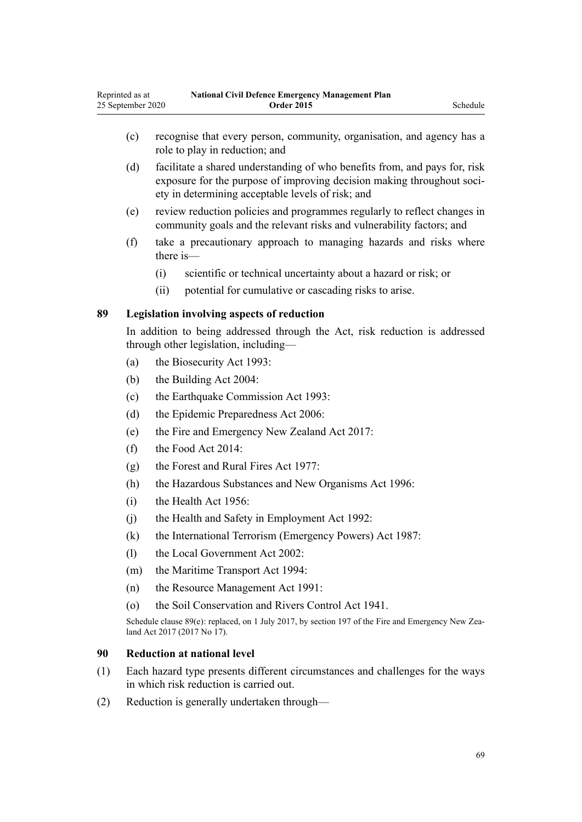- (c) recognise that every person, community, organisation, and agency has a role to play in reduction; and
- (d) facilitate a shared understanding of who benefits from, and pays for, risk exposure for the purpose of improving decision making throughout society in determining acceptable levels of risk; and
- (e) review reduction policies and programmes regularly to reflect changes in community goals and the relevant risks and vulnerability factors; and
- (f) take a precautionary approach to managing hazards and risks where there is—
	- (i) scientific or technical uncertainty about a hazard or risk; or
	- (ii) potential for cumulative or cascading risks to arise.

### **89 Legislation involving aspects of reduction**

In addition to being addressed through the Act, risk reduction is addressed through other legislation, including—

- (a) the [Biosecurity Act 1993:](http://legislation.govt.nz/pdflink.aspx?id=DLM314622)
- (b) the [Building Act 2004:](http://legislation.govt.nz/pdflink.aspx?id=DLM306035)
- (c) the [Earthquake Commission Act 1993:](http://legislation.govt.nz/pdflink.aspx?id=DLM305967)
- (d) the [Epidemic Preparedness Act 2006](http://legislation.govt.nz/pdflink.aspx?id=DLM404458):
- (e) the [Fire and Emergency New Zealand Act 2017](http://legislation.govt.nz/pdflink.aspx?id=DLM6712700):
- (f) the [Food Act 2014](http://legislation.govt.nz/pdflink.aspx?id=DLM2995802):
- (g) the [Forest and Rural Fires Act 1977](http://legislation.govt.nz/pdflink.aspx?id=DLM442946):
- (h) the [Hazardous Substances and New Organisms Act 1996](http://legislation.govt.nz/pdflink.aspx?id=DLM381221):
- (i) the [Health Act 1956](http://legislation.govt.nz/pdflink.aspx?id=DLM305839):
- (j) the [Health and Safety in Employment Act 1992:](http://legislation.govt.nz/pdflink.aspx?id=DLM278828)
- (k) the [International Terrorism \(Emergency Powers\) Act 1987:](http://legislation.govt.nz/pdflink.aspx?id=DLM124822)
- (l) the [Local Government Act 2002](http://legislation.govt.nz/pdflink.aspx?id=DLM170872):
- (m) the [Maritime Transport Act 1994](http://legislation.govt.nz/pdflink.aspx?id=DLM334659):
- (n) the [Resource Management Act 1991](http://legislation.govt.nz/pdflink.aspx?id=DLM230264):
- (o) the [Soil Conservation and Rivers Control Act 1941.](http://legislation.govt.nz/pdflink.aspx?id=DLM230364)

Schedule clause 89(e): replaced, on 1 July 2017, by [section 197](http://legislation.govt.nz/pdflink.aspx?id=DLM6678752) of the Fire and Emergency New Zealand Act 2017 (2017 No 17).

### **90 Reduction at national level**

- (1) Each hazard type presents different circumstances and challenges for the ways in which risk reduction is carried out.
- (2) Reduction is generally undertaken through—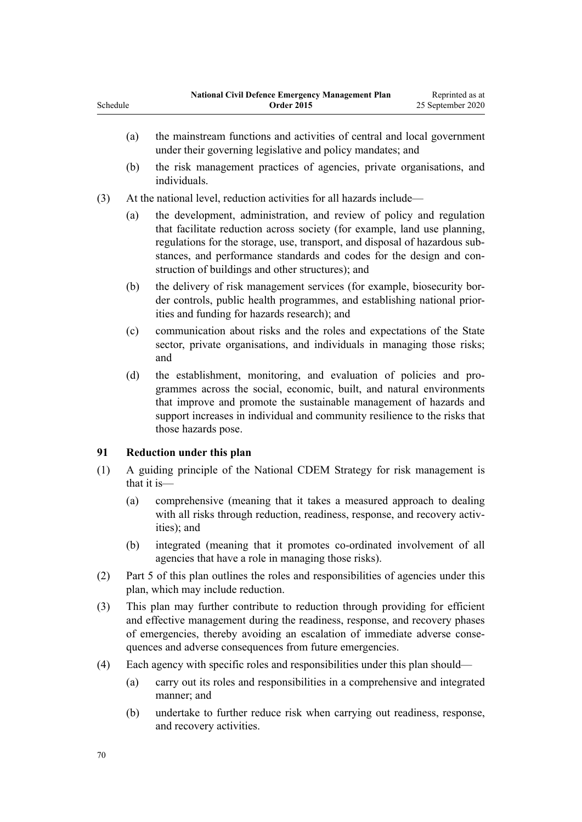|          | <b>National Civil Defence Emergency Management Plan</b> | Reprinted as at   |
|----------|---------------------------------------------------------|-------------------|
| Schedule | <b>Order 2015</b>                                       | 25 September 2020 |
|          |                                                         |                   |

- (a) the mainstream functions and activities of central and local government under their governing legislative and policy mandates; and
- (b) the risk management practices of agencies, private organisations, and individuals.
- (3) At the national level, reduction activities for all hazards include—
	- (a) the development, administration, and review of policy and regulation that facilitate reduction across society (for example, land use planning, regulations for the storage, use, transport, and disposal of hazardous substances, and performance standards and codes for the design and construction of buildings and other structures); and
	- (b) the delivery of risk management services (for example, biosecurity border controls, public health programmes, and establishing national priorities and funding for hazards research); and
	- (c) communication about risks and the roles and expectations of the State sector, private organisations, and individuals in managing those risks; and
	- (d) the establishment, monitoring, and evaluation of policies and programmes across the social, economic, built, and natural environments that improve and promote the sustainable management of hazards and support increases in individual and community resilience to the risks that those hazards pose.

# **91 Reduction under this plan**

- (1) A guiding principle of the National CDEM Strategy for risk management is that it is—
	- (a) comprehensive (meaning that it takes a measured approach to dealing with all risks through reduction, readiness, response, and recovery activities); and
	- (b) integrated (meaning that it promotes co-ordinated involvement of all agencies that have a role in managing those risks).
- (2) Part 5 of this plan outlines the roles and responsibilities of agencies under this plan, which may include reduction.
- (3) This plan may further contribute to reduction through providing for efficient and effective management during the readiness, response, and recovery phases of emergencies, thereby avoiding an escalation of immediate adverse consequences and adverse consequences from future emergencies.
- (4) Each agency with specific roles and responsibilities under this plan should—
	- (a) carry out its roles and responsibilities in a comprehensive and integrated manner; and
	- (b) undertake to further reduce risk when carrying out readiness, response, and recovery activities.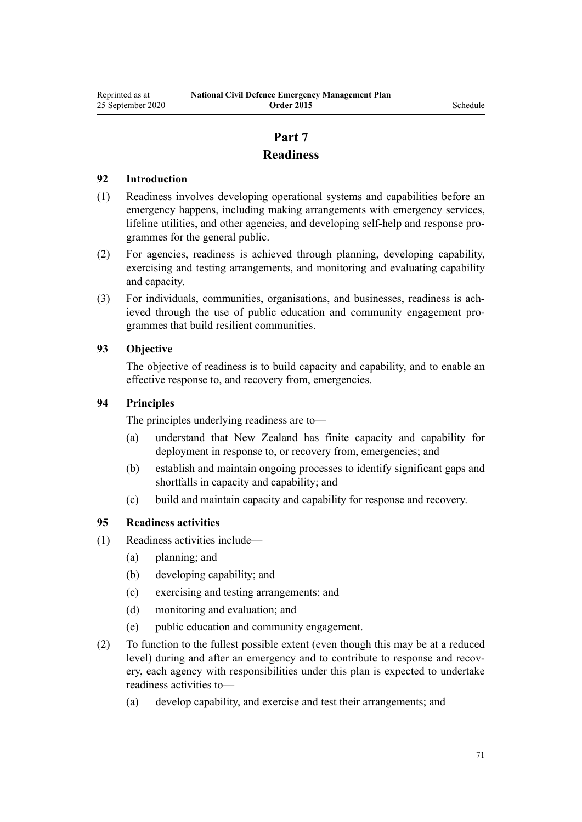# **Part 7 Readiness**

# **92 Introduction**

- (1) Readiness involves developing operational systems and capabilities before an emergency happens, including making arrangements with emergency services, lifeline utilities, and other agencies, and developing self-help and response programmes for the general public.
- (2) For agencies, readiness is achieved through planning, developing capability, exercising and testing arrangements, and monitoring and evaluating capability and capacity.
- (3) For individuals, communities, organisations, and businesses, readiness is achieved through the use of public education and community engagement programmes that build resilient communities.

# **93 Objective**

The objective of readiness is to build capacity and capability, and to enable an effective response to, and recovery from, emergencies.

### **94 Principles**

The principles underlying readiness are to—

- (a) understand that New Zealand has finite capacity and capability for deployment in response to, or recovery from, emergencies; and
- (b) establish and maintain ongoing processes to identify significant gaps and shortfalls in capacity and capability; and
- (c) build and maintain capacity and capability for response and recovery.

# **95 Readiness activities**

- (1) Readiness activities include—
	- (a) planning; and
	- (b) developing capability; and
	- (c) exercising and testing arrangements; and
	- (d) monitoring and evaluation; and
	- (e) public education and community engagement.
- (2) To function to the fullest possible extent (even though this may be at a reduced level) during and after an emergency and to contribute to response and recovery, each agency with responsibilities under this plan is expected to undertake readiness activities to—
	- (a) develop capability, and exercise and test their arrangements; and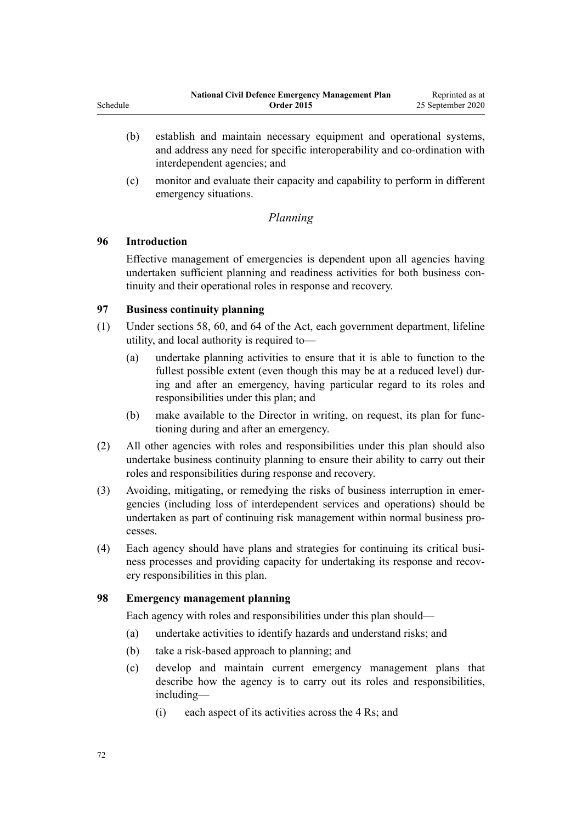- (b) establish and maintain necessary equipment and operational systems, and address any need for specific interoperability and co-ordination with interdependent agencies; and
- (c) monitor and evaluate their capacity and capability to perform in different emergency situations.

# *Planning*

# **96 Introduction**

Effective management of emergencies is dependent upon all agencies having undertaken sufficient planning and readiness activities for both business continuity and their operational roles in response and recovery.

# **97 Business continuity planning**

- (1) Under [sections 58,](http://legislation.govt.nz/pdflink.aspx?id=DLM150762) [60](http://legislation.govt.nz/pdflink.aspx?id=DLM150765), and [64](http://legislation.govt.nz/pdflink.aspx?id=DLM150771) of the Act, each government department, lifeline utility, and local authority is required to—
	- (a) undertake planning activities to ensure that it is able to function to the fullest possible extent (even though this may be at a reduced level) during and after an emergency, having particular regard to its roles and responsibilities under this plan; and
	- (b) make available to the Director in writing, on request, its plan for functioning during and after an emergency.
- (2) All other agencies with roles and responsibilities under this plan should also undertake business continuity planning to ensure their ability to carry out their roles and responsibilities during response and recovery.
- (3) Avoiding, mitigating, or remedying the risks of business interruption in emergencies (including loss of interdependent services and operations) should be undertaken as part of continuing risk management within normal business processes.
- (4) Each agency should have plans and strategies for continuing its critical business processes and providing capacity for undertaking its response and recovery responsibilities in this plan.

# **98 Emergency management planning**

Each agency with roles and responsibilities under this plan should—

- (a) undertake activities to identify hazards and understand risks; and
- (b) take a risk-based approach to planning; and
- (c) develop and maintain current emergency management plans that describe how the agency is to carry out its roles and responsibilities, including—
	- (i) each aspect of its activities across the 4 Rs; and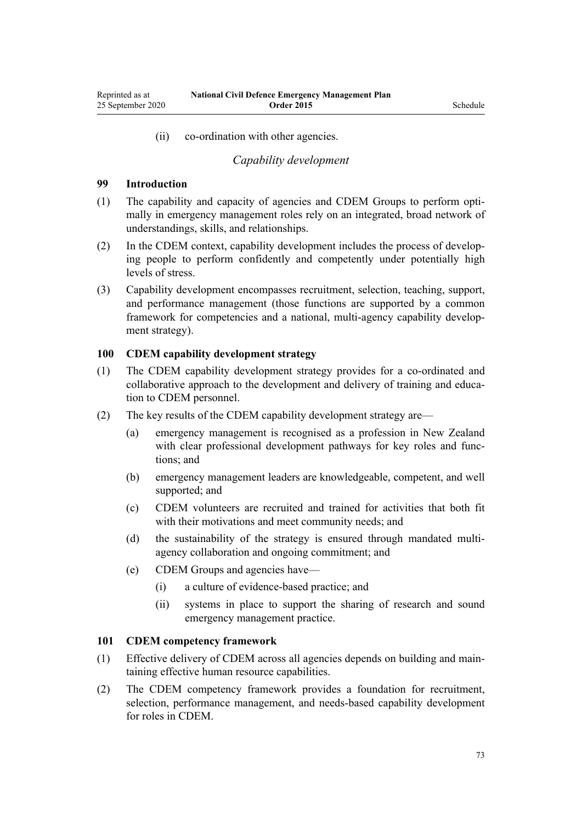(ii) co-ordination with other agencies.

# *Capability development*

#### **99 Introduction**

- (1) The capability and capacity of agencies and CDEM Groups to perform optimally in emergency management roles rely on an integrated, broad network of understandings, skills, and relationships.
- (2) In the CDEM context, capability development includes the process of developing people to perform confidently and competently under potentially high levels of stress.
- (3) Capability development encompasses recruitment, selection, teaching, support, and performance management (those functions are supported by a common framework for competencies and a national, multi-agency capability development strategy).

#### **100 CDEM capability development strategy**

- (1) The CDEM capability development strategy provides for a co-ordinated and collaborative approach to the development and delivery of training and education to CDEM personnel.
- (2) The key results of the CDEM capability development strategy are—
	- (a) emergency management is recognised as a profession in New Zealand with clear professional development pathways for key roles and functions; and
	- (b) emergency management leaders are knowledgeable, competent, and well supported; and
	- (c) CDEM volunteers are recruited and trained for activities that both fit with their motivations and meet community needs; and
	- (d) the sustainability of the strategy is ensured through mandated multiagency collaboration and ongoing commitment; and
	- (e) CDEM Groups and agencies have—
		- (i) a culture of evidence-based practice; and
		- (ii) systems in place to support the sharing of research and sound emergency management practice.

#### **101 CDEM competency framework**

- (1) Effective delivery of CDEM across all agencies depends on building and maintaining effective human resource capabilities.
- (2) The CDEM competency framework provides a foundation for recruitment, selection, performance management, and needs-based capability development for roles in CDEM.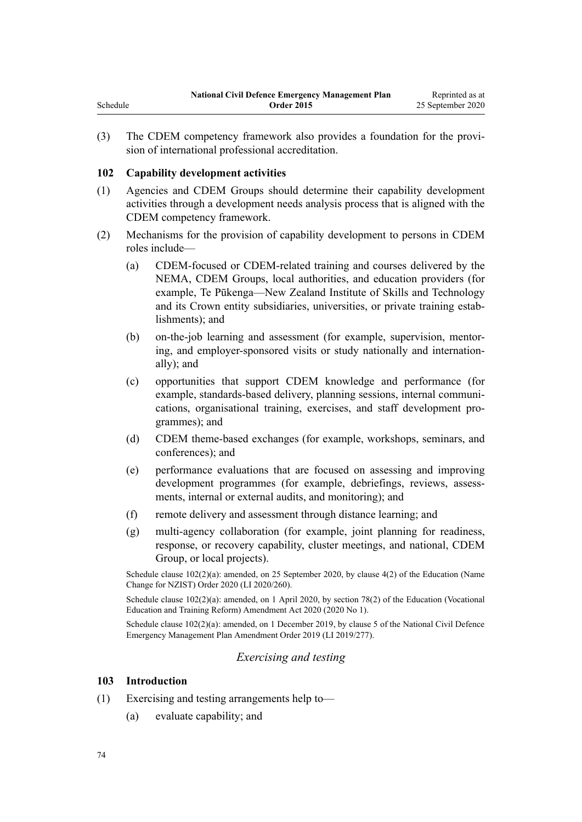(3) The CDEM competency framework also provides a foundation for the provision of international professional accreditation.

# **102 Capability development activities**

- (1) Agencies and CDEM Groups should determine their capability development activities through a development needs analysis process that is aligned with the CDEM competency framework.
- (2) Mechanisms for the provision of capability development to persons in CDEM roles include—
	- (a) CDEM-focused or CDEM-related training and courses delivered by the NEMA, CDEM Groups, local authorities, and education providers (for example, Te Pūkenga—New Zealand Institute of Skills and Technology and its Crown entity subsidiaries, universities, or private training establishments); and
	- (b) on-the-job learning and assessment (for example, supervision, mentoring, and employer-sponsored visits or study nationally and internationally); and
	- (c) opportunities that support CDEM knowledge and performance (for example, standards-based delivery, planning sessions, internal communications, organisational training, exercises, and staff development programmes); and
	- (d) CDEM theme-based exchanges (for example, workshops, seminars, and conferences); and
	- (e) performance evaluations that are focused on assessing and improving development programmes (for example, debriefings, reviews, assessments, internal or external audits, and monitoring); and
	- (f) remote delivery and assessment through distance learning; and
	- (g) multi-agency collaboration (for example, joint planning for readiness, response, or recovery capability, cluster meetings, and national, CDEM Group, or local projects).

Schedule clause  $102(2)(a)$ : amended, on 25 September 2020, by [clause 4\(2\)](http://legislation.govt.nz/pdflink.aspx?id=LMS408582) of the Education (Name Change for NZIST) Order 2020 (LI 2020/260).

Schedule clause  $102(2)(a)$ : amended, on 1 April 2020, by [section 78\(2\)](http://legislation.govt.nz/pdflink.aspx?id=LMS245981) of the Education (Vocational Education and Training Reform) Amendment Act 2020 (2020 No 1).

Schedule clause 102(2)(a): amended, on 1 December 2019, by [clause 5](http://legislation.govt.nz/pdflink.aspx?id=LMS284019) of the National Civil Defence Emergency Management Plan Amendment Order 2019 (LI 2019/277).

# *Exercising and testing*

# **103 Introduction**

- (1) Exercising and testing arrangements help to—
	- (a) evaluate capability; and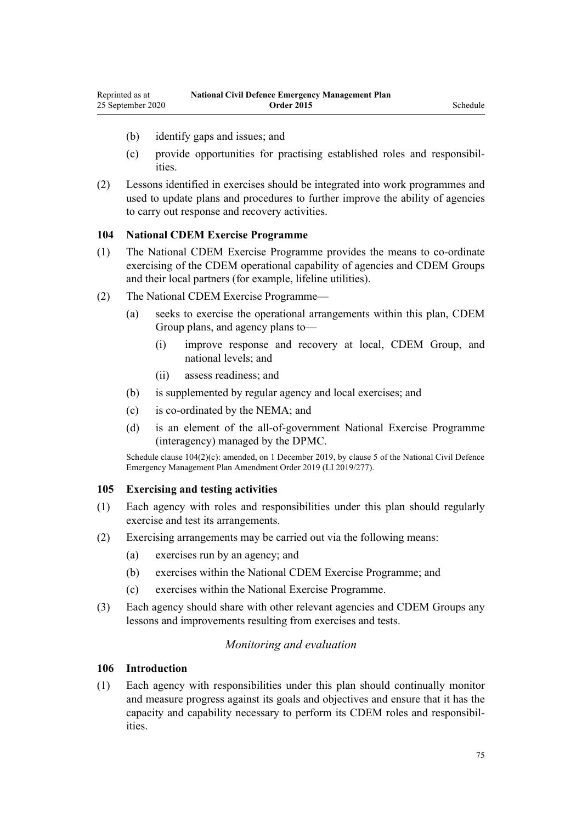- (b) identify gaps and issues; and
- (c) provide opportunities for practising established roles and responsibilities.
- (2) Lessons identified in exercises should be integrated into work programmes and used to update plans and procedures to further improve the ability of agencies to carry out response and recovery activities.

## **104 National CDEM Exercise Programme**

- (1) The National CDEM Exercise Programme provides the means to co-ordinate exercising of the CDEM operational capability of agencies and CDEM Groups and their local partners (for example, lifeline utilities).
- (2) The National CDEM Exercise Programme—
	- (a) seeks to exercise the operational arrangements within this plan, CDEM Group plans, and agency plans to—
		- (i) improve response and recovery at local, CDEM Group, and national levels; and
		- (ii) assess readiness; and
	- (b) is supplemented by regular agency and local exercises; and
	- (c) is co-ordinated by the NEMA; and
	- (d) is an element of the all-of-government National Exercise Programme (interagency) managed by the DPMC.

Schedule clause  $104(2)(c)$ : amended, on 1 December 2019, by [clause 5](http://legislation.govt.nz/pdflink.aspx?id=LMS284019) of the National Civil Defence Emergency Management Plan Amendment Order 2019 (LI 2019/277).

#### **105 Exercising and testing activities**

- (1) Each agency with roles and responsibilities under this plan should regularly exercise and test its arrangements.
- (2) Exercising arrangements may be carried out via the following means:
	- (a) exercises run by an agency; and
	- (b) exercises within the National CDEM Exercise Programme; and
	- (c) exercises within the National Exercise Programme.
- (3) Each agency should share with other relevant agencies and CDEM Groups any lessons and improvements resulting from exercises and tests.

# *Monitoring and evaluation*

### **106 Introduction**

(1) Each agency with responsibilities under this plan should continually monitor and measure progress against its goals and objectives and ensure that it has the capacity and capability necessary to perform its CDEM roles and responsibilities.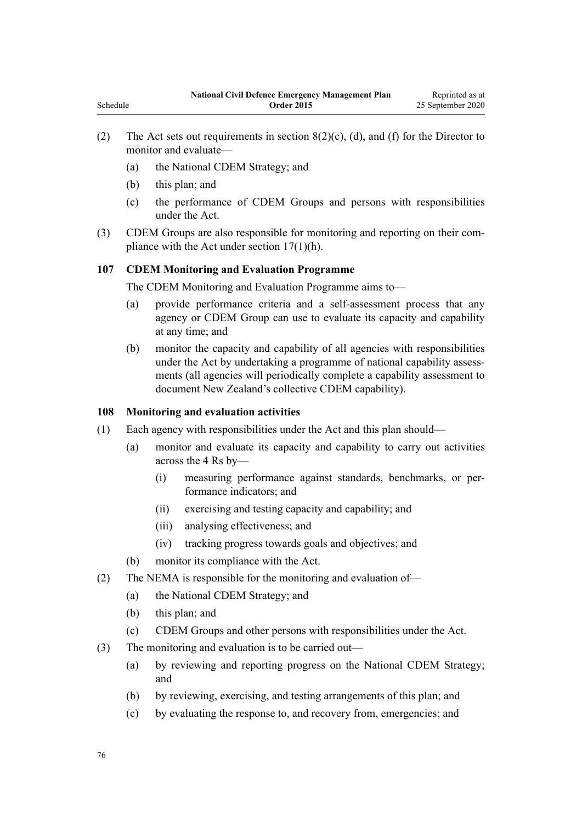- (2) The Act sets out requirements in section  $8(2)(c)$ , (d), and (f) for the Director to monitor and evaluate—
	- (a) the National CDEM Strategy; and
	- (b) this plan; and

Schedule

- (c) the performance of CDEM Groups and persons with responsibilities under the Act.
- (3) CDEM Groups are also responsible for monitoring and reporting on their compliance with the Act under [section 17\(1\)\(h\).](http://legislation.govt.nz/pdflink.aspx?id=DLM150705)

# **107 CDEM Monitoring and Evaluation Programme**

The CDEM Monitoring and Evaluation Programme aims to—

- (a) provide performance criteria and a self-assessment process that any agency or CDEM Group can use to evaluate its capacity and capability at any time; and
- (b) monitor the capacity and capability of all agencies with responsibilities under the Act by undertaking a programme of national capability assessments (all agencies will periodically complete a capability assessment to document New Zealand's collective CDEM capability).

#### **108 Monitoring and evaluation activities**

- (1) Each agency with responsibilities under the Act and this plan should—
	- (a) monitor and evaluate its capacity and capability to carry out activities across the 4 Rs by—
		- (i) measuring performance against standards, benchmarks, or performance indicators; and
		- (ii) exercising and testing capacity and capability; and
		- (iii) analysing effectiveness; and
		- (iv) tracking progress towards goals and objectives; and
	- (b) monitor its compliance with the Act.
- (2) The NEMA is responsible for the monitoring and evaluation of—
	- (a) the National CDEM Strategy; and
	- (b) this plan; and
	- (c) CDEM Groups and other persons with responsibilities under the Act.
- (3) The monitoring and evaluation is to be carried out—
	- (a) by reviewing and reporting progress on the National CDEM Strategy; and
	- (b) by reviewing, exercising, and testing arrangements of this plan; and
	- (c) by evaluating the response to, and recovery from, emergencies; and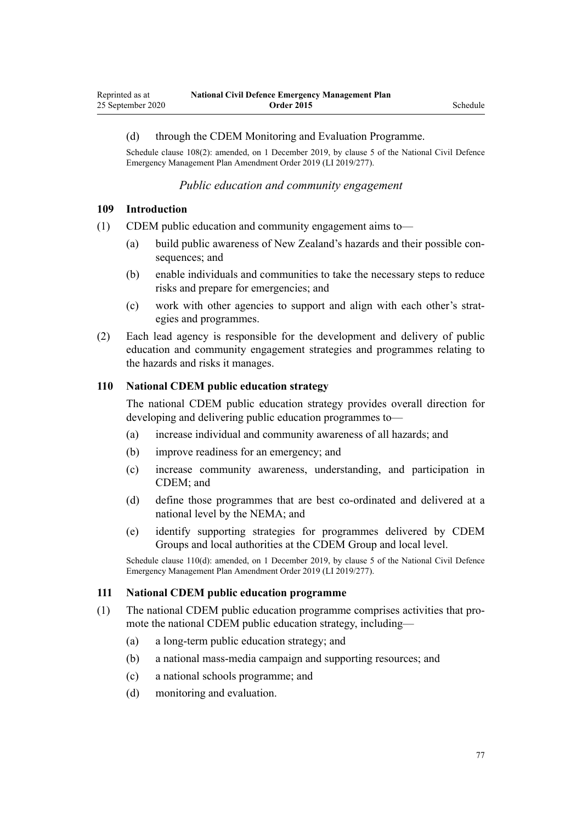#### (d) through the CDEM Monitoring and Evaluation Programme.

Schedule clause 108(2): amended, on 1 December 2019, by [clause 5](http://legislation.govt.nz/pdflink.aspx?id=LMS284019) of the National Civil Defence Emergency Management Plan Amendment Order 2019 (LI 2019/277).

#### *Public education and community engagement*

### **109 Introduction**

- (1) CDEM public education and community engagement aims to—
	- (a) build public awareness of New Zealand's hazards and their possible consequences; and
	- (b) enable individuals and communities to take the necessary steps to reduce risks and prepare for emergencies; and
	- (c) work with other agencies to support and align with each other's strategies and programmes.
- (2) Each lead agency is responsible for the development and delivery of public education and community engagement strategies and programmes relating to the hazards and risks it manages.

#### **110 National CDEM public education strategy**

The national CDEM public education strategy provides overall direction for developing and delivering public education programmes to—

- (a) increase individual and community awareness of all hazards; and
- (b) improve readiness for an emergency; and
- (c) increase community awareness, understanding, and participation in CDEM; and
- (d) define those programmes that are best co-ordinated and delivered at a national level by the NEMA; and
- (e) identify supporting strategies for programmes delivered by CDEM Groups and local authorities at the CDEM Group and local level.

Schedule clause 110(d): amended, on 1 December 2019, by [clause 5](http://legislation.govt.nz/pdflink.aspx?id=LMS284019) of the National Civil Defence Emergency Management Plan Amendment Order 2019 (LI 2019/277).

#### **111 National CDEM public education programme**

- (1) The national CDEM public education programme comprises activities that promote the national CDEM public education strategy, including—
	- (a) a long-term public education strategy; and
	- (b) a national mass-media campaign and supporting resources; and
	- (c) a national schools programme; and
	- (d) monitoring and evaluation.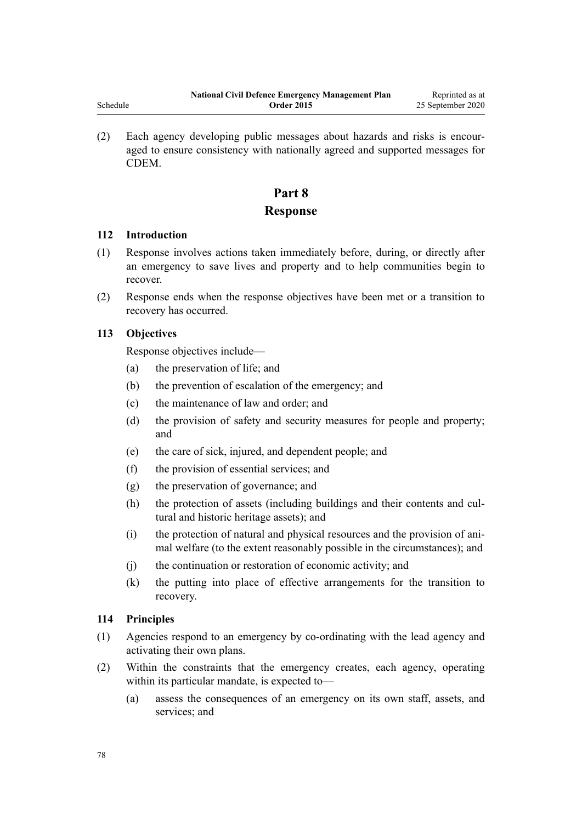(2) Each agency developing public messages about hazards and risks is encouraged to ensure consistency with nationally agreed and supported messages for CDEM.

# **Part 8 Response**

# **112 Introduction**

- (1) Response involves actions taken immediately before, during, or directly after an emergency to save lives and property and to help communities begin to recover.
- (2) Response ends when the response objectives have been met or a transition to recovery has occurred.

# **113 Objectives**

Response objectives include—

- (a) the preservation of life; and
- (b) the prevention of escalation of the emergency; and
- (c) the maintenance of law and order; and
- (d) the provision of safety and security measures for people and property; and
- (e) the care of sick, injured, and dependent people; and
- (f) the provision of essential services; and
- (g) the preservation of governance; and
- (h) the protection of assets (including buildings and their contents and cultural and historic heritage assets); and
- (i) the protection of natural and physical resources and the provision of animal welfare (to the extent reasonably possible in the circumstances); and
- (j) the continuation or restoration of economic activity; and
- (k) the putting into place of effective arrangements for the transition to recovery.

# **114 Principles**

- (1) Agencies respond to an emergency by co-ordinating with the lead agency and activating their own plans.
- (2) Within the constraints that the emergency creates, each agency, operating within its particular mandate, is expected to—
	- (a) assess the consequences of an emergency on its own staff, assets, and services; and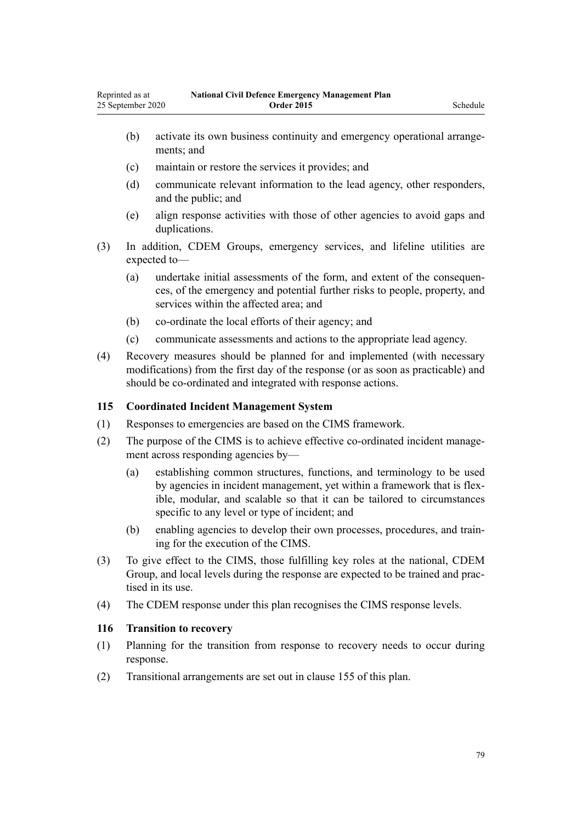- (b) activate its own business continuity and emergency operational arrangements; and
- (c) maintain or restore the services it provides; and
- (d) communicate relevant information to the lead agency, other responders, and the public; and
- (e) align response activities with those of other agencies to avoid gaps and duplications.
- (3) In addition, CDEM Groups, emergency services, and lifeline utilities are expected to—
	- (a) undertake initial assessments of the form, and extent of the consequences, of the emergency and potential further risks to people, property, and services within the affected area; and
	- (b) co-ordinate the local efforts of their agency; and
	- (c) communicate assessments and actions to the appropriate lead agency.
- (4) Recovery measures should be planned for and implemented (with necessary modifications) from the first day of the response (or as soon as practicable) and should be co-ordinated and integrated with response actions.

# **115 Coordinated Incident Management System**

- (1) Responses to emergencies are based on the CIMS framework.
- (2) The purpose of the CIMS is to achieve effective co-ordinated incident management across responding agencies by—
	- (a) establishing common structures, functions, and terminology to be used by agencies in incident management, yet within a framework that is flexible, modular, and scalable so that it can be tailored to circumstances specific to any level or type of incident; and
	- (b) enabling agencies to develop their own processes, procedures, and training for the execution of the CIMS.
- (3) To give effect to the CIMS, those fulfilling key roles at the national, CDEM Group, and local levels during the response are expected to be trained and practised in its use.
- (4) The CDEM response under this plan recognises the CIMS response levels.

#### **116 Transition to recovery**

- (1) Planning for the transition from response to recovery needs to occur during response.
- (2) Transitional arrangements are set out in [clause 155](#page-94-0) of this plan.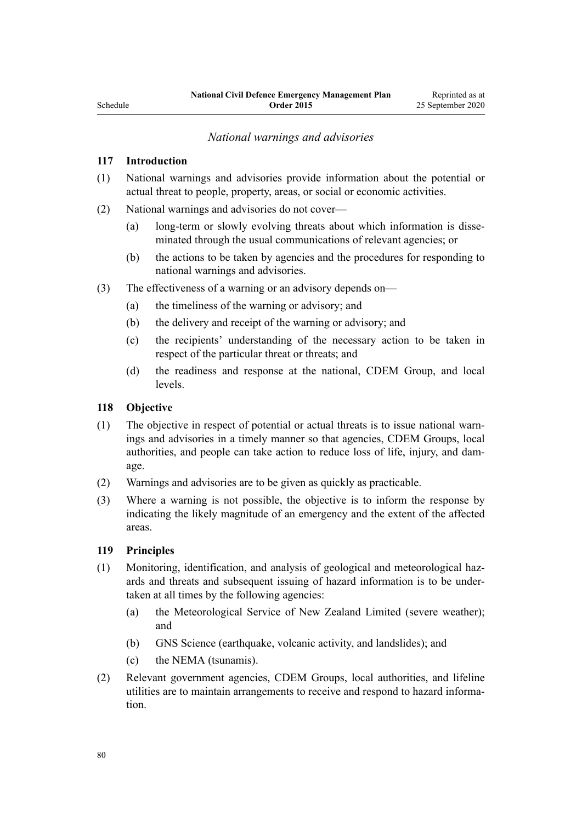Reprinted as at 25 September 2020

# *National warnings and advisories*

#### **117 Introduction**

- (1) National warnings and advisories provide information about the potential or actual threat to people, property, areas, or social or economic activities.
- (2) National warnings and advisories do not cover—
	- (a) long-term or slowly evolving threats about which information is disseminated through the usual communications of relevant agencies; or
	- (b) the actions to be taken by agencies and the procedures for responding to national warnings and advisories.
- (3) The effectiveness of a warning or an advisory depends on—
	- (a) the timeliness of the warning or advisory; and
	- (b) the delivery and receipt of the warning or advisory; and
	- (c) the recipients' understanding of the necessary action to be taken in respect of the particular threat or threats; and
	- (d) the readiness and response at the national, CDEM Group, and local levels.

#### **118 Objective**

- (1) The objective in respect of potential or actual threats is to issue national warnings and advisories in a timely manner so that agencies, CDEM Groups, local authorities, and people can take action to reduce loss of life, injury, and damage.
- (2) Warnings and advisories are to be given as quickly as practicable.
- (3) Where a warning is not possible, the objective is to inform the response by indicating the likely magnitude of an emergency and the extent of the affected areas.

# **119 Principles**

- (1) Monitoring, identification, and analysis of geological and meteorological hazards and threats and subsequent issuing of hazard information is to be undertaken at all times by the following agencies:
	- (a) the Meteorological Service of New Zealand Limited (severe weather); and
	- (b) GNS Science (earthquake, volcanic activity, and landslides); and
	- (c) the NEMA (tsunamis).
- (2) Relevant government agencies, CDEM Groups, local authorities, and lifeline utilities are to maintain arrangements to receive and respond to hazard information.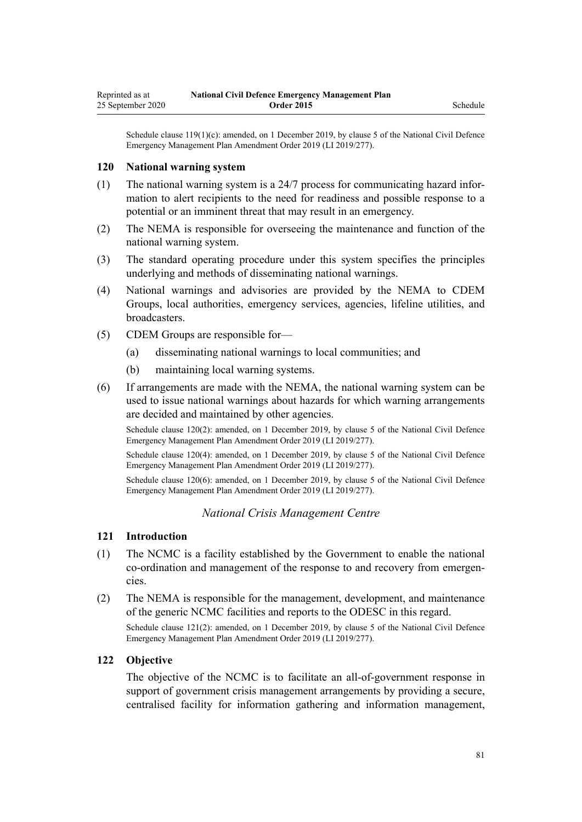Schedule clause 119(1)(c): amended, on 1 December 2019, by [clause 5](http://legislation.govt.nz/pdflink.aspx?id=LMS284019) of the National Civil Defence Emergency Management Plan Amendment Order 2019 (LI 2019/277).

#### **120 National warning system**

- (1) The national warning system is a 24/7 process for communicating hazard information to alert recipients to the need for readiness and possible response to a potential or an imminent threat that may result in an emergency.
- (2) The NEMA is responsible for overseeing the maintenance and function of the national warning system.
- (3) The standard operating procedure under this system specifies the principles underlying and methods of disseminating national warnings.
- (4) National warnings and advisories are provided by the NEMA to CDEM Groups, local authorities, emergency services, agencies, lifeline utilities, and broadcasters.
- (5) CDEM Groups are responsible for—
	- (a) disseminating national warnings to local communities; and
	- (b) maintaining local warning systems.
- (6) If arrangements are made with the NEMA, the national warning system can be used to issue national warnings about hazards for which warning arrangements are decided and maintained by other agencies.

Schedule clause 120(2): amended, on 1 December 2019, by [clause 5](http://legislation.govt.nz/pdflink.aspx?id=LMS284019) of the National Civil Defence Emergency Management Plan Amendment Order 2019 (LI 2019/277).

Schedule clause 120(4): amended, on 1 December 2019, by [clause 5](http://legislation.govt.nz/pdflink.aspx?id=LMS284019) of the National Civil Defence Emergency Management Plan Amendment Order 2019 (LI 2019/277).

Schedule clause 120(6): amended, on 1 December 2019, by [clause 5](http://legislation.govt.nz/pdflink.aspx?id=LMS284019) of the National Civil Defence Emergency Management Plan Amendment Order 2019 (LI 2019/277).

#### *National Crisis Management Centre*

#### **121 Introduction**

- (1) The NCMC is a facility established by the Government to enable the national co-ordination and management of the response to and recovery from emergencies.
- (2) The NEMA is responsible for the management, development, and maintenance of the generic NCMC facilities and reports to the ODESC in this regard.

Schedule clause 121(2): amended, on 1 December 2019, by [clause 5](http://legislation.govt.nz/pdflink.aspx?id=LMS284019) of the National Civil Defence Emergency Management Plan Amendment Order 2019 (LI 2019/277).

#### **122 Objective**

The objective of the NCMC is to facilitate an all-of-government response in support of government crisis management arrangements by providing a secure, centralised facility for information gathering and information management,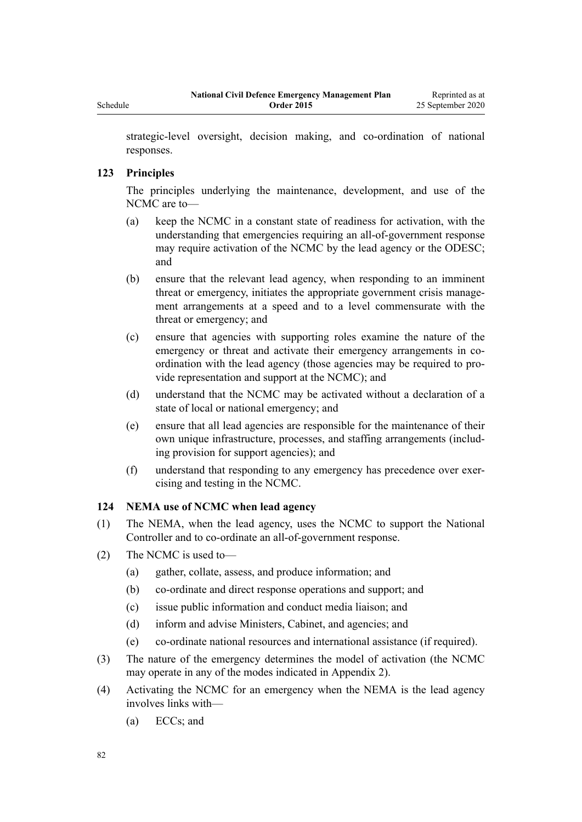<span id="page-81-0"></span>strategic-level oversight, decision making, and co-ordination of national responses.

### **123 Principles**

The principles underlying the maintenance, development, and use of the NCMC are to—

- (a) keep the NCMC in a constant state of readiness for activation, with the understanding that emergencies requiring an all-of-government response may require activation of the NCMC by the lead agency or the ODESC; and
- (b) ensure that the relevant lead agency, when responding to an imminent threat or emergency, initiates the appropriate government crisis management arrangements at a speed and to a level commensurate with the threat or emergency; and
- (c) ensure that agencies with supporting roles examine the nature of the emergency or threat and activate their emergency arrangements in coordination with the lead agency (those agencies may be required to provide representation and support at the NCMC); and
- (d) understand that the NCMC may be activated without a declaration of a state of local or national emergency; and
- (e) ensure that all lead agencies are responsible for the maintenance of their own unique infrastructure, processes, and staffing arrangements (including provision for support agencies); and
- (f) understand that responding to any emergency has precedence over exercising and testing in the NCMC.

### **124 NEMA use of NCMC when lead agency**

- (1) The NEMA, when the lead agency, uses the NCMC to support the National Controller and to co-ordinate an all-of-government response.
- (2) The NCMC is used to—
	- (a) gather, collate, assess, and produce information; and
	- (b) co-ordinate and direct response operations and support; and
	- (c) issue public information and conduct media liaison; and
	- (d) inform and advise Ministers, Cabinet, and agencies; and
	- (e) co-ordinate national resources and international assistance (if required).
- (3) The nature of the emergency determines the model of activation (the NCMC may operate in any of the modes indicated in Appendix 2).
- (4) Activating the NCMC for an emergency when the NEMA is the lead agency involves links with—
	- (a) ECCs; and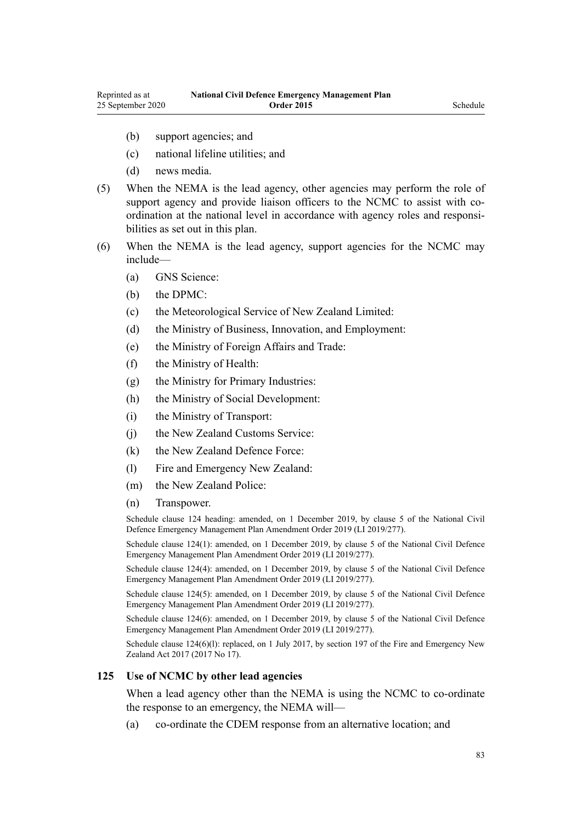- (b) support agencies; and
- (c) national lifeline utilities; and
- (d) news media.
- (5) When the NEMA is the lead agency, other agencies may perform the role of support agency and provide liaison officers to the NCMC to assist with coordination at the national level in accordance with agency roles and responsibilities as set out in this plan.
- (6) When the NEMA is the lead agency, support agencies for the NCMC may include—
	- (a) GNS Science:
	- (b) the DPMC:
	- (c) the Meteorological Service of New Zealand Limited:
	- (d) the Ministry of Business, Innovation, and Employment:
	- (e) the Ministry of Foreign Affairs and Trade:
	- (f) the Ministry of Health:
	- (g) the Ministry for Primary Industries:
	- (h) the Ministry of Social Development:
	- (i) the Ministry of Transport:
	- (i) the New Zealand Customs Service:
	- (k) the New Zealand Defence Force:
	- (l) Fire and Emergency New Zealand:
	- (m) the New Zealand Police:
	- (n) Transpower.

Schedule clause 124 heading: amended, on 1 December 2019, by [clause 5](http://legislation.govt.nz/pdflink.aspx?id=LMS284019) of the National Civil Defence Emergency Management Plan Amendment Order 2019 (LI 2019/277).

Schedule clause 124(1): amended, on 1 December 2019, by [clause 5](http://legislation.govt.nz/pdflink.aspx?id=LMS284019) of the National Civil Defence Emergency Management Plan Amendment Order 2019 (LI 2019/277).

Schedule clause 124(4): amended, on 1 December 2019, by [clause 5](http://legislation.govt.nz/pdflink.aspx?id=LMS284019) of the National Civil Defence Emergency Management Plan Amendment Order 2019 (LI 2019/277).

Schedule clause 124(5): amended, on 1 December 2019, by [clause 5](http://legislation.govt.nz/pdflink.aspx?id=LMS284019) of the National Civil Defence Emergency Management Plan Amendment Order 2019 (LI 2019/277).

Schedule clause 124(6): amended, on 1 December 2019, by [clause 5](http://legislation.govt.nz/pdflink.aspx?id=LMS284019) of the National Civil Defence Emergency Management Plan Amendment Order 2019 (LI 2019/277).

Schedule clause 124(6)(1): replaced, on 1 July 2017, by [section 197](http://legislation.govt.nz/pdflink.aspx?id=DLM6678752) of the Fire and Emergency New Zealand Act 2017 (2017 No 17).

#### **125 Use of NCMC by other lead agencies**

When a lead agency other than the NEMA is using the NCMC to co-ordinate the response to an emergency, the NEMA will—

(a) co-ordinate the CDEM response from an alternative location; and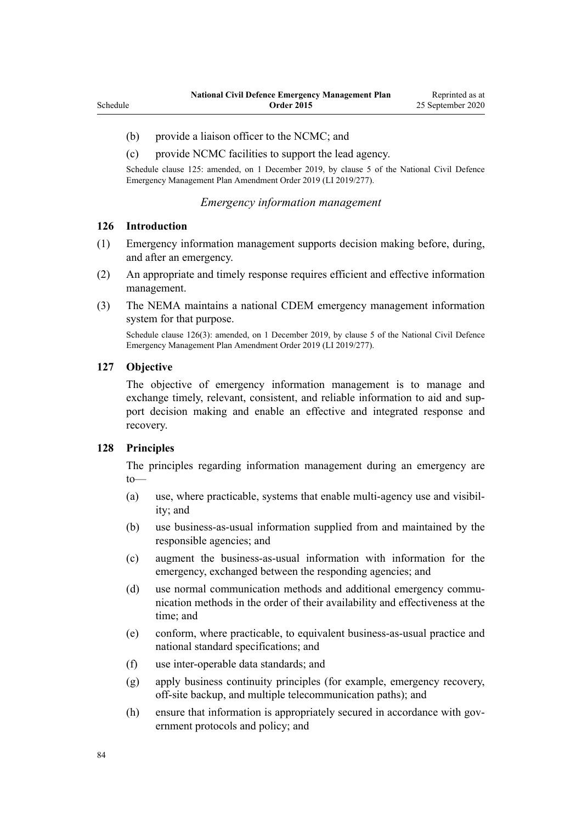- (b) provide a liaison officer to the NCMC; and
- (c) provide NCMC facilities to support the lead agency.

Schedule clause 125: amended, on 1 December 2019, by [clause 5](http://legislation.govt.nz/pdflink.aspx?id=LMS284019) of the National Civil Defence Emergency Management Plan Amendment Order 2019 (LI 2019/277).

#### *Emergency information management*

#### **126 Introduction**

- (1) Emergency information management supports decision making before, during, and after an emergency.
- (2) An appropriate and timely response requires efficient and effective information management.
- (3) The NEMA maintains a national CDEM emergency management information system for that purpose.

Schedule clause 126(3): amended, on 1 December 2019, by [clause 5](http://legislation.govt.nz/pdflink.aspx?id=LMS284019) of the National Civil Defence Emergency Management Plan Amendment Order 2019 (LI 2019/277).

#### **127 Objective**

The objective of emergency information management is to manage and exchange timely, relevant, consistent, and reliable information to aid and support decision making and enable an effective and integrated response and recovery.

### **128 Principles**

The principles regarding information management during an emergency are to—

- (a) use, where practicable, systems that enable multi-agency use and visibility; and
- (b) use business-as-usual information supplied from and maintained by the responsible agencies; and
- (c) augment the business-as-usual information with information for the emergency, exchanged between the responding agencies; and
- (d) use normal communication methods and additional emergency communication methods in the order of their availability and effectiveness at the time; and
- (e) conform, where practicable, to equivalent business-as-usual practice and national standard specifications; and
- (f) use inter-operable data standards; and
- (g) apply business continuity principles (for example, emergency recovery, off-site backup, and multiple telecommunication paths); and
- (h) ensure that information is appropriately secured in accordance with government protocols and policy; and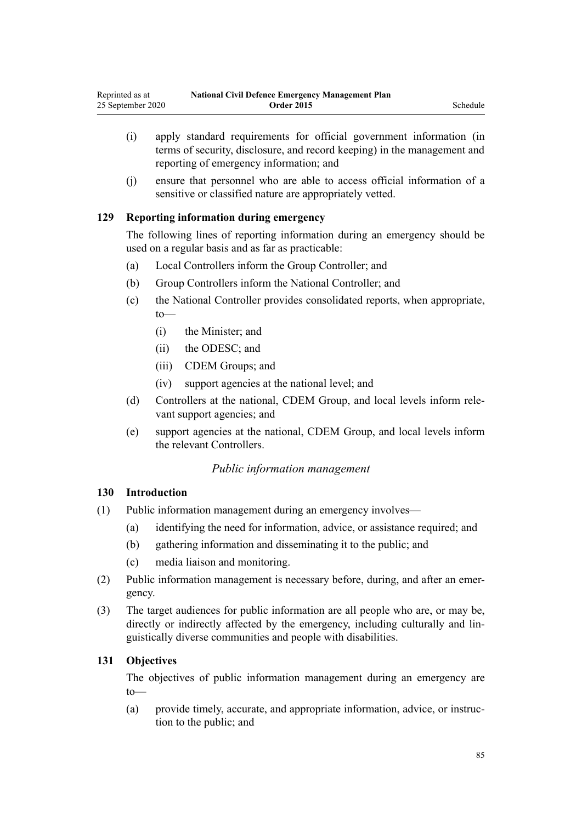- (i) apply standard requirements for official government information (in terms of security, disclosure, and record keeping) in the management and reporting of emergency information; and
- (j) ensure that personnel who are able to access official information of a sensitive or classified nature are appropriately vetted.

# **129 Reporting information during emergency**

The following lines of reporting information during an emergency should be used on a regular basis and as far as practicable:

- (a) Local Controllers inform the Group Controller; and
- (b) Group Controllers inform the National Controller; and
- (c) the National Controller provides consolidated reports, when appropriate, to—
	- (i) the Minister; and
	- (ii) the ODESC; and
	- (iii) CDEM Groups; and
	- (iv) support agencies at the national level; and
- (d) Controllers at the national, CDEM Group, and local levels inform relevant support agencies; and
- (e) support agencies at the national, CDEM Group, and local levels inform the relevant Controllers.

# *Public information management*

# **130 Introduction**

- (1) Public information management during an emergency involves—
	- (a) identifying the need for information, advice, or assistance required; and
	- (b) gathering information and disseminating it to the public; and
	- (c) media liaison and monitoring.
- (2) Public information management is necessary before, during, and after an emergency.
- (3) The target audiences for public information are all people who are, or may be, directly or indirectly affected by the emergency, including culturally and linguistically diverse communities and people with disabilities.

# **131 Objectives**

The objectives of public information management during an emergency are to—

(a) provide timely, accurate, and appropriate information, advice, or instruction to the public; and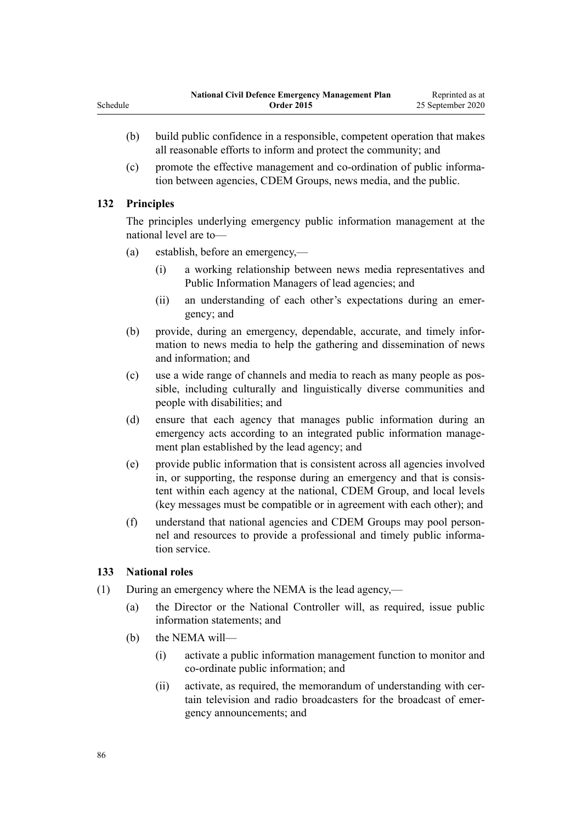- (b) build public confidence in a responsible, competent operation that makes all reasonable efforts to inform and protect the community; and
- (c) promote the effective management and co-ordination of public information between agencies, CDEM Groups, news media, and the public.

# **132 Principles**

The principles underlying emergency public information management at the national level are to—

- (a) establish, before an emergency,—
	- (i) a working relationship between news media representatives and Public Information Managers of lead agencies; and
	- (ii) an understanding of each other's expectations during an emergency; and
- (b) provide, during an emergency, dependable, accurate, and timely information to news media to help the gathering and dissemination of news and information; and
- (c) use a wide range of channels and media to reach as many people as possible, including culturally and linguistically diverse communities and people with disabilities; and
- (d) ensure that each agency that manages public information during an emergency acts according to an integrated public information management plan established by the lead agency; and
- (e) provide public information that is consistent across all agencies involved in, or supporting, the response during an emergency and that is consistent within each agency at the national, CDEM Group, and local levels (key messages must be compatible or in agreement with each other); and
- (f) understand that national agencies and CDEM Groups may pool personnel and resources to provide a professional and timely public information service.

# **133 National roles**

- (1) During an emergency where the NEMA is the lead agency,—
	- (a) the Director or the National Controller will, as required, issue public information statements; and
	- (b) the NEMA will—
		- (i) activate a public information management function to monitor and co-ordinate public information; and
		- (ii) activate, as required, the memorandum of understanding with certain television and radio broadcasters for the broadcast of emergency announcements; and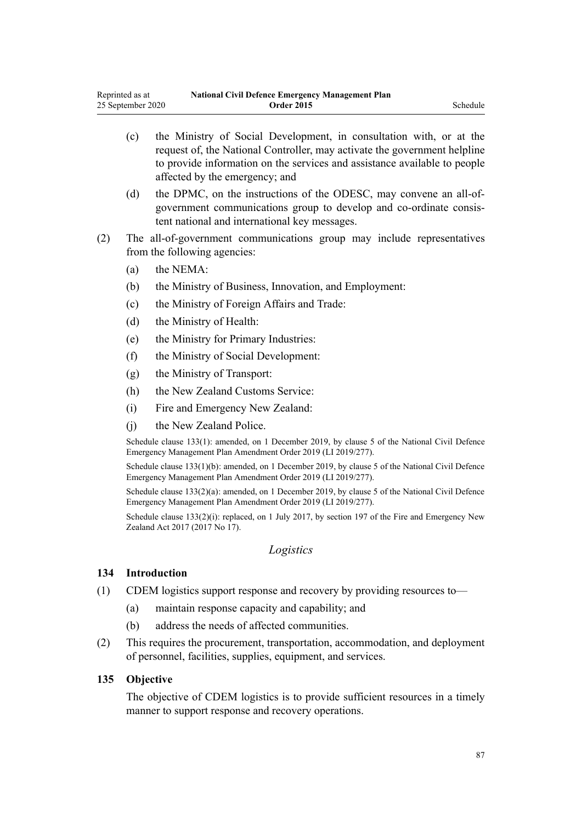- (c) the Ministry of Social Development, in consultation with, or at the request of, the National Controller, may activate the government helpline to provide information on the services and assistance available to people affected by the emergency; and
- (d) the DPMC, on the instructions of the ODESC, may convene an all-ofgovernment communications group to develop and co-ordinate consistent national and international key messages.
- (2) The all-of-government communications group may include representatives from the following agencies:
	- (a) the NEMA:
	- (b) the Ministry of Business, Innovation, and Employment:
	- (c) the Ministry of Foreign Affairs and Trade:
	- (d) the Ministry of Health:
	- (e) the Ministry for Primary Industries:
	- (f) the Ministry of Social Development:
	- (g) the Ministry of Transport:
	- (h) the New Zealand Customs Service:
	- (i) Fire and Emergency New Zealand:
	- (j) the New Zealand Police.

Schedule clause 133(1): amended, on 1 December 2019, by [clause 5](http://legislation.govt.nz/pdflink.aspx?id=LMS284019) of the National Civil Defence Emergency Management Plan Amendment Order 2019 (LI 2019/277).

Schedule clause 133(1)(b): amended, on 1 December 2019, by [clause 5](http://legislation.govt.nz/pdflink.aspx?id=LMS284019) of the National Civil Defence Emergency Management Plan Amendment Order 2019 (LI 2019/277).

Schedule clause 133(2)(a): amended, on 1 December 2019, by [clause 5](http://legislation.govt.nz/pdflink.aspx?id=LMS284019) of the National Civil Defence Emergency Management Plan Amendment Order 2019 (LI 2019/277).

Schedule clause 133(2)(i): replaced, on 1 July 2017, by [section 197](http://legislation.govt.nz/pdflink.aspx?id=DLM6678752) of the Fire and Emergency New Zealand Act 2017 (2017 No 17).

#### *Logistics*

#### **134 Introduction**

- (1) CDEM logistics support response and recovery by providing resources to—
	- (a) maintain response capacity and capability; and
	- (b) address the needs of affected communities.
- (2) This requires the procurement, transportation, accommodation, and deployment of personnel, facilities, supplies, equipment, and services.

#### **135 Objective**

The objective of CDEM logistics is to provide sufficient resources in a timely manner to support response and recovery operations.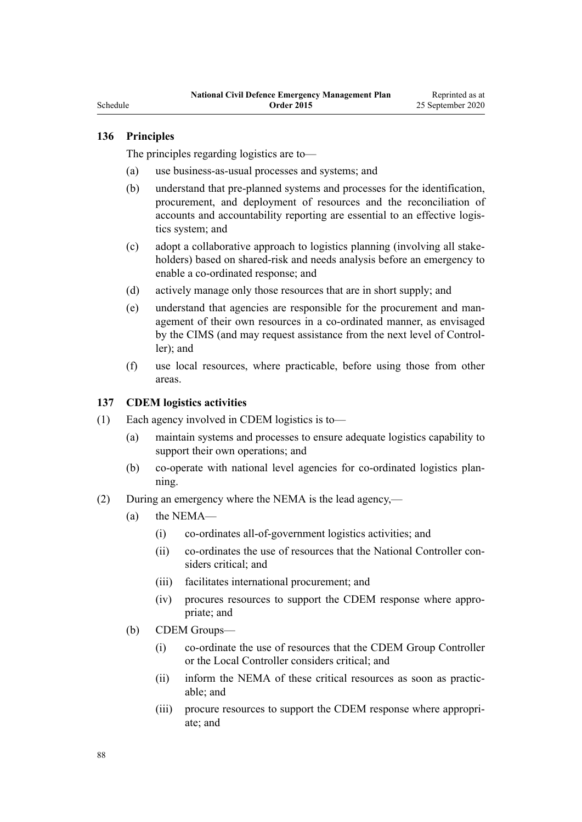Schedule

# **136 Principles**

The principles regarding logistics are to—

- (a) use business-as-usual processes and systems; and
- (b) understand that pre-planned systems and processes for the identification, procurement, and deployment of resources and the reconciliation of accounts and accountability reporting are essential to an effective logistics system; and
- (c) adopt a collaborative approach to logistics planning (involving all stakeholders) based on shared-risk and needs analysis before an emergency to enable a co-ordinated response; and
- (d) actively manage only those resources that are in short supply; and
- (e) understand that agencies are responsible for the procurement and management of their own resources in a co-ordinated manner, as envisaged by the CIMS (and may request assistance from the next level of Controller); and
- (f) use local resources, where practicable, before using those from other areas.

### **137 CDEM logistics activities**

- (1) Each agency involved in CDEM logistics is to—
	- (a) maintain systems and processes to ensure adequate logistics capability to support their own operations; and
	- (b) co-operate with national level agencies for co-ordinated logistics planning.
- (2) During an emergency where the NEMA is the lead agency,—
	- (a) the NEMA—
		- (i) co-ordinates all-of-government logistics activities; and
		- (ii) co-ordinates the use of resources that the National Controller considers critical; and
		- (iii) facilitates international procurement; and
		- (iv) procures resources to support the CDEM response where appropriate; and
	- (b) CDEM Groups—
		- (i) co-ordinate the use of resources that the CDEM Group Controller or the Local Controller considers critical; and
		- (ii) inform the NEMA of these critical resources as soon as practicable; and
		- (iii) procure resources to support the CDEM response where appropriate; and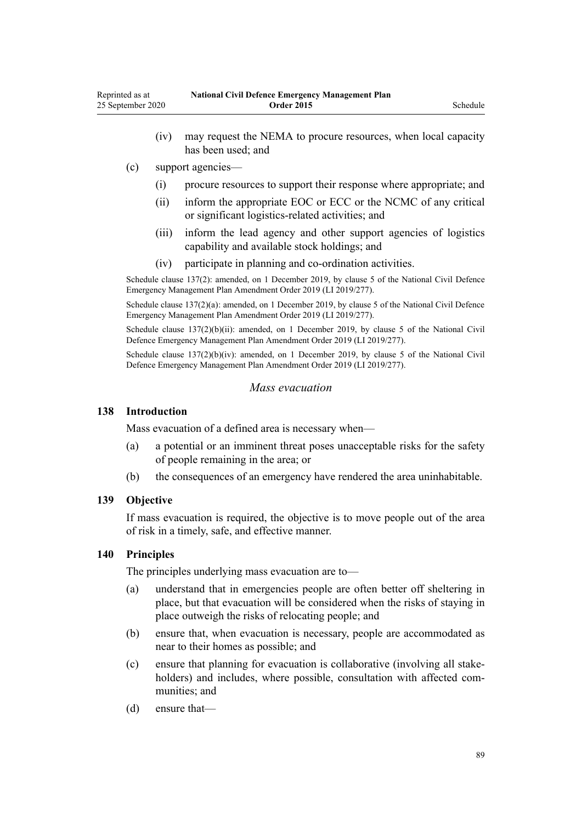- (iv) may request the NEMA to procure resources, when local capacity has been used; and
- (c) support agencies—
	- (i) procure resources to support their response where appropriate; and
	- (ii) inform the appropriate EOC or ECC or the NCMC of any critical or significant logistics-related activities; and
	- (iii) inform the lead agency and other support agencies of logistics capability and available stock holdings; and
	- (iv) participate in planning and co-ordination activities.

Schedule clause 137(2): amended, on 1 December 2019, by [clause 5](http://legislation.govt.nz/pdflink.aspx?id=LMS284019) of the National Civil Defence Emergency Management Plan Amendment Order 2019 (LI 2019/277).

Schedule clause 137(2)(a): amended, on 1 December 2019, by [clause 5](http://legislation.govt.nz/pdflink.aspx?id=LMS284019) of the National Civil Defence Emergency Management Plan Amendment Order 2019 (LI 2019/277).

Schedule clause 137(2)(b)(ii): amended, on 1 December 2019, by [clause 5](http://legislation.govt.nz/pdflink.aspx?id=LMS284019) of the National Civil Defence Emergency Management Plan Amendment Order 2019 (LI 2019/277).

Schedule clause 137(2)(b)(iv): amended, on 1 December 2019, by [clause 5](http://legislation.govt.nz/pdflink.aspx?id=LMS284019) of the National Civil Defence Emergency Management Plan Amendment Order 2019 (LI 2019/277).

#### *Mass evacuation*

#### **138 Introduction**

Mass evacuation of a defined area is necessary when—

- (a) a potential or an imminent threat poses unacceptable risks for the safety of people remaining in the area; or
- (b) the consequences of an emergency have rendered the area uninhabitable.

# **139 Objective**

If mass evacuation is required, the objective is to move people out of the area of risk in a timely, safe, and effective manner.

# **140 Principles**

The principles underlying mass evacuation are to—

- (a) understand that in emergencies people are often better off sheltering in place, but that evacuation will be considered when the risks of staying in place outweigh the risks of relocating people; and
- (b) ensure that, when evacuation is necessary, people are accommodated as near to their homes as possible; and
- (c) ensure that planning for evacuation is collaborative (involving all stakeholders) and includes, where possible, consultation with affected communities; and
- (d) ensure that—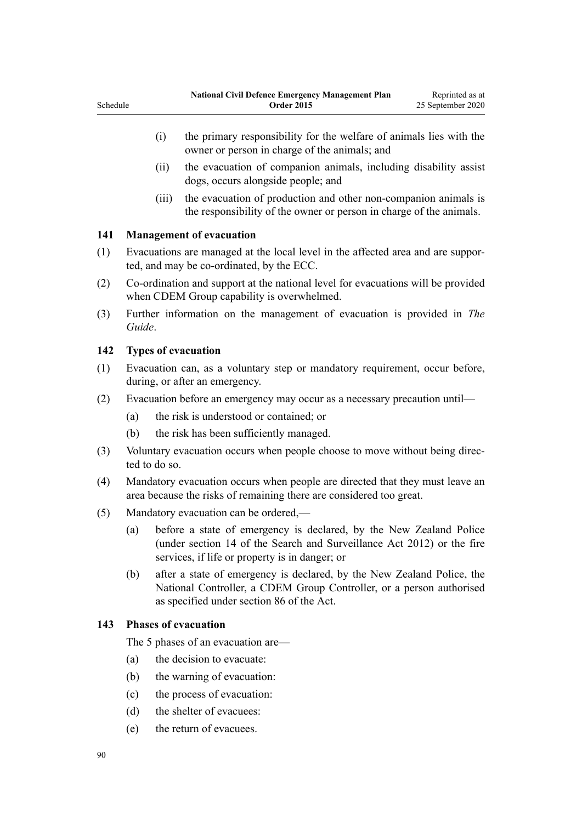- (i) the primary responsibility for the welfare of animals lies with the owner or person in charge of the animals; and
- (ii) the evacuation of companion animals, including disability assist dogs, occurs alongside people; and
- (iii) the evacuation of production and other non-companion animals is the responsibility of the owner or person in charge of the animals.

# **141 Management of evacuation**

Schedule

- (1) Evacuations are managed at the local level in the affected area and are supported, and may be co-ordinated, by the ECC.
- (2) Co-ordination and support at the national level for evacuations will be provided when CDEM Group capability is overwhelmed.
- (3) Further information on the management of evacuation is provided in *The Guide*.

# **142 Types of evacuation**

- (1) Evacuation can, as a voluntary step or mandatory requirement, occur before, during, or after an emergency.
- (2) Evacuation before an emergency may occur as a necessary precaution until—
	- (a) the risk is understood or contained; or
	- (b) the risk has been sufficiently managed.
- (3) Voluntary evacuation occurs when people choose to move without being directed to do so.
- (4) Mandatory evacuation occurs when people are directed that they must leave an area because the risks of remaining there are considered too great.
- (5) Mandatory evacuation can be ordered,—
	- (a) before a state of emergency is declared, by the New Zealand Police (under [section 14](http://legislation.govt.nz/pdflink.aspx?id=DLM2136647) of the Search and Surveillance Act 2012) or the fire services, if life or property is in danger; or
	- (b) after a state of emergency is declared, by the New Zealand Police, the National Controller, a CDEM Group Controller, or a person authorised as specified under [section 86](http://legislation.govt.nz/pdflink.aspx?id=DLM150799) of the Act.

# **143 Phases of evacuation**

The 5 phases of an evacuation are—

- (a) the decision to evacuate:
- (b) the warning of evacuation:
- (c) the process of evacuation:
- (d) the shelter of evacuees:
- (e) the return of evacuees.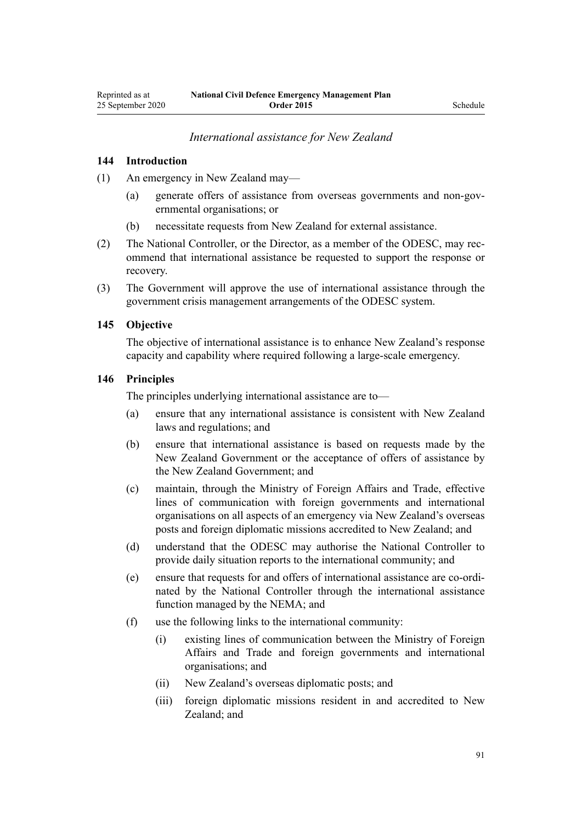### *International assistance for New Zealand*

#### **144 Introduction**

(1) An emergency in New Zealand may—

- (a) generate offers of assistance from overseas governments and non-governmental organisations; or
- (b) necessitate requests from New Zealand for external assistance.
- (2) The National Controller, or the Director, as a member of the ODESC, may recommend that international assistance be requested to support the response or recovery.
- (3) The Government will approve the use of international assistance through the government crisis management arrangements of the ODESC system.

#### **145 Objective**

The objective of international assistance is to enhance New Zealand's response capacity and capability where required following a large-scale emergency.

# **146 Principles**

The principles underlying international assistance are to—

- (a) ensure that any international assistance is consistent with New Zealand laws and regulations; and
- (b) ensure that international assistance is based on requests made by the New Zealand Government or the acceptance of offers of assistance by the New Zealand Government; and
- (c) maintain, through the Ministry of Foreign Affairs and Trade, effective lines of communication with foreign governments and international organisations on all aspects of an emergency via New Zealand's overseas posts and foreign diplomatic missions accredited to New Zealand; and
- (d) understand that the ODESC may authorise the National Controller to provide daily situation reports to the international community; and
- (e) ensure that requests for and offers of international assistance are co-ordinated by the National Controller through the international assistance function managed by the NEMA; and
- (f) use the following links to the international community:
	- (i) existing lines of communication between the Ministry of Foreign Affairs and Trade and foreign governments and international organisations; and
	- (ii) New Zealand's overseas diplomatic posts; and
	- (iii) foreign diplomatic missions resident in and accredited to New Zealand; and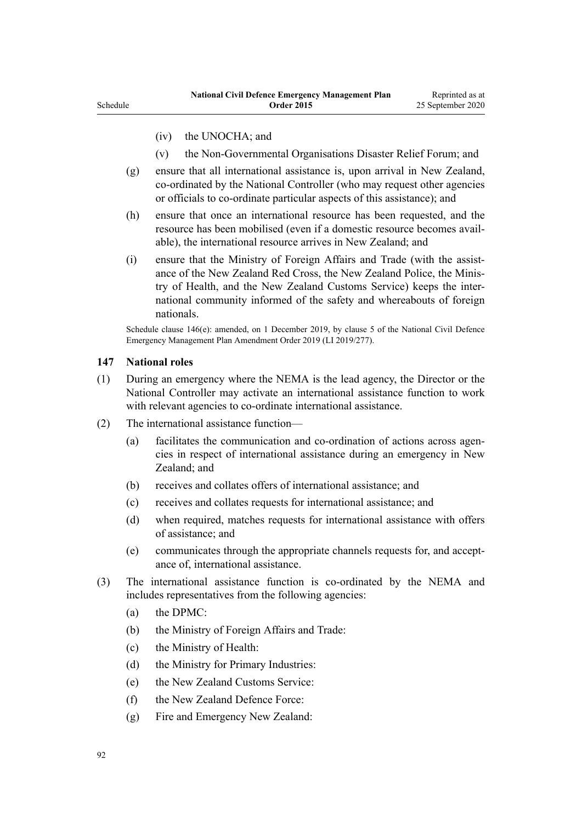- (iv) the UNOCHA; and
- (v) the Non-Governmental Organisations Disaster Relief Forum; and
- (g) ensure that all international assistance is, upon arrival in New Zealand, co-ordinated by the National Controller (who may request other agencies or officials to co-ordinate particular aspects of this assistance); and
- (h) ensure that once an international resource has been requested, and the resource has been mobilised (even if a domestic resource becomes available), the international resource arrives in New Zealand; and
- (i) ensure that the Ministry of Foreign Affairs and Trade (with the assistance of the New Zealand Red Cross, the New Zealand Police, the Ministry of Health, and the New Zealand Customs Service) keeps the international community informed of the safety and whereabouts of foreign nationals.

Schedule clause 146(e): amended, on 1 December 2019, by [clause 5](http://legislation.govt.nz/pdflink.aspx?id=LMS284019) of the National Civil Defence Emergency Management Plan Amendment Order 2019 (LI 2019/277).

#### **147 National roles**

- (1) During an emergency where the NEMA is the lead agency, the Director or the National Controller may activate an international assistance function to work with relevant agencies to co-ordinate international assistance.
- (2) The international assistance function—
	- (a) facilitates the communication and co-ordination of actions across agencies in respect of international assistance during an emergency in New Zealand; and
	- (b) receives and collates offers of international assistance; and
	- (c) receives and collates requests for international assistance; and
	- (d) when required, matches requests for international assistance with offers of assistance; and
	- (e) communicates through the appropriate channels requests for, and acceptance of, international assistance.
- (3) The international assistance function is co-ordinated by the NEMA and includes representatives from the following agencies:
	- (a) the DPMC:
	- (b) the Ministry of Foreign Affairs and Trade:
	- (c) the Ministry of Health:
	- (d) the Ministry for Primary Industries:
	- (e) the New Zealand Customs Service:
	- (f) the New Zealand Defence Force:
	- (g) Fire and Emergency New Zealand: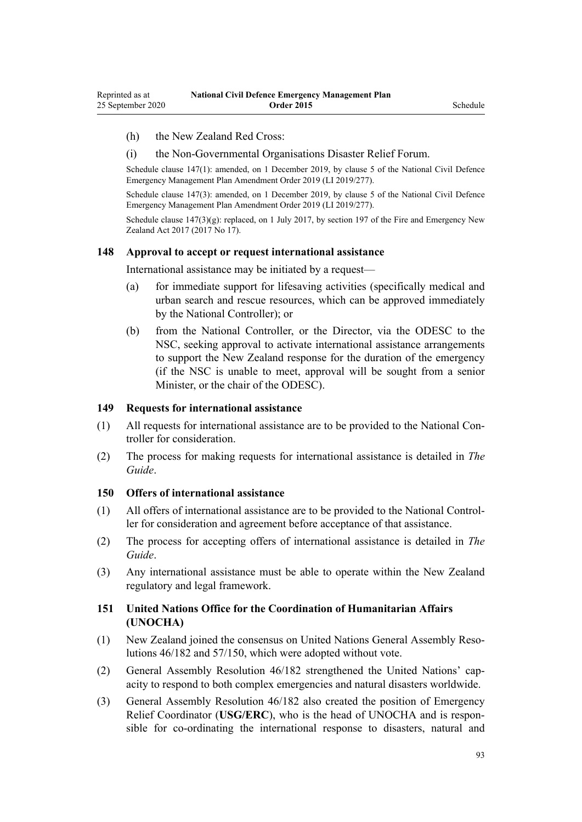#### (h) the New Zealand Red Cross:

#### (i) the Non-Governmental Organisations Disaster Relief Forum.

Schedule clause 147(1): amended, on 1 December 2019, by [clause 5](http://legislation.govt.nz/pdflink.aspx?id=LMS284019) of the National Civil Defence Emergency Management Plan Amendment Order 2019 (LI 2019/277).

Schedule clause 147(3): amended, on 1 December 2019, by [clause 5](http://legislation.govt.nz/pdflink.aspx?id=LMS284019) of the National Civil Defence Emergency Management Plan Amendment Order 2019 (LI 2019/277).

Schedule clause  $147(3)(g)$ : replaced, on 1 July 2017, by [section 197](http://legislation.govt.nz/pdflink.aspx?id=DLM6678752) of the Fire and Emergency New Zealand Act 2017 (2017 No 17).

#### **148 Approval to accept or request international assistance**

International assistance may be initiated by a request—

- (a) for immediate support for lifesaving activities (specifically medical and urban search and rescue resources, which can be approved immediately by the National Controller); or
- (b) from the National Controller, or the Director, via the ODESC to the NSC, seeking approval to activate international assistance arrangements to support the New Zealand response for the duration of the emergency (if the NSC is unable to meet, approval will be sought from a senior Minister, or the chair of the ODESC).

#### **149 Requests for international assistance**

- (1) All requests for international assistance are to be provided to the National Controller for consideration.
- (2) The process for making requests for international assistance is detailed in *The Guide*.

#### **150 Offers of international assistance**

- (1) All offers of international assistance are to be provided to the National Controller for consideration and agreement before acceptance of that assistance.
- (2) The process for accepting offers of international assistance is detailed in *The Guide*.
- (3) Any international assistance must be able to operate within the New Zealand regulatory and legal framework.

# **151 United Nations Office for the Coordination of Humanitarian Affairs (UNOCHA)**

- (1) New Zealand joined the consensus on United Nations General Assembly Resolutions 46/182 and 57/150, which were adopted without vote.
- (2) General Assembly Resolution 46/182 strengthened the United Nations' capacity to respond to both complex emergencies and natural disasters worldwide.
- (3) General Assembly Resolution 46/182 also created the position of Emergency Relief Coordinator (**USG/ERC**), who is the head of UNOCHA and is responsible for co-ordinating the international response to disasters, natural and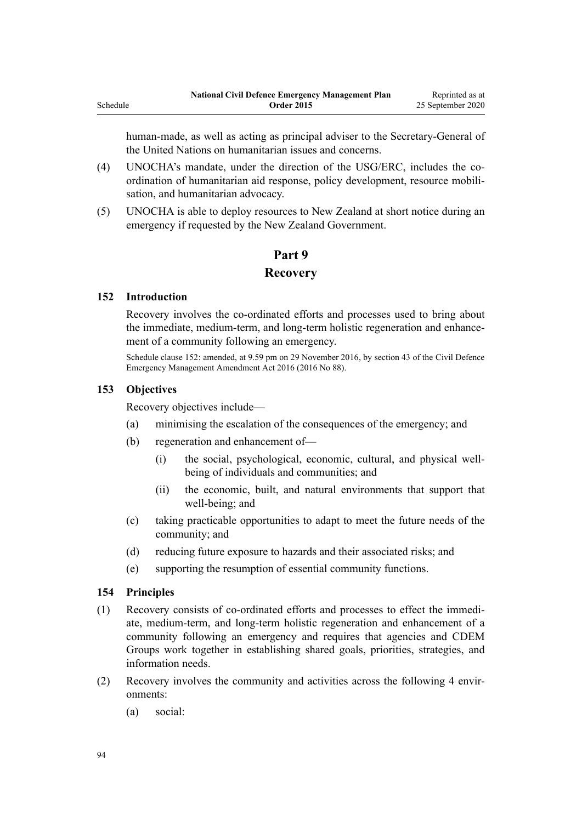human-made, as well as acting as principal adviser to the Secretary-General of the United Nations on humanitarian issues and concerns.

- (4) UNOCHA's mandate, under the direction of the USG/ERC, includes the coordination of humanitarian aid response, policy development, resource mobilisation, and humanitarian advocacy.
- (5) UNOCHA is able to deploy resources to New Zealand at short notice during an emergency if requested by the New Zealand Government.

# **Part 9 Recovery**

#### **152 Introduction**

Schedule

Recovery involves the co-ordinated efforts and processes used to bring about the immediate, medium-term, and long-term holistic regeneration and enhancement of a community following an emergency.

Schedule clause 152: amended, at 9.59 pm on 29 November 2016, by [section 43](http://legislation.govt.nz/pdflink.aspx?id=DLM6928006) of the Civil Defence Emergency Management Amendment Act 2016 (2016 No 88).

#### **153 Objectives**

Recovery objectives include—

- (a) minimising the escalation of the consequences of the emergency; and
- (b) regeneration and enhancement of—
	- (i) the social, psychological, economic, cultural, and physical wellbeing of individuals and communities; and
	- (ii) the economic, built, and natural environments that support that well-being; and
- (c) taking practicable opportunities to adapt to meet the future needs of the community; and
- (d) reducing future exposure to hazards and their associated risks; and
- (e) supporting the resumption of essential community functions.

#### **154 Principles**

- (1) Recovery consists of co-ordinated efforts and processes to effect the immediate, medium-term, and long-term holistic regeneration and enhancement of a community following an emergency and requires that agencies and CDEM Groups work together in establishing shared goals, priorities, strategies, and information needs.
- (2) Recovery involves the community and activities across the following 4 environments:
	- (a) social: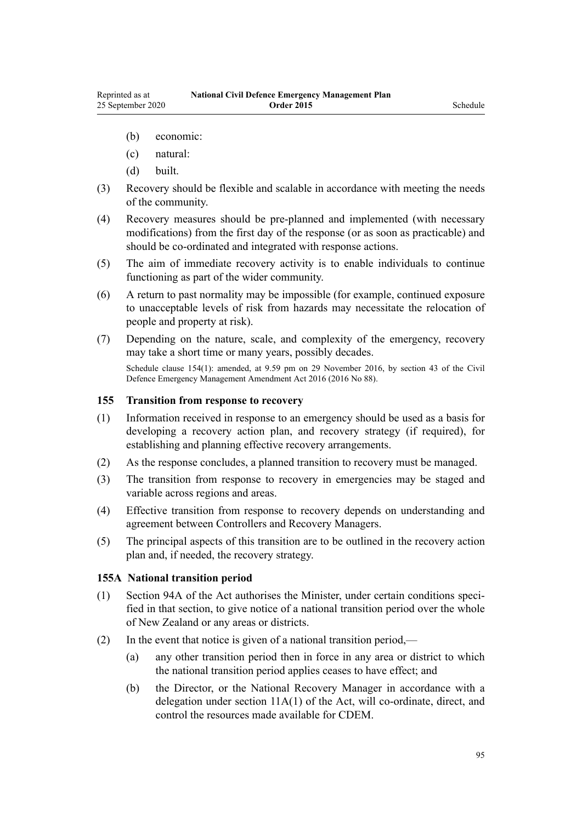- <span id="page-94-0"></span>(b) economic:
- (c) natural:
- (d) built.
- (3) Recovery should be flexible and scalable in accordance with meeting the needs of the community.
- (4) Recovery measures should be pre-planned and implemented (with necessary modifications) from the first day of the response (or as soon as practicable) and should be co-ordinated and integrated with response actions.
- (5) The aim of immediate recovery activity is to enable individuals to continue functioning as part of the wider community.
- (6) A return to past normality may be impossible (for example, continued exposure to unacceptable levels of risk from hazards may necessitate the relocation of people and property at risk).
- (7) Depending on the nature, scale, and complexity of the emergency, recovery may take a short time or many years, possibly decades.

Schedule clause 154(1): amended, at 9.59 pm on 29 November 2016, by [section 43](http://legislation.govt.nz/pdflink.aspx?id=DLM6928006) of the Civil Defence Emergency Management Amendment Act 2016 (2016 No 88).

#### **155 Transition from response to recovery**

- (1) Information received in response to an emergency should be used as a basis for developing a recovery action plan, and recovery strategy (if required), for establishing and planning effective recovery arrangements.
- (2) As the response concludes, a planned transition to recovery must be managed.
- (3) The transition from response to recovery in emergencies may be staged and variable across regions and areas.
- (4) Effective transition from response to recovery depends on understanding and agreement between Controllers and Recovery Managers.
- (5) The principal aspects of this transition are to be outlined in the recovery action plan and, if needed, the recovery strategy.

#### **155A National transition period**

- (1) [Section 94A](http://legislation.govt.nz/pdflink.aspx?id=DLM7053569) of the Act authorises the Minister, under certain conditions specified in that section, to give notice of a national transition period over the whole of New Zealand or any areas or districts.
- (2) In the event that notice is given of a national transition period,—
	- (a) any other transition period then in force in any area or district to which the national transition period applies ceases to have effect; and
	- (b) the Director, or the National Recovery Manager in accordance with a delegation under [section 11A\(1\)](http://legislation.govt.nz/pdflink.aspx?id=DLM7053502) of the Act, will co-ordinate, direct, and control the resources made available for CDEM.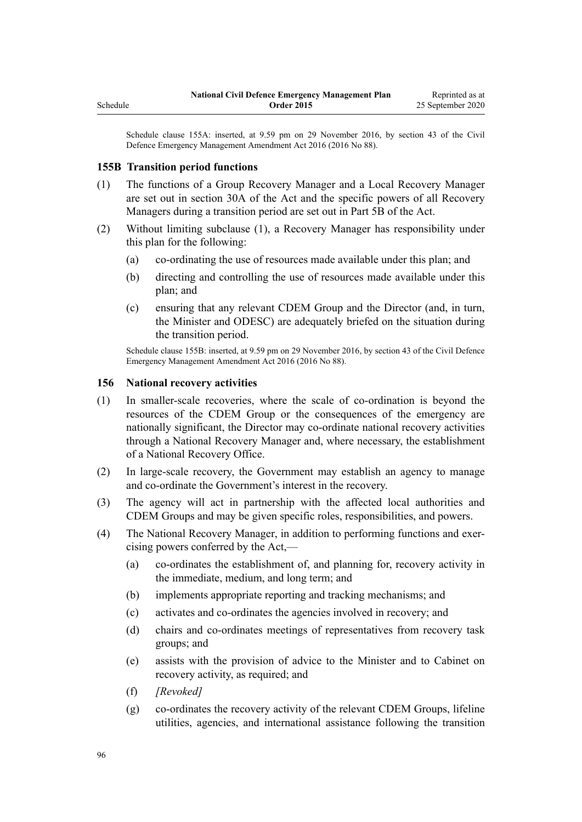Schedule clause 155A: inserted, at 9.59 pm on 29 November 2016, by [section 43](http://legislation.govt.nz/pdflink.aspx?id=DLM6928006) of the Civil Defence Emergency Management Amendment Act 2016 (2016 No 88).

#### **155B Transition period functions**

Schedule

- (1) The functions of a Group Recovery Manager and a Local Recovery Manager are set out in [section 30A](http://legislation.govt.nz/pdflink.aspx?id=DLM7053530) of the Act and the specific powers of all Recovery Managers during a transition period are set out in [Part 5B](http://legislation.govt.nz/pdflink.aspx?id=DLM7053583) of the Act.
- (2) Without limiting subclause (1), a Recovery Manager has responsibility under this plan for the following:
	- (a) co-ordinating the use of resources made available under this plan; and
	- (b) directing and controlling the use of resources made available under this plan; and
	- (c) ensuring that any relevant CDEM Group and the Director (and, in turn, the Minister and ODESC) are adequately briefed on the situation during the transition period.

Schedule clause 155B: inserted, at 9.59 pm on 29 November 2016, by [section 43](http://legislation.govt.nz/pdflink.aspx?id=DLM6928006) of the Civil Defence Emergency Management Amendment Act 2016 (2016 No 88).

#### **156 National recovery activities**

- (1) In smaller-scale recoveries, where the scale of co-ordination is beyond the resources of the CDEM Group or the consequences of the emergency are nationally significant, the Director may co-ordinate national recovery activities through a National Recovery Manager and, where necessary, the establishment of a National Recovery Office.
- (2) In large-scale recovery, the Government may establish an agency to manage and co-ordinate the Government's interest in the recovery.
- (3) The agency will act in partnership with the affected local authorities and CDEM Groups and may be given specific roles, responsibilities, and powers.
- (4) The National Recovery Manager, in addition to performing functions and exercising powers conferred by the Act,—
	- (a) co-ordinates the establishment of, and planning for, recovery activity in the immediate, medium, and long term; and
	- (b) implements appropriate reporting and tracking mechanisms; and
	- (c) activates and co-ordinates the agencies involved in recovery; and
	- (d) chairs and co-ordinates meetings of representatives from recovery task groups; and
	- (e) assists with the provision of advice to the Minister and to Cabinet on recovery activity, as required; and
	- (f) *[Revoked]*
	- (g) co-ordinates the recovery activity of the relevant CDEM Groups, lifeline utilities, agencies, and international assistance following the transition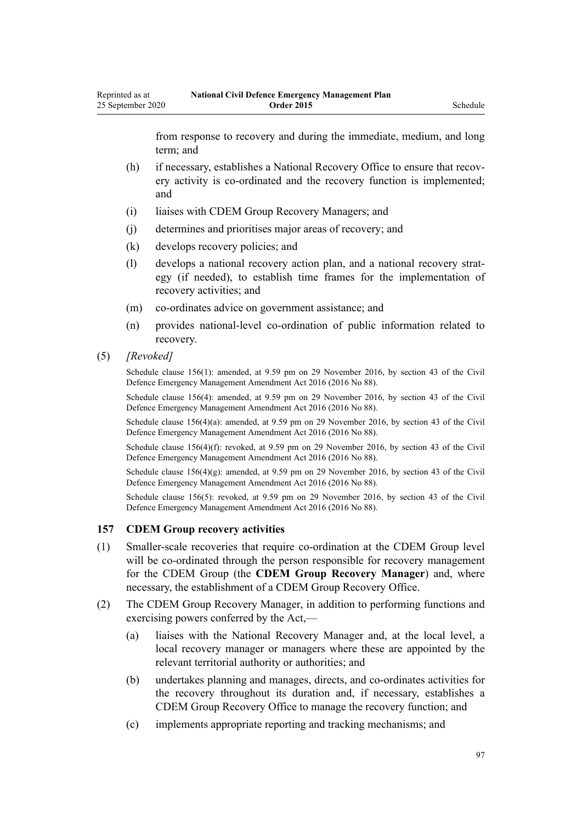from response to recovery and during the immediate, medium, and long term; and

- (h) if necessary, establishes a National Recovery Office to ensure that recovery activity is co-ordinated and the recovery function is implemented; and
- (i) liaises with CDEM Group Recovery Managers; and
- (j) determines and prioritises major areas of recovery; and
- (k) develops recovery policies; and
- (l) develops a national recovery action plan, and a national recovery strategy (if needed), to establish time frames for the implementation of recovery activities; and
- (m) co-ordinates advice on government assistance; and
- (n) provides national-level co-ordination of public information related to recovery.
- (5) *[Revoked]*

Schedule clause 156(1): amended, at 9.59 pm on 29 November 2016, by [section 43](http://legislation.govt.nz/pdflink.aspx?id=DLM6928006) of the Civil Defence Emergency Management Amendment Act 2016 (2016 No 88).

Schedule clause 156(4): amended, at 9.59 pm on 29 November 2016, by [section 43](http://legislation.govt.nz/pdflink.aspx?id=DLM6928006) of the Civil Defence Emergency Management Amendment Act 2016 (2016 No 88).

Schedule clause 156(4)(a): amended, at 9.59 pm on 29 November 2016, by [section 43](http://legislation.govt.nz/pdflink.aspx?id=DLM6928006) of the Civil Defence Emergency Management Amendment Act 2016 (2016 No 88).

Schedule clause 156(4)(f): revoked, at 9.59 pm on 29 November 2016, by [section 43](http://legislation.govt.nz/pdflink.aspx?id=DLM6928006) of the Civil Defence Emergency Management Amendment Act 2016 (2016 No 88).

Schedule clause 156(4)(g): amended, at 9.59 pm on 29 November 2016, by [section 43](http://legislation.govt.nz/pdflink.aspx?id=DLM6928006) of the Civil Defence Emergency Management Amendment Act 2016 (2016 No 88).

Schedule clause 156(5): revoked, at 9.59 pm on 29 November 2016, by [section 43](http://legislation.govt.nz/pdflink.aspx?id=DLM6928006) of the Civil Defence Emergency Management Amendment Act 2016 (2016 No 88).

#### **157 CDEM Group recovery activities**

- (1) Smaller-scale recoveries that require co-ordination at the CDEM Group level will be co-ordinated through the person responsible for recovery management for the CDEM Group (the **CDEM Group Recovery Manager**) and, where necessary, the establishment of a CDEM Group Recovery Office.
- (2) The CDEM Group Recovery Manager, in addition to performing functions and exercising powers conferred by the Act,—
	- (a) liaises with the National Recovery Manager and, at the local level, a local recovery manager or managers where these are appointed by the relevant territorial authority or authorities; and
	- (b) undertakes planning and manages, directs, and co-ordinates activities for the recovery throughout its duration and, if necessary, establishes a CDEM Group Recovery Office to manage the recovery function; and
	- (c) implements appropriate reporting and tracking mechanisms; and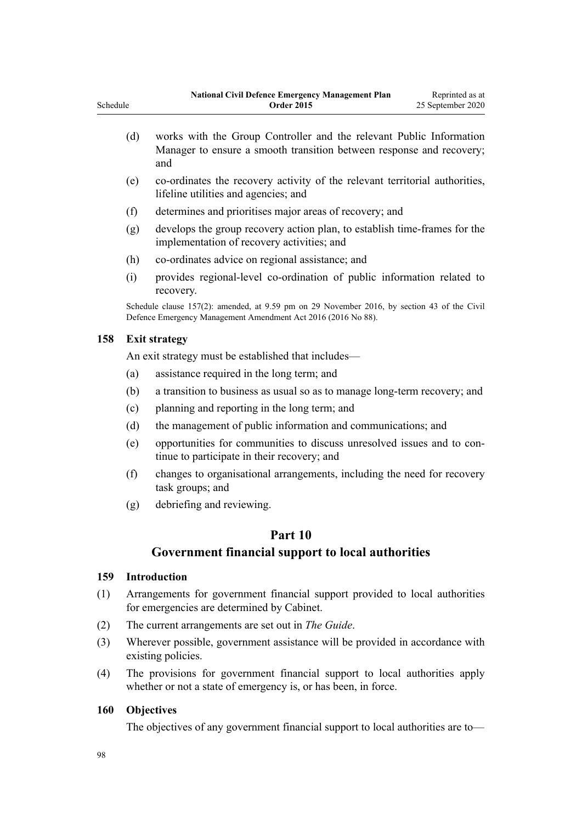|          | <b>National Civil Defence Emergency Management Plan</b> | Reprinted as at   |
|----------|---------------------------------------------------------|-------------------|
| Schedule | <b>Order 2015</b>                                       | 25 September 2020 |

- (d) works with the Group Controller and the relevant Public Information Manager to ensure a smooth transition between response and recovery; and
- (e) co-ordinates the recovery activity of the relevant territorial authorities, lifeline utilities and agencies; and
- (f) determines and prioritises major areas of recovery; and
- (g) develops the group recovery action plan, to establish time-frames for the implementation of recovery activities; and
- (h) co-ordinates advice on regional assistance; and
- (i) provides regional-level co-ordination of public information related to recovery.

Schedule clause 157(2): amended, at 9.59 pm on 29 November 2016, by [section 43](http://legislation.govt.nz/pdflink.aspx?id=DLM6928006) of the Civil Defence Emergency Management Amendment Act 2016 (2016 No 88).

#### **158 Exit strategy**

An exit strategy must be established that includes—

- (a) assistance required in the long term; and
- (b) a transition to business as usual so as to manage long-term recovery; and
- (c) planning and reporting in the long term; and
- (d) the management of public information and communications; and
- (e) opportunities for communities to discuss unresolved issues and to continue to participate in their recovery; and
- (f) changes to organisational arrangements, including the need for recovery task groups; and
- (g) debriefing and reviewing.

# **Part 10**

# **Government financial support to local authorities**

#### **159 Introduction**

- (1) Arrangements for government financial support provided to local authorities for emergencies are determined by Cabinet.
- (2) The current arrangements are set out in *The Guide*.
- (3) Wherever possible, government assistance will be provided in accordance with existing policies.
- (4) The provisions for government financial support to local authorities apply whether or not a state of emergency is, or has been, in force.

#### **160 Objectives**

The objectives of any government financial support to local authorities are to—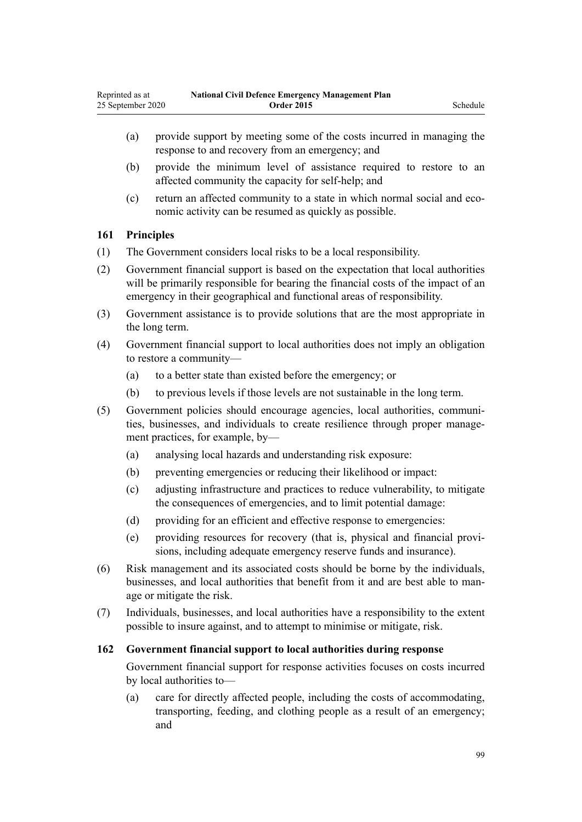- (a) provide support by meeting some of the costs incurred in managing the response to and recovery from an emergency; and
- (b) provide the minimum level of assistance required to restore to an affected community the capacity for self-help; and
- (c) return an affected community to a state in which normal social and economic activity can be resumed as quickly as possible.

# **161 Principles**

- (1) The Government considers local risks to be a local responsibility.
- (2) Government financial support is based on the expectation that local authorities will be primarily responsible for bearing the financial costs of the impact of an emergency in their geographical and functional areas of responsibility.
- (3) Government assistance is to provide solutions that are the most appropriate in the long term.
- (4) Government financial support to local authorities does not imply an obligation to restore a community—
	- (a) to a better state than existed before the emergency; or
	- (b) to previous levels if those levels are not sustainable in the long term.
- (5) Government policies should encourage agencies, local authorities, communities, businesses, and individuals to create resilience through proper management practices, for example, by—
	- (a) analysing local hazards and understanding risk exposure:
	- (b) preventing emergencies or reducing their likelihood or impact:
	- (c) adjusting infrastructure and practices to reduce vulnerability, to mitigate the consequences of emergencies, and to limit potential damage:
	- (d) providing for an efficient and effective response to emergencies:
	- (e) providing resources for recovery (that is, physical and financial provisions, including adequate emergency reserve funds and insurance).
- (6) Risk management and its associated costs should be borne by the individuals, businesses, and local authorities that benefit from it and are best able to manage or mitigate the risk.
- (7) Individuals, businesses, and local authorities have a responsibility to the extent possible to insure against, and to attempt to minimise or mitigate, risk.

# **162 Government financial support to local authorities during response**

Government financial support for response activities focuses on costs incurred by local authorities to—

(a) care for directly affected people, including the costs of accommodating, transporting, feeding, and clothing people as a result of an emergency; and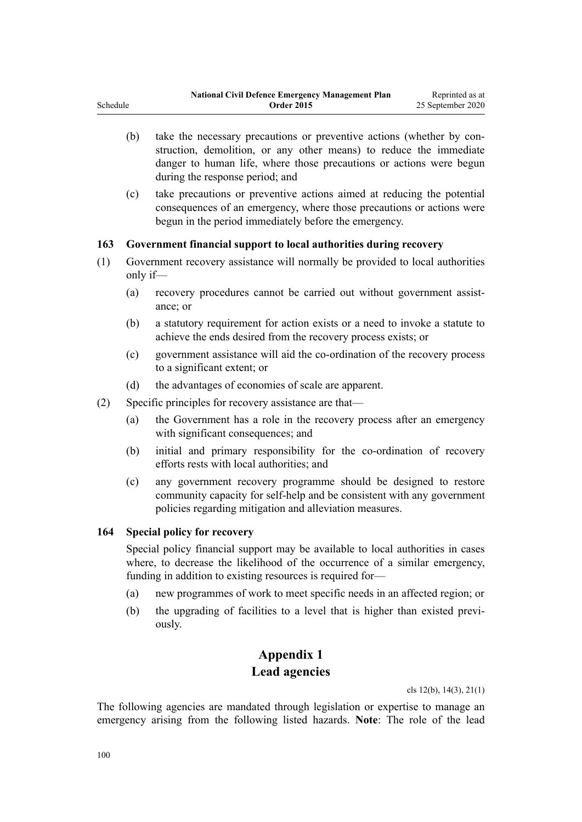- (b) take the necessary precautions or preventive actions (whether by construction, demolition, or any other means) to reduce the immediate danger to human life, where those precautions or actions were begun during the response period; and
- (c) take precautions or preventive actions aimed at reducing the potential consequences of an emergency, where those precautions or actions were begun in the period immediately before the emergency.

# **163 Government financial support to local authorities during recovery**

- (1) Government recovery assistance will normally be provided to local authorities only if—
	- (a) recovery procedures cannot be carried out without government assistance; or
	- (b) a statutory requirement for action exists or a need to invoke a statute to achieve the ends desired from the recovery process exists; or
	- (c) government assistance will aid the co-ordination of the recovery process to a significant extent; or
	- (d) the advantages of economies of scale are apparent.
- (2) Specific principles for recovery assistance are that—
	- (a) the Government has a role in the recovery process after an emergency with significant consequences; and
	- (b) initial and primary responsibility for the co-ordination of recovery efforts rests with local authorities; and
	- (c) any government recovery programme should be designed to restore community capacity for self-help and be consistent with any government policies regarding mitigation and alleviation measures.

# **164 Special policy for recovery**

Special policy financial support may be available to local authorities in cases where, to decrease the likelihood of the occurrence of a similar emergency, funding in addition to existing resources is required for—

- (a) new programmes of work to meet specific needs in an affected region; or
- (b) the upgrading of facilities to a level that is higher than existed previously.

# **Appendix 1 Lead agencies**

[cls 12\(b\)](#page-15-0), [14\(3\)](#page-16-0), [21\(1\)](#page-22-0)

The following agencies are mandated through legislation or expertise to manage an emergency arising from the following listed hazards. **Note**: The role of the lead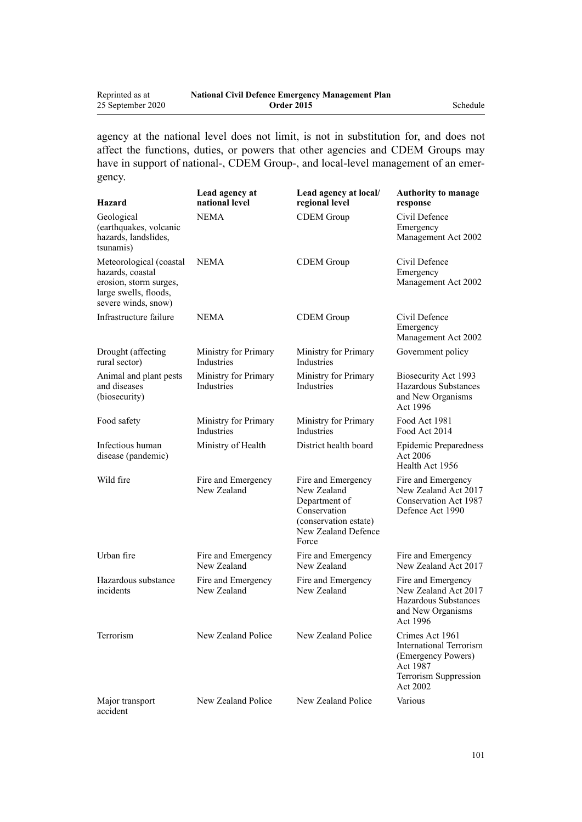| Reprinted as at   | <b>National Civil Defence Emergency Management Plan</b> |          |
|-------------------|---------------------------------------------------------|----------|
| 25 September 2020 | <b>Order 2015</b>                                       | Schedule |

agency at the national level does not limit, is not in substitution for, and does not affect the functions, duties, or powers that other agencies and CDEM Groups may have in support of national-, CDEM Group-, and local-level management of an emergency.

| Hazard                                                                                                                | Lead agency at<br>national level   | Lead agency at local/<br>regional level                                                                                     | <b>Authority to manage</b><br>response                                                                                   |
|-----------------------------------------------------------------------------------------------------------------------|------------------------------------|-----------------------------------------------------------------------------------------------------------------------------|--------------------------------------------------------------------------------------------------------------------------|
| Geological<br>(earthquakes, volcanic<br>hazards, landslides,<br>tsunamis)                                             | <b>NEMA</b>                        | <b>CDEM</b> Group                                                                                                           | Civil Defence<br>Emergency<br>Management Act 2002                                                                        |
| Meteorological (coastal<br>hazards, coastal<br>erosion, storm surges,<br>large swells, floods,<br>severe winds, snow) | <b>NEMA</b>                        | <b>CDEM</b> Group                                                                                                           | Civil Defence<br>Emergency<br>Management Act 2002                                                                        |
| Infrastructure failure                                                                                                | NEMA                               | <b>CDEM</b> Group                                                                                                           | Civil Defence<br>Emergency<br>Management Act 2002                                                                        |
| Drought (affecting<br>rural sector)                                                                                   | Ministry for Primary<br>Industries | Ministry for Primary<br>Industries                                                                                          | Government policy                                                                                                        |
| Animal and plant pests<br>and diseases<br>(biosecurity)                                                               | Ministry for Primary<br>Industries | Ministry for Primary<br>Industries                                                                                          | Biosecurity Act 1993<br>Hazardous Substances<br>and New Organisms<br>Act 1996                                            |
| Food safety                                                                                                           | Ministry for Primary<br>Industries | Ministry for Primary<br>Industries                                                                                          | Food Act 1981<br>Food Act 2014                                                                                           |
| Infectious human<br>disease (pandemic)                                                                                | Ministry of Health                 | District health board                                                                                                       | <b>Epidemic Preparedness</b><br>Act 2006<br>Health Act 1956                                                              |
| Wild fire                                                                                                             | Fire and Emergency<br>New Zealand  | Fire and Emergency<br>New Zealand<br>Department of<br>Conservation<br>(conservation estate)<br>New Zealand Defence<br>Force | Fire and Emergency<br>New Zealand Act 2017<br>Conservation Act 1987<br>Defence Act 1990                                  |
| Urban fire                                                                                                            | Fire and Emergency<br>New Zealand  | Fire and Emergency<br>New Zealand                                                                                           | Fire and Emergency<br>New Zealand Act 2017                                                                               |
| Hazardous substance<br>incidents                                                                                      | Fire and Emergency<br>New Zealand  | Fire and Emergency<br>New Zealand                                                                                           | Fire and Emergency<br>New Zealand Act 2017<br>Hazardous Substances<br>and New Organisms<br>Act 1996                      |
| Terrorism                                                                                                             | New Zealand Police                 | New Zealand Police                                                                                                          | Crimes Act 1961<br><b>International Terrorism</b><br>(Emergency Powers)<br>Act 1987<br>Terrorism Suppression<br>Act 2002 |
| Major transport<br>accident                                                                                           | New Zealand Police                 | New Zealand Police                                                                                                          | Various                                                                                                                  |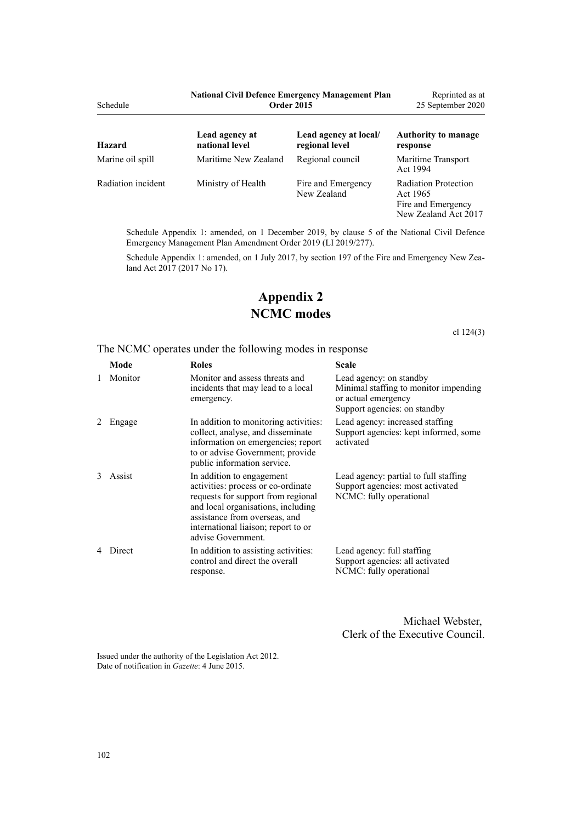| Schedule           | <b>National Civil Defence Emergency Management Plan</b><br><b>Order 2015</b> |                                         | Reprinted as at<br>25 September 2020                                                  |
|--------------------|------------------------------------------------------------------------------|-----------------------------------------|---------------------------------------------------------------------------------------|
| Hazard             | Lead agency at<br>national level                                             | Lead agency at local/<br>regional level | <b>Authority to manage</b><br>response                                                |
| Marine oil spill   | Maritime New Zealand                                                         | Regional council                        | Maritime Transport<br>Act 1994                                                        |
| Radiation incident | Ministry of Health                                                           | Fire and Emergency<br>New Zealand       | <b>Radiation Protection</b><br>Act 1965<br>Fire and Emergency<br>New Zealand Act 2017 |

Schedule Appendix 1: amended, on 1 December 2019, by [clause 5](http://legislation.govt.nz/pdflink.aspx?id=LMS284019) of the National Civil Defence Emergency Management Plan Amendment Order 2019 (LI 2019/277).

Schedule Appendix 1: amended, on 1 July 2017, by [section 197](http://legislation.govt.nz/pdflink.aspx?id=DLM6678752) of the Fire and Emergency New Zealand Act 2017 (2017 No 17).

# **Appendix 2 NCMC modes**

[cl 124\(3\)](#page-81-0)

The NCMC operates under the following modes in response

|   | Mode    | <b>Roles</b>                                                                                                                                                                                                                              | <b>Scale</b>                                                                                                            |
|---|---------|-------------------------------------------------------------------------------------------------------------------------------------------------------------------------------------------------------------------------------------------|-------------------------------------------------------------------------------------------------------------------------|
| 1 | Monitor | Monitor and assess threats and<br>incidents that may lead to a local<br>emergency.                                                                                                                                                        | Lead agency: on standby<br>Minimal staffing to monitor impending<br>or actual emergency<br>Support agencies: on standby |
|   | Engage  | In addition to monitoring activities:<br>collect, analyse, and disseminate<br>information on emergencies; report<br>to or advise Government; provide<br>public information service.                                                       | Lead agency: increased staffing<br>Support agencies: kept informed, some<br>activated                                   |
| 3 | Assist  | In addition to engagement<br>activities: process or co-ordinate<br>requests for support from regional<br>and local organisations, including<br>assistance from overseas, and<br>international liaison; report to or<br>advise Government. | Lead agency: partial to full staffing<br>Support agencies: most activated<br>NCMC: fully operational                    |
|   | Direct  | In addition to assisting activities:<br>control and direct the overall<br>response.                                                                                                                                                       | Lead agency: full staffing<br>Support agencies: all activated<br>NCMC: fully operational                                |

Michael Webster, Clerk of the Executive Council.

Issued under the authority of the [Legislation Act 2012](http://legislation.govt.nz/pdflink.aspx?id=DLM2997643). Date of notification in *Gazette*: 4 June 2015.